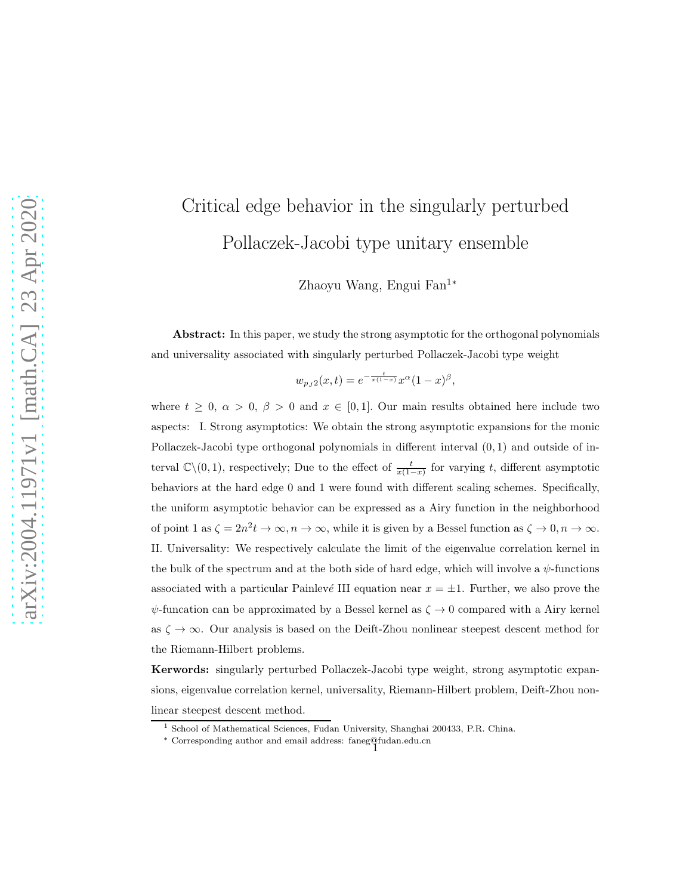# Critical edge behavior in the singularly perturbed Pollaczek-Jacobi type unitary ensemble

Zhaoyu Wang, Engui Fan<sup>1</sup><sup>∗</sup>

Abstract: In this paper, we study the strong asymptotic for the orthogonal polynomials and universality associated with singularly perturbed Pollaczek-Jacobi type weight

$$
w_{p_J2}(x,t) = e^{-\frac{t}{x(1-x)}}x^{\alpha}(1-x)^{\beta},
$$

where  $t \geq 0$ ,  $\alpha > 0$ ,  $\beta > 0$  and  $x \in [0,1]$ . Our main results obtained here include two aspects: I. Strong asymptotics: We obtain the strong asymptotic expansions for the monic Pollaczek-Jacobi type orthogonal polynomials in different interval (0, 1) and outside of interval  $\mathbb{C}\setminus(0,1)$ , respectively; Due to the effect of  $\frac{t}{x(1-x)}$  for varying t, different asymptotic behaviors at the hard edge 0 and 1 were found with different scaling schemes. Specifically, the uniform asymptotic behavior can be expressed as a Airy function in the neighborhood of point 1 as  $\zeta = 2n^2 t \to \infty$ ,  $n \to \infty$ , while it is given by a Bessel function as  $\zeta \to 0$ ,  $n \to \infty$ . II. Universality: We respectively calculate the limit of the eigenvalue correlation kernel in the bulk of the spectrum and at the both side of hard edge, which will involve a  $\psi$ -functions associated with a particular Painlevé III equation near  $x = \pm 1$ . Further, we also prove the  $\psi$ -funcation can be approximated by a Bessel kernel as  $\zeta \to 0$  compared with a Airy kernel as  $\zeta \to \infty$ . Our analysis is based on the Deift-Zhou nonlinear steepest descent method for the Riemann-Hilbert problems.

Kerwords: singularly perturbed Pollaczek-Jacobi type weight, strong asymptotic expansions, eigenvalue correlation kernel, universality, Riemann-Hilbert problem, Deift-Zhou nonlinear steepest descent method.

<sup>1</sup> School of Mathematical Sciences, Fudan University, Shanghai 200433, P.R. China.

<sup>∗</sup> Corresponding author and email address: faneg@fudan.edu.cn <sup>1</sup>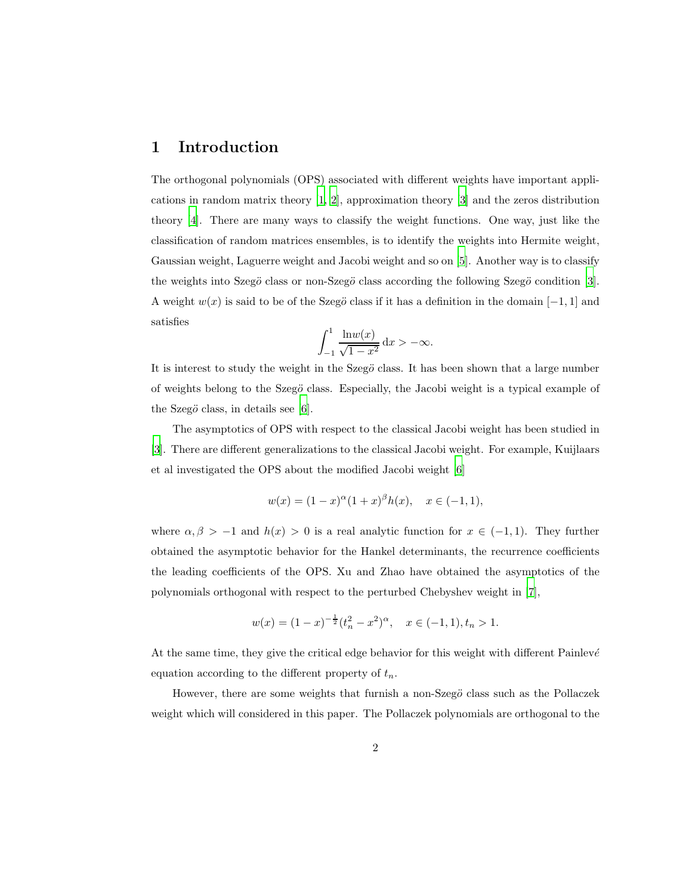## 1 Introduction

The orthogonal polynomials (OPS) associated with different weights have important applications in random matrix theory [\[1,](#page-44-0) [2\]](#page-44-1), approximation theory [\[3](#page-44-2)] and the zeros distribution theory [\[4\]](#page-45-0). There are many ways to classify the weight functions. One way, just like the classification of random matrices ensembles, is to identify the weights into Hermite weight, Gaussian weight, Laguerre weight and Jacobi weight and so on [\[5\]](#page-45-1). Another way is to classify the weights into Szegö class or non-Szegö class according the following Szegö condition [\[3](#page-44-2)]. A weight  $w(x)$  is said to be of the Szegö class if it has a definition in the domain  $[-1, 1]$  and satisfies

$$
\int_{-1}^{1} \frac{\ln w(x)}{\sqrt{1 - x^2}} dx > -\infty.
$$

It is interest to study the weight in the Szegö class. It has been shown that a large number of weights belong to the Szegö class. Especially, the Jacobi weight is a typical example of the Szeg $\ddot{o}$  class, in details see [\[6\]](#page-45-2).

The asymptotics of OPS with respect to the classical Jacobi weight has been studied in [\[3\]](#page-44-2). There are different generalizations to the classical Jacobi weight. For example, Kuijlaars et al investigated the OPS about the modified Jacobi weight [\[6\]](#page-45-2)

$$
w(x) = (1 - x)^{\alpha} (1 + x)^{\beta} h(x), \quad x \in (-1, 1),
$$

where  $\alpha, \beta > -1$  and  $h(x) > 0$  is a real analytic function for  $x \in (-1, 1)$ . They further obtained the asymptotic behavior for the Hankel determinants, the recurrence coefficients the leading coefficients of the OPS. Xu and Zhao have obtained the asymptotics of the polynomials orthogonal with respect to the perturbed Chebyshev weight in [\[7\]](#page-45-3),

$$
w(x) = (1-x)^{-\frac{1}{2}}(t_n^2 - x^2)^{\alpha}, \quad x \in (-1,1), t_n > 1.
$$

At the same time, they give the critical edge behavior for this weight with different Painlevé equation according to the different property of  $t_n$ .

However, there are some weights that furnish a non- $Szeg\ddot{o}$  class such as the Pollaczek weight which will considered in this paper. The Pollaczek polynomials are orthogonal to the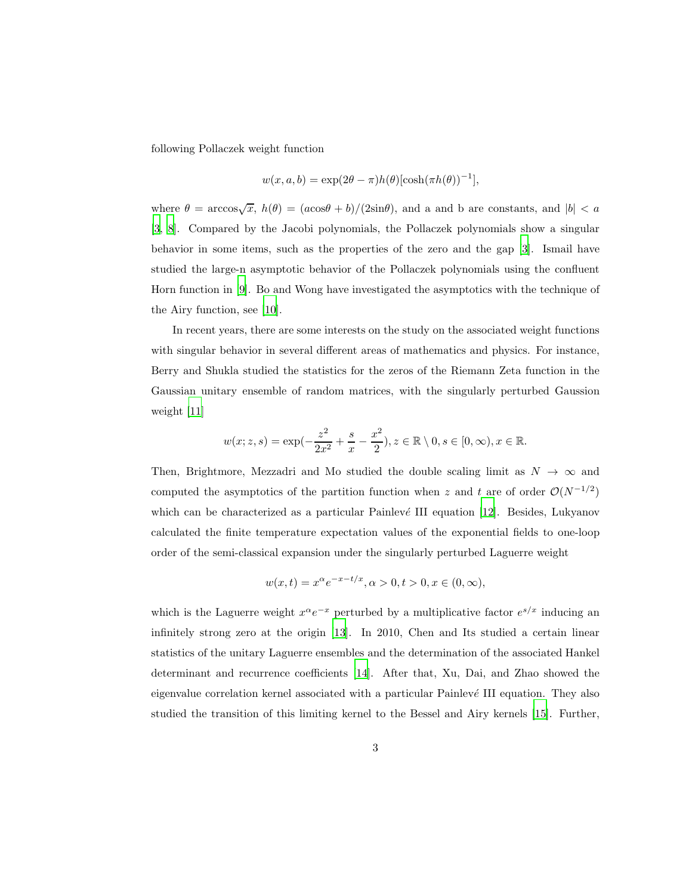following Pollaczek weight function

$$
w(x, a, b) = \exp(2\theta - \pi)h(\theta)[\cosh(\pi h(\theta))^{-1}],
$$

where  $\theta = \arccos\sqrt{x}$ ,  $h(\theta) = (a\cos\theta + b)/(2\sin\theta)$ , and a and b are constants, and  $|b| < a$ [\[3,](#page-44-2) [8\]](#page-45-4). Compared by the Jacobi polynomials, the Pollaczek polynomials show a singular behavior in some items, such as the properties of the zero and the gap [\[3](#page-44-2)]. Ismail have studied the large-n asymptotic behavior of the Pollaczek polynomials using the confluent Horn function in [\[9\]](#page-45-5). Bo and Wong have investigated the asymptotics with the technique of the Airy function, see [\[10](#page-45-6)].

In recent years, there are some interests on the study on the associated weight functions with singular behavior in several different areas of mathematics and physics. For instance, Berry and Shukla studied the statistics for the zeros of the Riemann Zeta function in the Gaussian unitary ensemble of random matrices, with the singularly perturbed Gaussion weight [\[11](#page-45-7)]

$$
w(x; z, s) = \exp(-\frac{z^2}{2x^2} + \frac{s}{x} - \frac{x^2}{2}), z \in \mathbb{R} \setminus 0, s \in [0, \infty), x \in \mathbb{R}.
$$

Then, Brightmore, Mezzadri and Mo studied the double scaling limit as  $N \to \infty$  and computed the asymptotics of the partition function when z and t are of order  $\mathcal{O}(N^{-1/2})$ which can be characterized as a particular Painlevé III equation  $[12]$ . Besides, Lukyanov calculated the finite temperature expectation values of the exponential fields to one-loop order of the semi-classical expansion under the singularly perturbed Laguerre weight

$$
w(x,t) = x^{\alpha} e^{-x-t/x}, \alpha > 0, t > 0, x \in (0, \infty),
$$

which is the Laguerre weight  $x^{\alpha}e^{-x}$  perturbed by a multiplicative factor  $e^{s/x}$  inducing an infinitely strong zero at the origin [\[13\]](#page-45-9). In 2010, Chen and Its studied a certain linear statistics of the unitary Laguerre ensembles and the determination of the associated Hankel determinant and recurrence coefficients [\[14](#page-45-10)]. After that, Xu, Dai, and Zhao showed the eigenvalue correlation kernel associated with a particular Painlevé III equation. They also studied the transition of this limiting kernel to the Bessel and Airy kernels [\[15](#page-46-0)]. Further,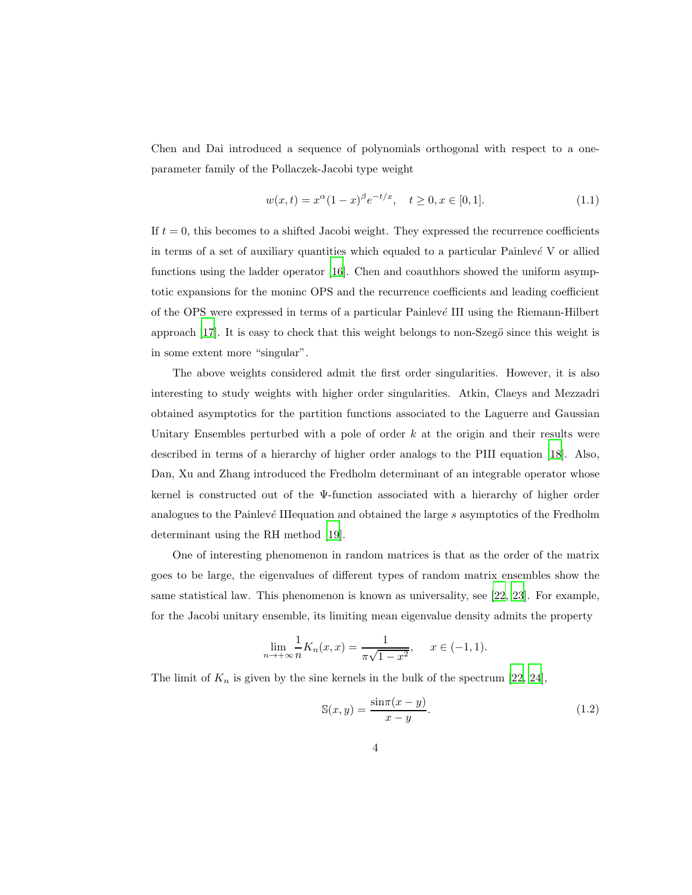Chen and Dai introduced a sequence of polynomials orthogonal with respect to a oneparameter family of the Pollaczek-Jacobi type weight

<span id="page-3-0"></span>
$$
w(x,t) = x^{\alpha}(1-x)^{\beta}e^{-t/x}, \quad t \ge 0, x \in [0,1].
$$
\n(1.1)

If  $t = 0$ , this becomes to a shifted Jacobi weight. They expressed the recurrence coefficients in terms of a set of auxiliary quantities which equaled to a particular Painlevé  $V$  or allied functions using the ladder operator [\[16\]](#page-46-1). Chen and coauthhors showed the uniform asymptotic expansions for the moninc OPS and the recurrence coefficients and leading coefficient of the OPS were expressed in terms of a particular  $\text{Painlev}(e)$  III using the Riemann-Hilbert approach  $[17]$ . It is easy to check that this weight belongs to non-Szeg $\ddot{o}$  since this weight is in some extent more "singular".

The above weights considered admit the first order singularities. However, it is also interesting to study weights with higher order singularities. Atkin, Claeys and Mezzadri obtained asymptotics for the partition functions associated to the Laguerre and Gaussian Unitary Ensembles perturbed with a pole of order  $k$  at the origin and their results were described in terms of a hierarchy of higher order analogs to the PIII equation [\[18\]](#page-46-3). Also, Dan, Xu and Zhang introduced the Fredholm determinant of an integrable operator whose kernel is constructed out of the Ψ-function associated with a hierarchy of higher order analogues to the Painlevé III equation and obtained the large  $s$  asymptotics of the Fredholm determinant using the RH method [\[19](#page-46-4)].

One of interesting phenomenon in random matrices is that as the order of the matrix goes to be large, the eigenvalues of different types of random matrix ensembles show the same statistical law. This phenomenon is known as universality, see [\[22](#page-46-5), [23\]](#page-46-6). For example, for the Jacobi unitary ensemble, its limiting mean eigenvalue density admits the property

$$
\lim_{n \to +\infty} \frac{1}{n} K_n(x, x) = \frac{1}{\pi \sqrt{1 - x^2}}, \quad x \in (-1, 1).
$$

The limit of  $K_n$  is given by the sine kernels in the bulk of the spectrum [\[22,](#page-46-5) [24\]](#page-46-7),

$$
\mathbb{S}(x,y) = \frac{\sin \pi (x-y)}{x-y}.\tag{1.2}
$$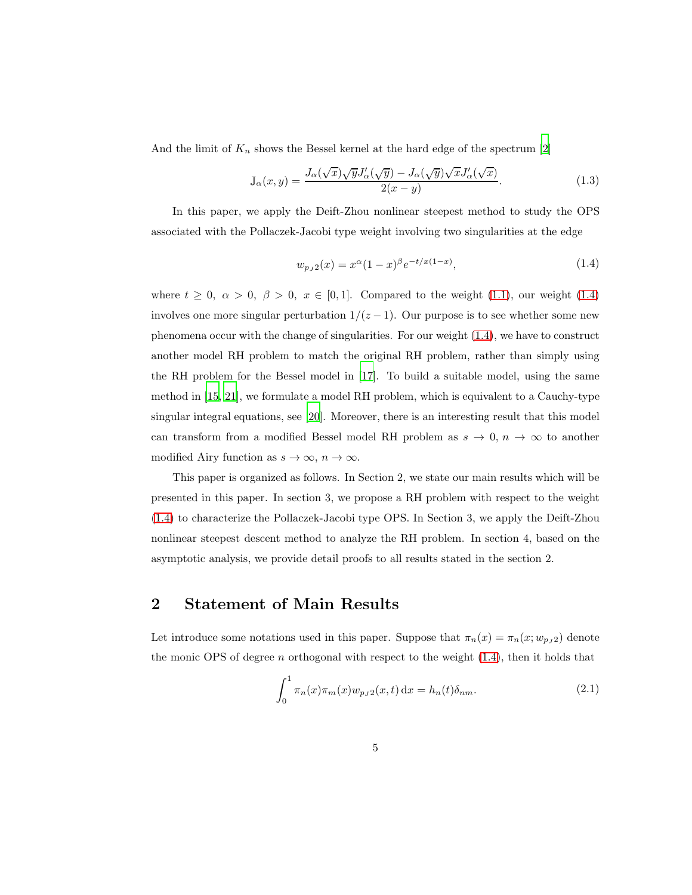And the limit of  $K_n$  shows the Bessel kernel at the hard edge of the spectrum [\[2](#page-44-1)]

$$
\mathbb{J}_{\alpha}(x,y) = \frac{J_{\alpha}(\sqrt{x})\sqrt{y}J'_{\alpha}(\sqrt{y}) - J_{\alpha}(\sqrt{y})\sqrt{x}J'_{\alpha}(\sqrt{x})}{2(x-y)}.
$$
\n(1.3)

In this paper, we apply the Deift-Zhou nonlinear steepest method to study the OPS associated with the Pollaczek-Jacobi type weight involving two singularities at the edge

<span id="page-4-0"></span>
$$
w_{p_J 2}(x) = x^{\alpha} (1-x)^{\beta} e^{-t/x(1-x)},
$$
\n(1.4)

where  $t \geq 0$ ,  $\alpha > 0$ ,  $\beta > 0$ ,  $x \in [0,1]$ . Compared to the weight [\(1.1\)](#page-3-0), our weight [\(1.4\)](#page-4-0) involves one more singular perturbation  $1/(z-1)$ . Our purpose is to see whether some new phenomena occur with the change of singularities. For our weight [\(1.4\)](#page-4-0), we have to construct another model RH problem to match the original RH problem, rather than simply using the RH problem for the Bessel model in [\[17](#page-46-2)]. To build a suitable model, using the same method in [\[15,](#page-46-0) [21](#page-46-8)], we formulate a model RH problem, which is equivalent to a Cauchy-type singular integral equations, see [\[20\]](#page-46-9). Moreover, there is an interesting result that this model can transform from a modified Bessel model RH problem as  $s \to 0$ ,  $n \to \infty$  to another modified Airy function as  $s \to \infty$ ,  $n \to \infty$ .

This paper is organized as follows. In Section 2, we state our main results which will be presented in this paper. In section 3, we propose a RH problem with respect to the weight [\(1.4\)](#page-4-0) to characterize the Pollaczek-Jacobi type OPS. In Section 3, we apply the Deift-Zhou nonlinear steepest descent method to analyze the RH problem. In section 4, based on the asymptotic analysis, we provide detail proofs to all results stated in the section 2.

# 2 Statement of Main Results

Let introduce some notations used in this paper. Suppose that  $\pi_n(x) = \pi_n(x; w_{pJ2})$  denote the monic OPS of degree n orthogonal with respect to the weight  $(1.4)$ , then it holds that

$$
\int_0^1 \pi_n(x)\pi_m(x)w_{p_J2}(x,t) \,dx = h_n(t)\delta_{nm}.
$$
\n(2.1)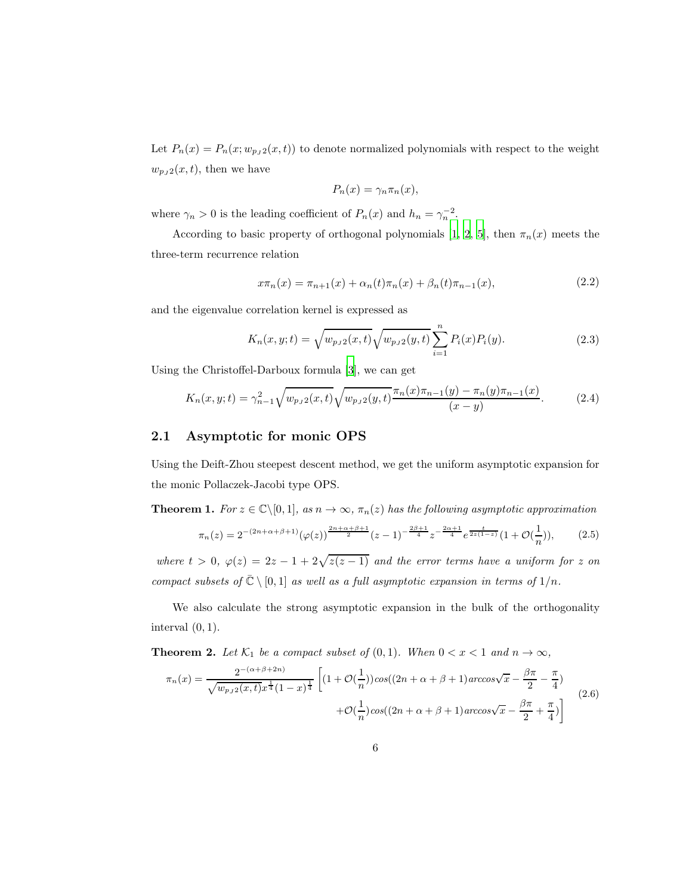Let  $P_n(x) = P_n(x; w_{pJ}(x, t))$  to denote normalized polynomials with respect to the weight  $w_{pJ2}(x, t)$ , then we have

$$
P_n(x) = \gamma_n \pi_n(x),
$$

where  $\gamma_n > 0$  is the leading coefficient of  $P_n(x)$  and  $h_n = \gamma_n^{-2}$ .

According to basic property of orthogonal polynomials [\[1,](#page-44-0) [2](#page-44-1), [5\]](#page-45-1), then  $\pi_n(x)$  meets the three-term recurrence relation

$$
x\pi_n(x) = \pi_{n+1}(x) + \alpha_n(t)\pi_n(x) + \beta_n(t)\pi_{n-1}(x),
$$
\n(2.2)

and the eigenvalue correlation kernel is expressed as

$$
K_n(x, y; t) = \sqrt{w_{p_J 2}(x, t)} \sqrt{w_{p_J 2}(y, t)} \sum_{i=1}^n P_i(x) P_i(y).
$$
 (2.3)

Using the Christoffel-Darboux formula [\[3](#page-44-2)], we can get

<span id="page-5-0"></span>
$$
K_n(x, y; t) = \gamma_{n-1}^2 \sqrt{w_{pJ2}(x, t)} \sqrt{w_{pJ2}(y, t)} \frac{\pi_n(x)\pi_{n-1}(y) - \pi_n(y)\pi_{n-1}(x)}{(x - y)}.
$$
 (2.4)

#### 2.1 Asymptotic for monic OPS

Using the Deift-Zhou steepest descent method, we get the uniform asymptotic expansion for the monic Pollaczek-Jacobi type OPS.

**Theorem 1.** For  $z \in \mathbb{C} \setminus [0, 1]$ , as  $n \to \infty$ ,  $\pi_n(z)$  has the following asymptotic approximation

$$
\pi_n(z) = 2^{-(2n+\alpha+\beta+1)} (\varphi(z))^{\frac{2n+\alpha+\beta+1}{2}} (z-1)^{-\frac{2\beta+1}{4}} z^{-\frac{2\alpha+1}{4}} e^{\frac{t}{2z(1-z)}} (1+\mathcal{O}(\frac{1}{n})),\tag{2.5}
$$

where  $t > 0$ ,  $\varphi(z) = 2z - 1 + 2\sqrt{z(z-1)}$  and the error terms have a uniform for z on compact subsets of  $\overline{\mathbb{C}} \setminus [0,1]$  as well as a full asymptotic expansion in terms of  $1/n$ .

We also calculate the strong asymptotic expansion in the bulk of the orthogonality interval  $(0, 1)$ .

**Theorem 2.** Let  $\mathcal{K}_1$  be a compact subset of  $(0,1)$ . When  $0 < x < 1$  and  $n \to \infty$ ,

$$
\pi_n(x) = \frac{2^{-(\alpha+\beta+2n)}}{\sqrt{w_{p_J 2}(x,t)x^{\frac{1}{4}}(1-x)^{\frac{1}{4}}}} \left[ (1+\mathcal{O}(\frac{1}{n}))\cos((2n+\alpha+\beta+1)\arccos\sqrt{x} - \frac{\beta\pi}{2} - \frac{\pi}{4}) + \mathcal{O}(\frac{1}{n})\cos((2n+\alpha+\beta+1)\arccos\sqrt{x} - \frac{\beta\pi}{2} + \frac{\pi}{4}) \right]
$$
(2.6)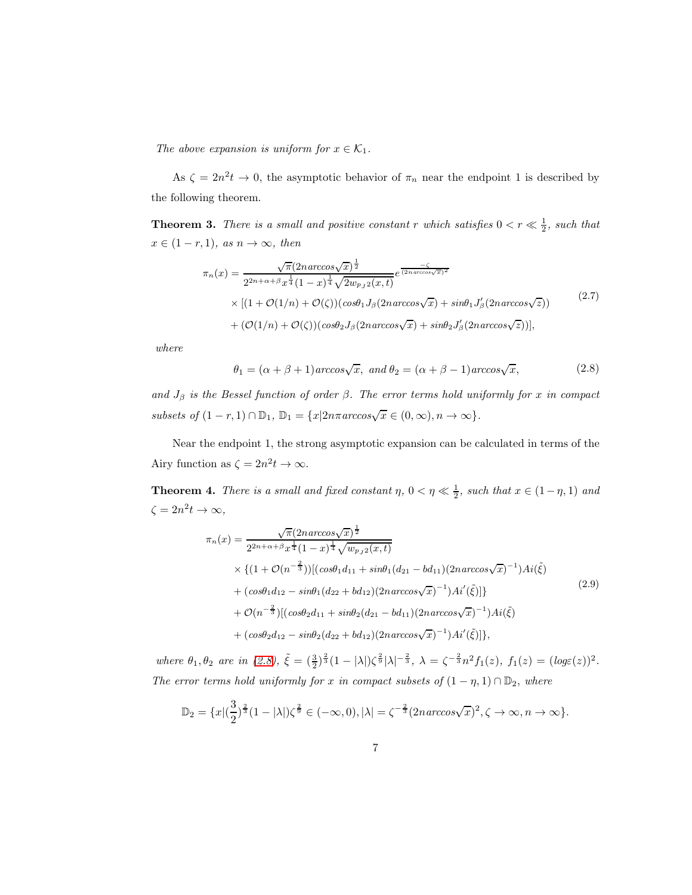The above expansion is uniform for  $x \in \mathcal{K}_1$ .

As  $\zeta = 2n^2t \to 0$ , the asymptotic behavior of  $\pi_n$  near the endpoint 1 is described by the following theorem.

**Theorem 3.** There is a small and positive constant r which satisfies  $0 < r \ll \frac{1}{2}$ , such that  $x \in (1 - r, 1), \text{ as } n \to \infty, \text{ then}$ 

$$
\pi_n(x) = \frac{\sqrt{\pi}(2n\arccos\sqrt{x})^{\frac{1}{2}}}{2^{2n+\alpha+\beta}x^{\frac{1}{4}}(1-x)^{\frac{1}{4}}\sqrt{2w_{p,j}(x,t)}}e^{\frac{-\zeta}{(2n\arccos\sqrt{x})^2}}\times\left[(1+\mathcal{O}(1/n)+\mathcal{O}(\zeta))(\cos\theta_1J_\beta(2n\arccos\sqrt{x})+\sin\theta_1J'_\beta(2n\arccos\sqrt{z}))\right] + (\mathcal{O}(1/n)+\mathcal{O}(\zeta))(\cos\theta_2J_\beta(2n\arccos\sqrt{x})+\sin\theta_2J'_\beta(2n\arccos\sqrt{z}))],
$$
\n(2.7)

where

<span id="page-6-0"></span>
$$
\theta_1 = (\alpha + \beta + 1) \arccos\sqrt{x}, \text{ and } \theta_2 = (\alpha + \beta - 1) \arccos\sqrt{x}, \tag{2.8}
$$

and  $J_\beta$  is the Bessel function of order  $\beta$ . The error terms hold uniformly for x in compact subsets of  $(1 - r, 1) \cap \mathbb{D}_1$ ,  $\mathbb{D}_1 = \{x | 2n\pi \arccos\sqrt{x} \in (0, \infty), n \to \infty\}.$ 

Near the endpoint 1, the strong asymptotic expansion can be calculated in terms of the Airy function as  $\zeta = 2n^2 t \to \infty$ .

**Theorem 4.** There is a small and fixed constant  $\eta$ ,  $0 < \eta \ll \frac{1}{2}$ , such that  $x \in (1 - \eta, 1)$  and  $\zeta = 2n^2 t \to \infty,$ 

$$
\pi_n(x) = \frac{\sqrt{\pi}(2n\arccos\sqrt{x})^{\frac{1}{2}}}{2^{2n+\alpha+\beta}x^{\frac{1}{4}}(1-x)^{\frac{1}{4}}\sqrt{w_{pJ2}(x,t)}} \times \{(1+\mathcal{O}(n^{-\frac{2}{3}}))[(\cos\theta_1 d_{11} + \sin\theta_1 (d_{21} - bd_{11})(2n\arccos\sqrt{x})^{-1})Ai(\tilde{\xi})\n+ (\cos\theta_1 d_{12} - \sin\theta_1 (d_{22} + bd_{12})(2n\arccos\sqrt{x})^{-1})Ai'(\tilde{\xi})]\n+ \mathcal{O}(n^{-\frac{2}{3}})[(\cos\theta_2 d_{11} + \sin\theta_2 (d_{21} - bd_{11})(2n\arccos\sqrt{x})^{-1})Ai(\tilde{\xi})\n+ (\cos\theta_2 d_{12} - \sin\theta_2 (d_{22} + bd_{12})(2n\arccos\sqrt{x})^{-1})Ai'(\tilde{\xi})]\},
$$
\n(2.9)

where  $\theta_1, \theta_2$  are in [\(2.8\)](#page-6-0),  $\tilde{\xi} = (\frac{3}{2})^{\frac{2}{3}} (1 - |\lambda|) \zeta^{\frac{2}{3}} |\lambda|^{-\frac{2}{3}}, \lambda = \zeta^{-\frac{2}{3}} n^2 f_1(z), f_1(z) = (log \varepsilon(z))^2$ . The error terms hold uniformly for x in compact subsets of  $(1 - \eta, 1) \cap \mathbb{D}_2$ , where

$$
\mathbb{D}_2 = \{x \mid (\frac{3}{2})^{\frac{2}{3}} (1 - |\lambda|) \zeta^{\frac{2}{9}} \in (-\infty, 0), |\lambda| = \zeta^{-\frac{2}{3}} (2n \arccos \sqrt{x})^2, \zeta \to \infty, n \to \infty\}.
$$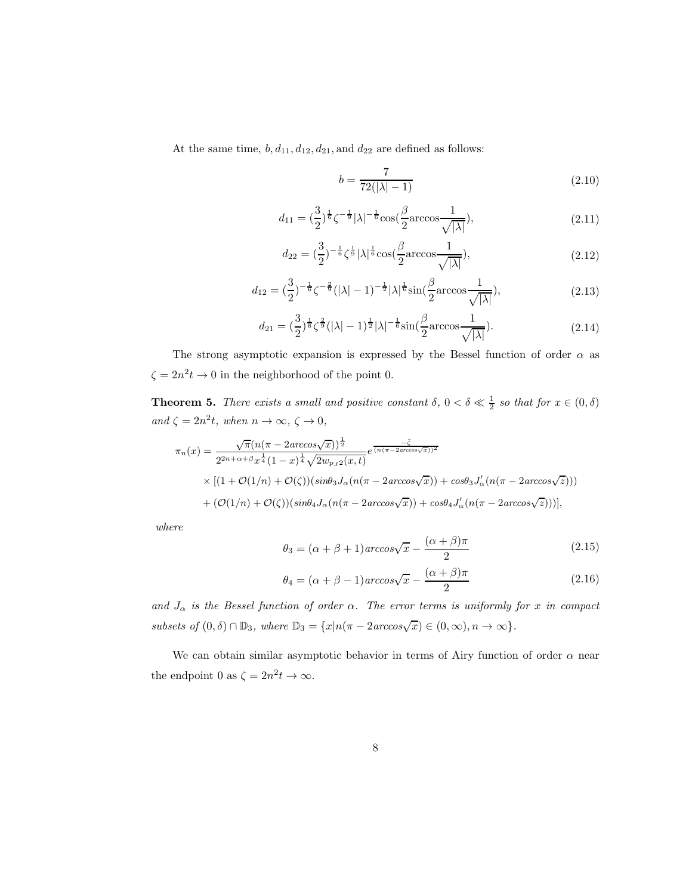At the same time,  $b, d_{11}, d_{12}, d_{21}$ , and  $d_{22}$  are defined as follows:

<span id="page-7-0"></span>
$$
b = \frac{7}{72(|\lambda| - 1)}\tag{2.10}
$$

<span id="page-7-3"></span>
$$
d_{11} = \left(\frac{3}{2}\right)^{\frac{1}{6}} \zeta^{-\frac{1}{9}} |\lambda|^{-\frac{1}{6}} \cos\left(\frac{\beta}{2} \arccos \frac{1}{\sqrt{|\lambda|}}\right),\tag{2.11}
$$

<span id="page-7-4"></span>
$$
d_{22} = \left(\frac{3}{2}\right)^{-\frac{1}{6}} \zeta^{\frac{1}{9}} |\lambda|^{\frac{1}{6}} \cos\left(\frac{\beta}{2} \arccos \frac{1}{\sqrt{|\lambda|}}\right),\tag{2.12}
$$

<span id="page-7-5"></span>
$$
d_{12} = \left(\frac{3}{2}\right)^{-\frac{1}{6}} \zeta^{-\frac{2}{9}} (|\lambda| - 1)^{-\frac{1}{2}} |\lambda|^{\frac{1}{6}} \sin(\frac{\beta}{2} \arccos \frac{1}{\sqrt{|\lambda|}}), \tag{2.13}
$$

<span id="page-7-6"></span>
$$
d_{21} = \left(\frac{3}{2}\right)^{\frac{1}{6}} \zeta^{\frac{2}{9}} (|\lambda| - 1)^{\frac{1}{2}} |\lambda|^{-\frac{1}{6}} \sin\left(\frac{\beta}{2} \arccos \frac{1}{\sqrt{|\lambda|}}\right). \tag{2.14}
$$

The strong asymptotic expansion is expressed by the Bessel function of order  $\alpha$  as  $\zeta = 2n^2 t \to 0$  in the neighborhood of the point 0.

**Theorem 5.** There exists a small and positive constant  $\delta$ ,  $0 < \delta \ll \frac{1}{2}$  so that for  $x \in (0, \delta)$ and  $\zeta = 2n^2t$ , when  $n \to \infty$ ,  $\zeta \to 0$ ,

$$
\pi_n(x) = \frac{\sqrt{\pi}(n(\pi - 2\arccos\sqrt{x}))^{\frac{1}{2}}}{2^{2n+\alpha+\beta}x^{\frac{1}{4}}(1-x)^{\frac{1}{4}}\sqrt{2w_{p,j}2(x,t)}}e^{\frac{-\zeta}{(n(\pi - 2\arccos\sqrt{x}))^2}}\times [(1+\mathcal{O}(1/n) + \mathcal{O}(\zeta))(sin\theta_3 J_\alpha(n(\pi - 2\arccos\sqrt{x})) + cos\theta_3 J'_\alpha(n(\pi - 2\arccos\sqrt{z})))+ (\mathcal{O}(1/n) + \mathcal{O}(\zeta))(sin\theta_4 J_\alpha(n(\pi - 2\arccos\sqrt{x})) + cos\theta_4 J'_\alpha(n(\pi - 2\arccos\sqrt{z})))],
$$

where

<span id="page-7-1"></span>
$$
\theta_3 = (\alpha + \beta + 1) \arccos\sqrt{x} - \frac{(\alpha + \beta)\pi}{2} \tag{2.15}
$$

<span id="page-7-2"></span>
$$
\theta_4 = (\alpha + \beta - 1) \arccos\sqrt{x} - \frac{(\alpha + \beta)\pi}{2} \tag{2.16}
$$

and  $J_{\alpha}$  is the Bessel function of order  $\alpha$ . The error terms is uniformly for x in compact subsets of  $(0, \delta) \cap \mathbb{D}_3$ , where  $\mathbb{D}_3 = \{x | n(\pi - 2\arccos\sqrt{x}) \in (0, \infty), n \to \infty\}.$ 

We can obtain similar asymptotic behavior in terms of Airy function of order  $\alpha$  near the endpoint 0 as  $\zeta = 2n^2 t \to \infty$ .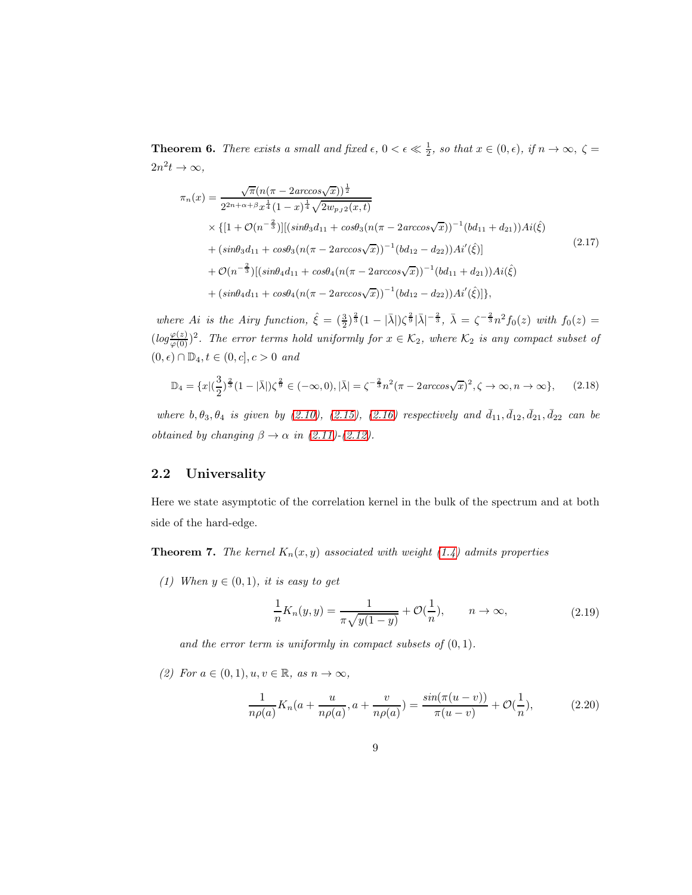**Theorem 6.** There exists a small and fixed  $\epsilon$ ,  $0 < \epsilon \ll \frac{1}{2}$ , so that  $x \in (0, \epsilon)$ , if  $n \to \infty$ ,  $\zeta =$  $2n^2t\to\infty,$ 

$$
\pi_n(x) = \frac{\sqrt{\pi}(n(\pi - 2\arccos\sqrt{x}))^{\frac{1}{2}}}{2^{2n + \alpha + \beta} x^{\frac{1}{4}} (1 - x)^{\frac{1}{4}} \sqrt{2w_{p,j2}(x, t)}} \times \{[1 + \mathcal{O}(n^{-\frac{2}{3}})][(\sin\theta_3 d_{11} + \cos\theta_3 (n(\pi - 2\arccos\sqrt{x}))^{-1} (bd_{11} + d_{21}))Ai(\hat{\xi}) + (\sin\theta_3 d_{11} + \cos\theta_3 (n(\pi - 2\arccos\sqrt{x}))^{-1} (bd_{12} - d_{22}))Ai'(\hat{\xi})] \times \mathcal{O}(n^{-\frac{2}{3}})[(\sin\theta_4 d_{11} + \cos\theta_4 (n(\pi - 2\arccos\sqrt{x}))^{-1} (bd_{11} + d_{21}))Ai(\hat{\xi}) + (\sin\theta_4 d_{11} + \cos\theta_4 (n(\pi - 2\arccos\sqrt{x}))^{-1} (bd_{12} - d_{22}))Ai'(\hat{\xi})]\},
$$
\n(2.17)

where Ai is the Airy function,  $\hat{\xi} = (\frac{3}{2})^{\frac{2}{3}}(1 - |\bar{\lambda}|)\zeta^{\frac{2}{9}}|\bar{\lambda}|^{-\frac{2}{3}}, \ \bar{\lambda} = \zeta^{-\frac{2}{3}}n^2f_0(z)$  with  $f_0(z) =$  $(log_{\varphi(0)}^{\varphi(z)})^2$ . The error terms hold uniformly for  $x \in \mathcal{K}_2$ , where  $\mathcal{K}_2$  is any compact subset of  $(0, \epsilon) \cap \mathbb{D}_4, t \in (0, c], c > 0$  and

<span id="page-8-0"></span>
$$
\mathbb{D}_4 = \{x \mid (\frac{3}{2})^{\frac{2}{3}} (1 - |\bar{\lambda}|) \zeta^{\frac{2}{9}} \in (-\infty, 0), |\bar{\lambda}| = \zeta^{-\frac{2}{3}} n^2 (\pi - 2 \arccos \sqrt{x})^2, \zeta \to \infty, n \to \infty \},
$$
 (2.18)

where  $b, \theta_3, \theta_4$  is given by [\(2.10\)](#page-7-0), [\(2.15\)](#page-7-1), [\(2.16\)](#page-7-2) respectively and  $\bar{d}_{11}, \bar{d}_{12}, \bar{d}_{21}, \bar{d}_{22}$  can be obtained by changing  $\beta \rightarrow \alpha$  in [\(2.11\)](#page-7-3)-[\(2.12\)](#page-7-4).

#### 2.2 Universality

Here we state asymptotic of the correlation kernel in the bulk of the spectrum and at both side of the hard-edge.

**Theorem 7.** The kernel  $K_n(x, y)$  associated with weight [\(1.4\)](#page-4-0) admits properties

(1) When  $y \in (0,1)$ , it is easy to get

$$
\frac{1}{n}K_n(y,y) = \frac{1}{\pi\sqrt{y(1-y)}} + \mathcal{O}(\frac{1}{n}), \qquad n \to \infty,
$$
\n(2.19)

and the error term is uniformly in compact subsets of  $(0, 1)$ .

(2) For  $a \in (0,1), u, v \in \mathbb{R}$ , as  $n \to \infty$ ,

$$
\frac{1}{n\rho(a)}K_n(a + \frac{u}{n\rho(a)}, a + \frac{v}{n\rho(a)}) = \frac{\sin(\pi(u - v))}{\pi(u - v)} + \mathcal{O}(\frac{1}{n}),\tag{2.20}
$$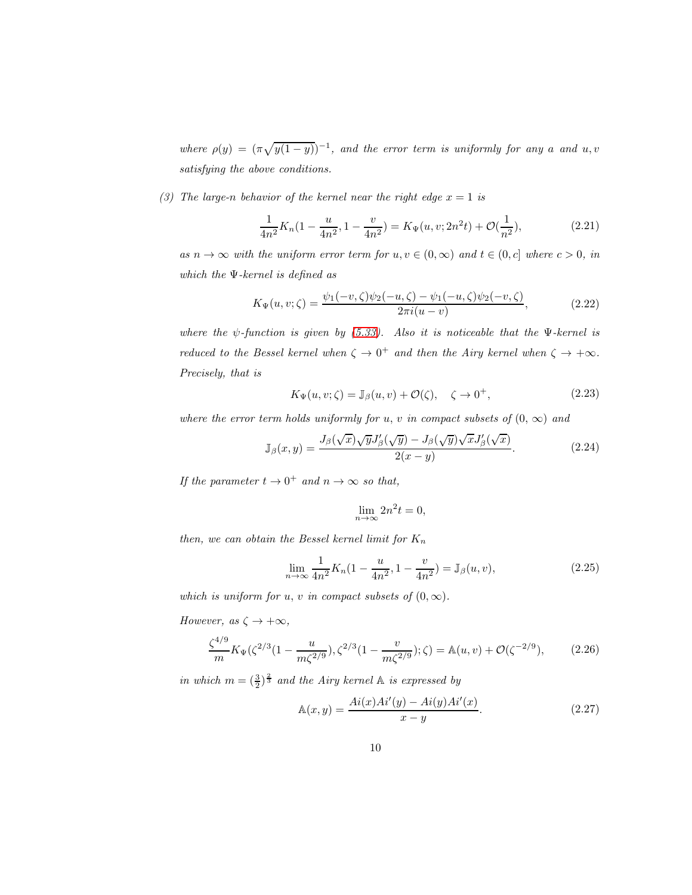where  $\rho(y) = (\pi \sqrt{y(1-y)})^{-1}$ , and the error term is uniformly for any a and u, v satisfying the above conditions.

(3) The large-n behavior of the kernel near the right edge  $x = 1$  is

$$
\frac{1}{4n^2}K_n(1-\frac{u}{4n^2}, 1-\frac{v}{4n^2}) = K_\Psi(u, v; 2n^2t) + \mathcal{O}(\frac{1}{n^2}),\tag{2.21}
$$

as  $n \to \infty$  with the uniform error term for  $u, v \in (0, \infty)$  and  $t \in (0, c]$  where  $c > 0$ , in which the Ψ-kernel is defined as

$$
K_{\Psi}(u,v;\zeta) = \frac{\psi_1(-v,\zeta)\psi_2(-u,\zeta) - \psi_1(-u,\zeta)\psi_2(-v,\zeta)}{2\pi i(u-v)},
$$
\n(2.22)

where the  $\psi$ -function is given by [\(5.33\)](#page-39-0). Also it is noticeable that the  $\Psi$ -kernel is reduced to the Bessel kernel when  $\zeta \to 0^+$  and then the Airy kernel when  $\zeta \to +\infty$ . Precisely, that is

$$
K_{\Psi}(u, v; \zeta) = \mathbb{J}_{\beta}(u, v) + \mathcal{O}(\zeta), \quad \zeta \to 0^+, \tag{2.23}
$$

where the error term holds uniformly for u, v in compact subsets of  $(0, \infty)$  and

$$
\mathbb{J}_{\beta}(x,y) = \frac{J_{\beta}(\sqrt{x})\sqrt{y}J_{\beta}'(\sqrt{y}) - J_{\beta}(\sqrt{y})\sqrt{x}J_{\beta}'(\sqrt{x})}{2(x-y)}.
$$
\n(2.24)

If the parameter  $t \to 0^+$  and  $n \to \infty$  so that,

$$
\lim_{n \to \infty} 2n^2 t = 0,
$$

then, we can obtain the Bessel kernel limit for  $K_n$ 

$$
\lim_{n \to \infty} \frac{1}{4n^2} K_n(1 - \frac{u}{4n^2}, 1 - \frac{v}{4n^2}) = \mathbb{J}_{\beta}(u, v), \tag{2.25}
$$

which is uniform for u, v in compact subsets of  $(0, \infty)$ .

However, as  $\zeta \to +\infty$ ,

<span id="page-9-0"></span>
$$
\frac{\zeta^{4/9}}{m} K_{\Psi}(\zeta^{2/3} (1 - \frac{u}{m\zeta^{2/9}}), \zeta^{2/3} (1 - \frac{v}{m\zeta^{2/9}}); \zeta) = \mathbb{A}(u, v) + \mathcal{O}(\zeta^{-2/9}),\tag{2.26}
$$

in which  $m = (\frac{3}{2})^{\frac{2}{3}}$  and the Airy kernel  $\mathbb A$  is expressed by

$$
\mathbb{A}(x,y) = \frac{Ai(x)Ai'(y) - Ai(y)Ai'(x)}{x - y}.
$$
\n(2.27)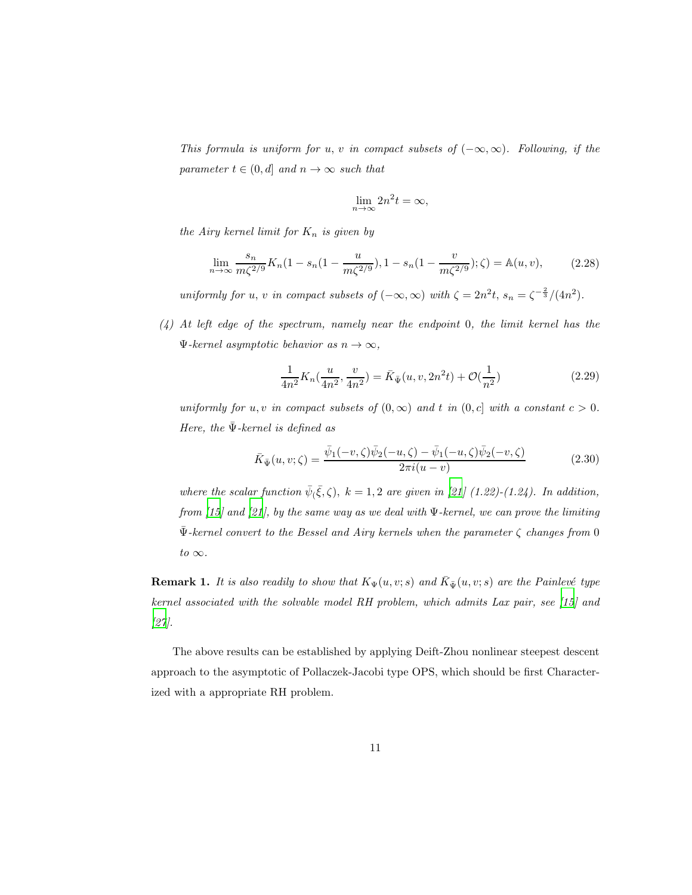This formula is uniform for u, v in compact subsets of  $(-\infty, \infty)$ . Following, if the parameter  $t \in (0, d]$  and  $n \to \infty$  such that

$$
\lim_{n \to \infty} 2n^2 t = \infty,
$$

the Airy kernel limit for  $K_n$  is given by

<span id="page-10-0"></span>
$$
\lim_{n \to \infty} \frac{s_n}{m\zeta^{2/9}} K_n(1 - s_n(1 - \frac{u}{m\zeta^{2/9}}), 1 - s_n(1 - \frac{v}{m\zeta^{2/9}}); \zeta) = \mathbb{A}(u, v), \tag{2.28}
$$

uniformly for u, v in compact subsets of  $(-\infty, \infty)$  with  $\zeta = 2n^2t$ ,  $s_n = \zeta^{-\frac{2}{3}}/(4n^2)$ .

(4) At left edge of the spectrum, namely near the endpoint 0, the limit kernel has the  $\Psi$ -kernel asymptotic behavior as  $n \to \infty$ ,

$$
\frac{1}{4n^2}K_n(\frac{u}{4n^2}, \frac{v}{4n^2}) = \bar{K}_{\bar{\Psi}}(u, v, 2n^2t) + \mathcal{O}(\frac{1}{n^2})
$$
\n(2.29)

uniformly for u, v in compact subsets of  $(0, \infty)$  and t in  $(0, c]$  with a constant  $c > 0$ . Here, the  $\bar{\Psi}$ -kernel is defined as

$$
\bar{K}_{\bar{\Psi}}(u,v;\zeta) = \frac{\bar{\psi}_1(-v,\zeta)\bar{\psi}_2(-u,\zeta) - \bar{\psi}_1(-u,\zeta)\bar{\psi}_2(-v,\zeta)}{2\pi i(u-v)}
$$
(2.30)

where the scalar function  $\bar{\psi}(\bar{\xi}, \zeta)$ ,  $k = 1, 2$  are given in [\[21](#page-46-8)] (1.22)-(1.24). In addition, from [\[15\]](#page-46-0) and [\[21](#page-46-8)], by the same way as we deal with  $\Psi$ -kernel, we can prove the limiting  $\bar{\Psi}$ -kernel convert to the Bessel and Airy kernels when the parameter  $\zeta$  changes from 0 to  $\infty$ .

**Remark 1.** It is also readily to show that  $K_{\Psi}(u, v; s)$  and  $\overline{K}_{\Psi}(u, v; s)$  are the Painlevé type kernel associated with the solvable model RH problem, which admits Lax pair, see [\[15\]](#page-46-0) and [\[27\]](#page-47-0).

The above results can be established by applying Deift-Zhou nonlinear steepest descent approach to the asymptotic of Pollaczek-Jacobi type OPS, which should be first Characterized with a appropriate RH problem.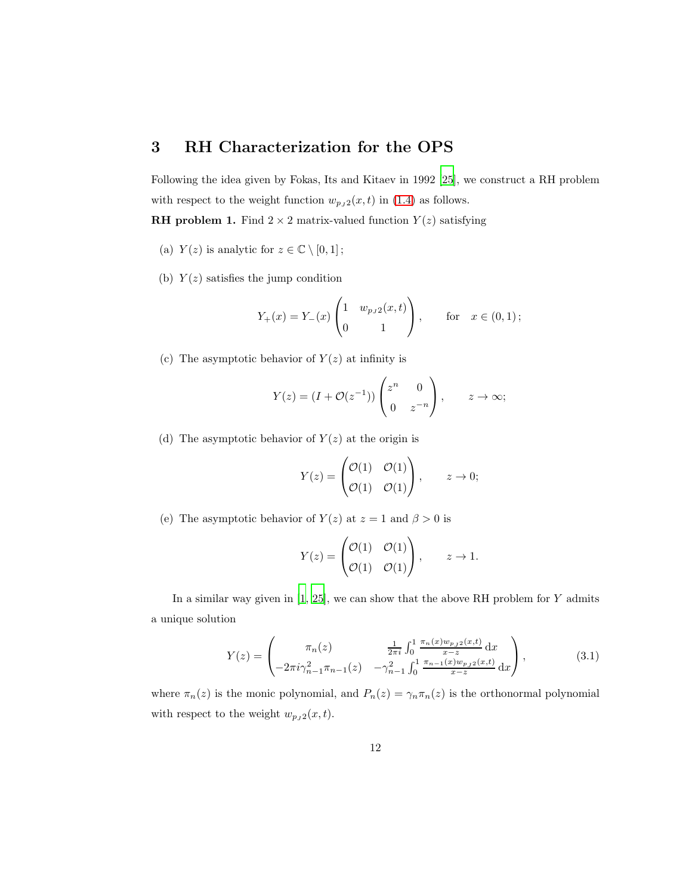# 3 RH Characterization for the OPS

Following the idea given by Fokas, Its and Kitaev in 1992 [\[25](#page-47-1)], we construct a RH problem with respect to the weight function  $w_{p_J 2}(x, t)$  in [\(1.4\)](#page-4-0) as follows.

**RH** problem 1. Find  $2 \times 2$  matrix-valued function  $Y(z)$  satisfying

- (a)  $Y(z)$  is analytic for  $z \in \mathbb{C} \setminus [0,1]$ ;
- (b)  $Y(z)$  satisfies the jump condition

$$
Y_{+}(x) = Y_{-}(x) \begin{pmatrix} 1 & w_{pJ2}(x,t) \\ 0 & 1 \end{pmatrix}
$$
, for  $x \in (0,1)$ ;

(c) The asymptotic behavior of  $Y(z)$  at infinity is

$$
Y(z) = (I + \mathcal{O}(z^{-1})) \begin{pmatrix} z^n & 0 \\ 0 & z^{-n} \end{pmatrix}, \qquad z \to \infty;
$$

(d) The asymptotic behavior of  $Y(z)$  at the origin is

$$
Y(z) = \begin{pmatrix} \mathcal{O}(1) & \mathcal{O}(1) \\ \mathcal{O}(1) & \mathcal{O}(1) \end{pmatrix}, \qquad z \to 0;
$$

(e) The asymptotic behavior of  $Y(z)$  at  $z = 1$  and  $\beta > 0$  is

$$
Y(z) = \begin{pmatrix} \mathcal{O}(1) & \mathcal{O}(1) \\ \mathcal{O}(1) & \mathcal{O}(1) \end{pmatrix}, \qquad z \to 1.
$$

In a similar way given in  $[1, 25]$  $[1, 25]$ , we can show that the above RH problem for Y admits a unique solution

$$
Y(z) = \begin{pmatrix} \pi_n(z) & \frac{1}{2\pi i} \int_0^1 \frac{\pi_n(x) w_{p,j2}(x,t)}{x-z} dx \\ -2\pi i \gamma_{n-1}^2 \pi_{n-1}(z) & -\gamma_{n-1}^2 \int_0^1 \frac{\pi_{n-1}(x) w_{p,j2}(x,t)}{x-z} dx \end{pmatrix},
$$
(3.1)

where  $\pi_n(z)$  is the monic polynomial, and  $P_n(z) = \gamma_n \pi_n(z)$  is the orthonormal polynomial with respect to the weight  $w_{p_J 2}(x, t)$ .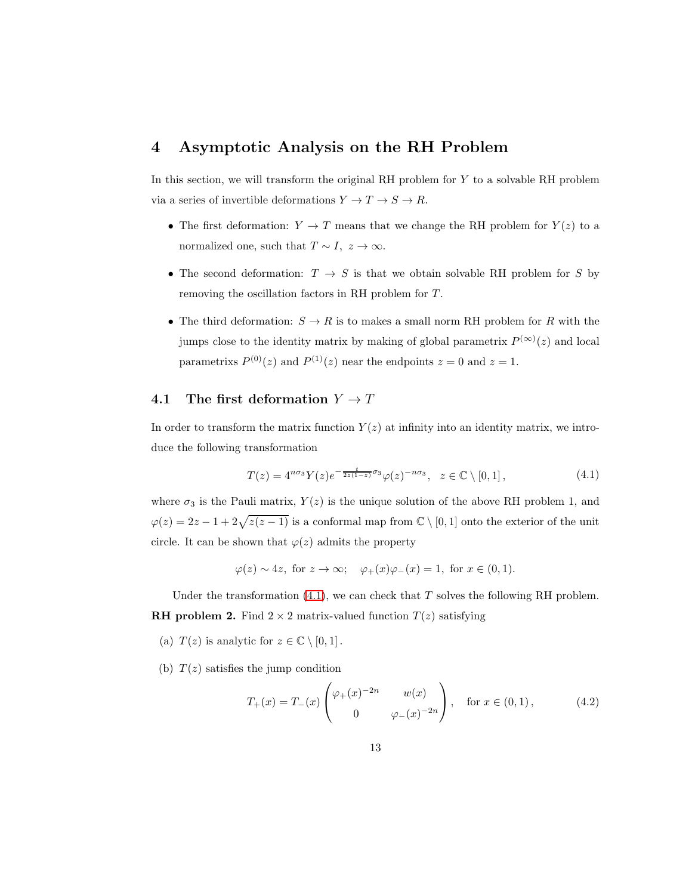## 4 Asymptotic Analysis on the RH Problem

In this section, we will transform the original RH problem for Y to a solvable RH problem via a series of invertible deformations  $Y\to T\to S\to R.$ 

- The first deformation:  $Y \to T$  means that we change the RH problem for  $Y(z)$  to a normalized one, such that  $T \sim I$ ,  $z \to \infty$ .
- The second deformation:  $T \rightarrow S$  is that we obtain solvable RH problem for S by removing the oscillation factors in RH problem for T .
- The third deformation:  $S \to R$  is to makes a small norm RH problem for R with the jumps close to the identity matrix by making of global parametrix  $P^{(\infty)}(z)$  and local parametrixs  $P^{(0)}(z)$  and  $P^{(1)}(z)$  near the endpoints  $z = 0$  and  $z = 1$ .

### 4.1 The first deformation  $Y \to T$

In order to transform the matrix function  $Y(z)$  at infinity into an identity matrix, we introduce the following transformation

<span id="page-12-0"></span>
$$
T(z) = 4^{n\sigma_3} Y(z) e^{-\frac{t}{2z(1-z)}\sigma_3} \varphi(z)^{-n\sigma_3}, \quad z \in \mathbb{C} \setminus [0,1],
$$
 (4.1)

where  $\sigma_3$  is the Pauli matrix,  $Y(z)$  is the unique solution of the above RH problem 1, and  $\varphi(z) = 2z - 1 + 2\sqrt{z(z-1)}$  is a conformal map from  $\mathbb{C} \setminus [0,1]$  onto the exterior of the unit circle. It can be shown that  $\varphi(z)$  admits the property

$$
\varphi(z) \sim 4z
$$
, for  $z \to \infty$ ;  $\varphi_+(x)\varphi_-(x) = 1$ , for  $x \in (0,1)$ .

Under the transformation  $(4.1)$ , we can check that T solves the following RH problem. **RH problem 2.** Find  $2 \times 2$  matrix-valued function  $T(z)$  satisfying

- (a)  $T(z)$  is analytic for  $z \in \mathbb{C} \setminus [0,1]$ .
- (b)  $T(z)$  satisfies the jump condition

<span id="page-12-1"></span>
$$
T_{+}(x) = T_{-}(x) \begin{pmatrix} \varphi_{+}(x)^{-2n} & w(x) \\ 0 & \varphi_{-}(x)^{-2n} \end{pmatrix}, \text{ for } x \in (0,1), \tag{4.2}
$$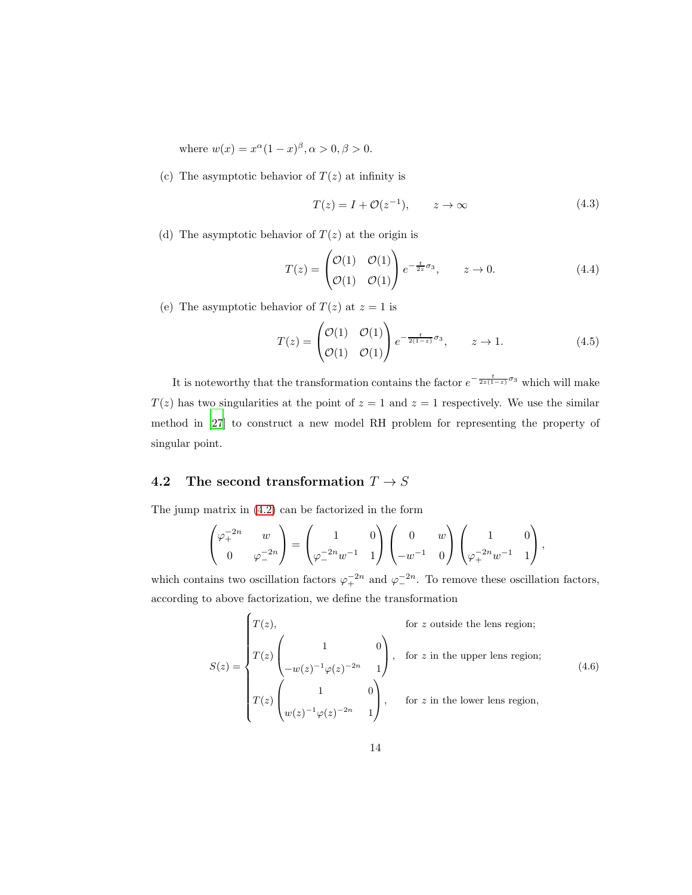where  $w(x) = x^{\alpha}(1-x)^{\beta}, \alpha > 0, \beta > 0.$ 

(c) The asymptotic behavior of  $T(z)$  at infinity is

$$
T(z) = I + \mathcal{O}(z^{-1}), \qquad z \to \infty \tag{4.3}
$$

(d) The asymptotic behavior of  $T(z)$  at the origin is

$$
T(z) = \begin{pmatrix} \mathcal{O}(1) & \mathcal{O}(1) \\ \mathcal{O}(1) & \mathcal{O}(1) \end{pmatrix} e^{-\frac{t}{2z}\sigma_3}, \qquad z \to 0.
$$
 (4.4)

(e) The asymptotic behavior of  $T(z)$  at  $z = 1$  is

$$
T(z) = \begin{pmatrix} \mathcal{O}(1) & \mathcal{O}(1) \\ \mathcal{O}(1) & \mathcal{O}(1) \end{pmatrix} e^{-\frac{t}{2(1-z)}\sigma_3}, \qquad z \to 1.
$$
 (4.5)

It is noteworthy that the transformation contains the factor  $e^{-\frac{t}{2z(1-z)}\sigma_3}$  which will make  $T(z)$  has two singularities at the point of  $z = 1$  and  $z = 1$  respectively. We use the similar method in [\[27\]](#page-47-0) to construct a new model RH problem for representing the property of singular point.

# 4.2 The second transformation  $T \rightarrow S$

The jump matrix in [\(4.2\)](#page-12-1) can be factorized in the form

$$
\begin{pmatrix} \varphi_+^{-2n} & w \\ 0 & \varphi_-^{-2n} \end{pmatrix} = \begin{pmatrix} 1 & 0 \\ \varphi_-^{-2n} w^{-1} & 1 \end{pmatrix} \begin{pmatrix} 0 & w \\ -w^{-1} & 0 \end{pmatrix} \begin{pmatrix} 1 & 0 \\ \varphi_+^{-2n} w^{-1} & 1 \end{pmatrix},
$$

which contains two oscillation factors  $\varphi_+^{-2n}$  and  $\varphi_-^{-2n}$ . To remove these oscillation factors, according to above factorization, we define the transformation

<span id="page-13-0"></span>
$$
S(z) = \begin{cases} T(z), & \text{for } z \text{ outside the lens region;} \\ T(z) \begin{pmatrix} 1 & 0 \\ -w(z)^{-1} \varphi(z)^{-2n} & 1 \end{pmatrix}, & \text{for } z \text{ in the upper lens region;} \\ T(z) \begin{pmatrix} 1 & 0 \\ w(z)^{-1} \varphi(z)^{-2n} & 1 \end{pmatrix}, & \text{for } z \text{ in the lower lens region,} \end{cases}
$$
(4.6)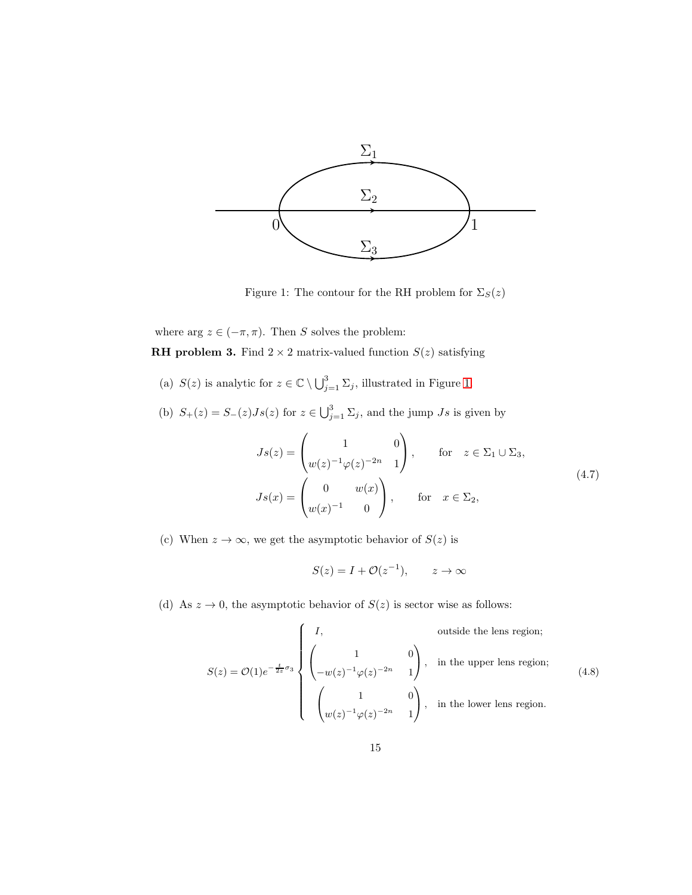<span id="page-14-0"></span>

Figure 1: The contour for the RH problem for  $\Sigma_S(z)$ 

where arg  $z\in(-\pi,\pi).$  Then  $S$  solves the problem:

**RH problem 3.** Find  $2 \times 2$  matrix-valued function  $S(z)$  satisfying

- (a)  $S(z)$  is analytic for  $z \in \mathbb{C} \setminus \bigcup_{j=1}^3 \Sigma_j$ , illustrated in Figure [1.](#page-14-0)
- (b)  $S_+(z) = S_-(z)Js(z)$  for  $z \in \bigcup_{j=1}^3 \Sigma_j$ , and the jump  $Js$  is given by

<span id="page-14-2"></span>
$$
Js(z) = \begin{pmatrix} 1 & 0 \ w(z)^{-1}\varphi(z)^{-2n} & 1 \end{pmatrix}, \quad \text{for } z \in \Sigma_1 \cup \Sigma_3,
$$
  

$$
Js(x) = \begin{pmatrix} 0 & w(x) \ w(x)^{-1} & 0 \end{pmatrix}, \quad \text{for } x \in \Sigma_2,
$$
 (4.7)

(c) When  $z \to \infty$ , we get the asymptotic behavior of  $S(z)$  is

$$
S(z) = I + \mathcal{O}(z^{-1}), \qquad z \to \infty
$$

(d) As  $z \to 0$ , the asymptotic behavior of  $S(z)$  is sector wise as follows:

<span id="page-14-1"></span>
$$
S(z) = \mathcal{O}(1)e^{-\frac{t}{2z}\sigma_3} \begin{cases} I, & \text{outside the lens region;} \\ \begin{pmatrix} 1 & 0 \\ -w(z)^{-1}\varphi(z)^{-2n} & 1 \end{pmatrix}, & \text{in the upper lens region;} \\ \begin{pmatrix} 1 & 0 \\ w(z)^{-1}\varphi(z)^{-2n} & 1 \end{pmatrix}, & \text{in the lower lens region.} \end{cases}
$$
(4.8)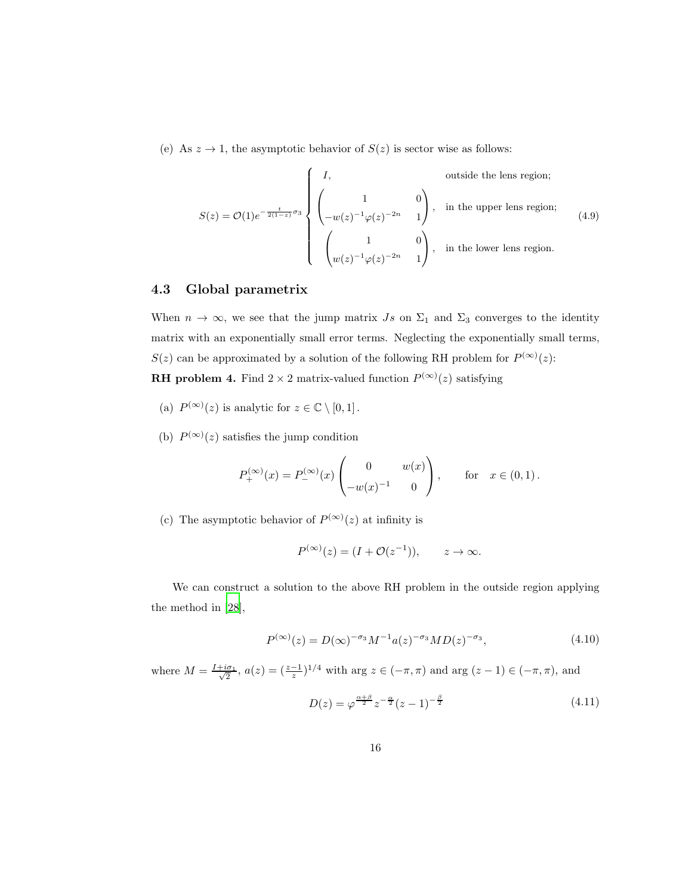(e) As  $z \to 1$ , the asymptotic behavior of  $S(z)$  is sector wise as follows:

<span id="page-15-0"></span>
$$
S(z) = \mathcal{O}(1)e^{-\frac{t}{2(1-z)}\sigma_3} \begin{cases} I, & \text{outside the lens region;} \\ \begin{pmatrix} 1 & 0 \\ -w(z)^{-1}\varphi(z)^{-2n} & 1 \end{pmatrix}, & \text{in the upper lens region;} \\ \begin{pmatrix} 1 & 0 \\ w(z)^{-1}\varphi(z)^{-2n} & 1 \end{pmatrix}, & \text{in the lower lens region.} \end{cases}
$$
(4.9)

#### 4.3 Global parametrix

When  $n \to \infty$ , we see that the jump matrix  $Js$  on  $\Sigma_1$  and  $\Sigma_3$  converges to the identity matrix with an exponentially small error terms. Neglecting the exponentially small terms,  $S(z)$  can be approximated by a solution of the following RH problem for  $P^{(\infty)}(z)$ : **RH** problem 4. Find  $2 \times 2$  matrix-valued function  $P^{(\infty)}(z)$  satisfying

- (a)  $P^{(\infty)}(z)$  is analytic for  $z \in \mathbb{C} \setminus [0,1]$ .
- (b)  $P^{(\infty)}(z)$  satisfies the jump condition

$$
P_+^{(\infty)}(x) = P_-^{(\infty)}(x) \begin{pmatrix} 0 & w(x) \\ -w(x)^{-1} & 0 \end{pmatrix}, \quad \text{for } x \in (0,1).
$$

(c) The asymptotic behavior of  $P^{(\infty)}(z)$  at infinity is

$$
P^{(\infty)}(z) = (I + \mathcal{O}(z^{-1})), \qquad z \to \infty.
$$

We can construct a solution to the above RH problem in the outside region applying the method in [\[28\]](#page-47-2),

<span id="page-15-1"></span>
$$
P^{(\infty)}(z) = D(\infty)^{-\sigma_3} M^{-1} a(z)^{-\sigma_3} M D(z)^{-\sigma_3}, \tag{4.10}
$$

where  $M = \frac{I + i\sigma_1}{\sqrt{2}}$  $\frac{a_{\sigma_1}}{2}$ ,  $a(z) = (\frac{z-1}{z})^{1/4}$  with arg  $z \in (-\pi, \pi)$  and arg  $(z-1) \in (-\pi, \pi)$ , and

<span id="page-15-2"></span>
$$
D(z) = \varphi^{\frac{\alpha+\beta}{2}} z^{-\frac{\alpha}{2}} (z-1)^{-\frac{\beta}{2}} \tag{4.11}
$$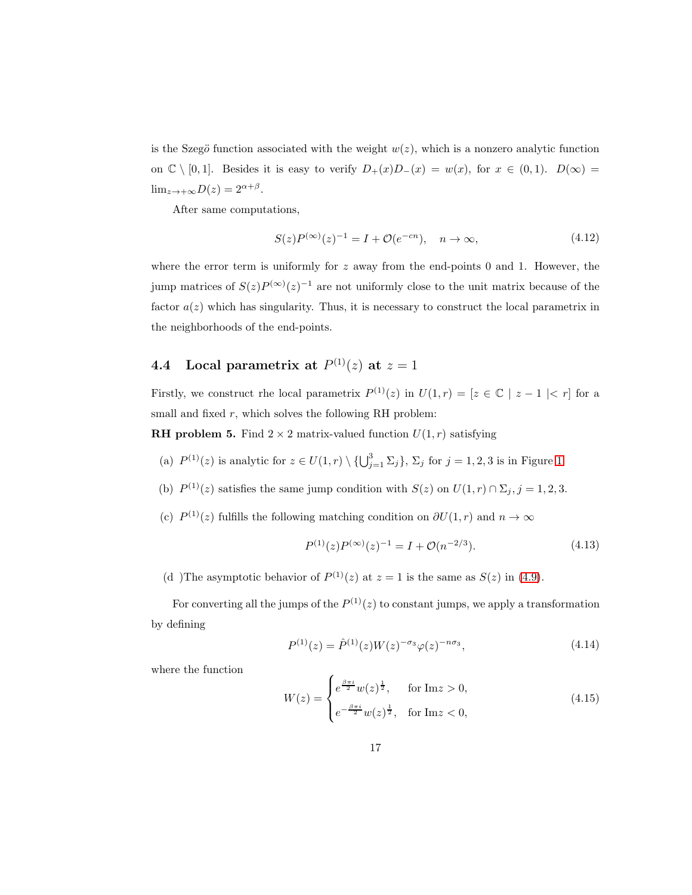is the Szegö function associated with the weight  $w(z)$ , which is a nonzero analytic function on  $\mathbb{C} \setminus [0,1]$ . Besides it is easy to verify  $D_+(x)D_-(x) = w(x)$ , for  $x \in (0,1)$ .  $D(\infty) =$  $\lim_{z \to +\infty} D(z) = 2^{\alpha + \beta}.$ 

After same computations,

<span id="page-16-1"></span>
$$
S(z)P^{(\infty)}(z)^{-1} = I + \mathcal{O}(e^{-cn}), \quad n \to \infty,
$$
\n(4.12)

where the error term is uniformly for  $z$  away from the end-points 0 and 1. However, the jump matrices of  $S(z)P^{(\infty)}(z)^{-1}$  are not uniformly close to the unit matrix because of the factor  $a(z)$  which has singularity. Thus, it is necessary to construct the local parametrix in the neighborhoods of the end-points.

## **4.4** Local parametrix at  $P^{(1)}(z)$  at  $z = 1$

Firstly, we construct rhe local parametrix  $P^{(1)}(z)$  in  $U(1,r) = [z \in \mathbb{C} \mid z-1 \mid < r]$  for a small and fixed  $r$ , which solves the following RH problem:

**RH problem 5.** Find  $2 \times 2$  matrix-valued function  $U(1,r)$  satisfying

- (a)  $P^{(1)}(z)$  is analytic for  $z \in U(1,r) \setminus \{ \bigcup_{j=1}^{3} \Sigma_j \}$ ,  $\Sigma_j$  for  $j = 1, 2, 3$  is in Figure [1.](#page-14-0)
- (b)  $P^{(1)}(z)$  satisfies the same jump condition with  $S(z)$  on  $U(1,r) \cap \Sigma_j, j = 1, 2, 3$ .
- (c)  $P^{(1)}(z)$  fulfills the following matching condition on  $\partial U(1,r)$  and  $n \to \infty$

<span id="page-16-2"></span>
$$
P^{(1)}(z)P^{(\infty)}(z)^{-1} = I + \mathcal{O}(n^{-2/3}).\tag{4.13}
$$

(d) The asymptotic behavior of  $P^{(1)}(z)$  at  $z = 1$  is the same as  $S(z)$  in [\(4.9\)](#page-15-0).

For converting all the jumps of the  $P^{(1)}(z)$  to constant jumps, we apply a transformation by defining

<span id="page-16-0"></span>
$$
P^{(1)}(z) = \hat{P}^{(1)}(z)W(z)^{-\sigma_3}\varphi(z)^{-n\sigma_3},\tag{4.14}
$$

where the function

<span id="page-16-3"></span>
$$
W(z) = \begin{cases} e^{\frac{\beta \pi i}{2}} w(z)^{\frac{1}{2}}, & \text{for } \text{Im} z > 0, \\ e^{-\frac{\beta \pi i}{2}} w(z)^{\frac{1}{2}}, & \text{for } \text{Im} z < 0, \end{cases}
$$
(4.15)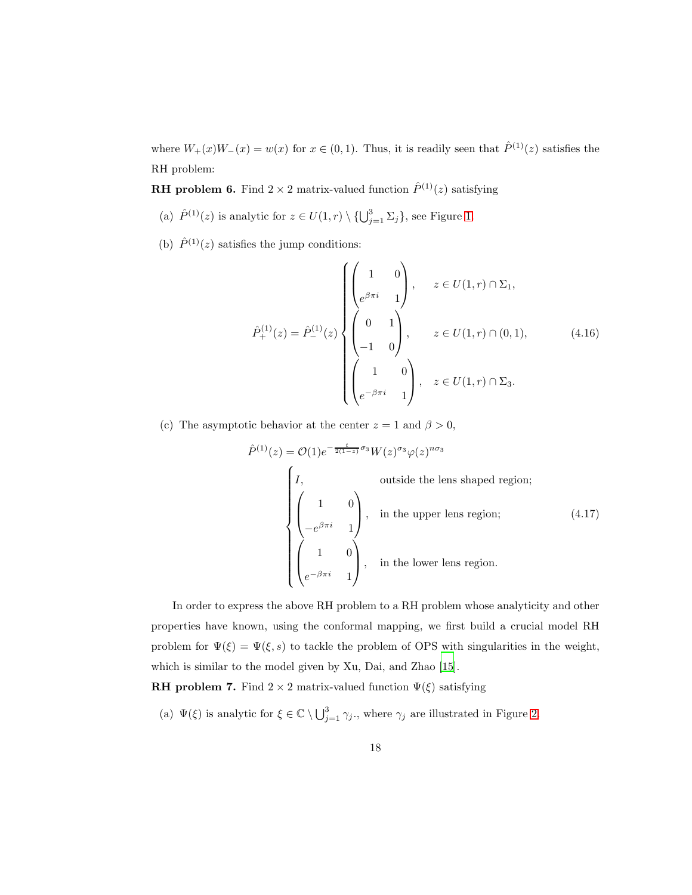where  $W_+(x)W_-(x) = w(x)$  for  $x \in (0,1)$ . Thus, it is readily seen that  $\hat{P}^{(1)}(z)$  satisfies the RH problem:

**RH problem 6.** Find  $2 \times 2$  matrix-valued function  $\hat{P}^{(1)}(z)$  satisfying

- (a)  $\hat{P}^{(1)}(z)$  is analytic for  $z \in U(1,r) \setminus \{ \bigcup_{j=1}^{3} \Sigma_j \}$ , see Figure [1.](#page-14-0)
- (b)  $\hat{P}^{(1)}(z)$  satisfies the jump conditions:

$$
\hat{P}_{+}^{(1)}(z) = \hat{P}_{-}^{(1)}(z) \begin{cases}\n\begin{pmatrix}\n1 & 0 \\
e^{\beta \pi i} & 1\n\end{pmatrix}, & z \in U(1, r) \cap \Sigma_{1}, \\
\begin{pmatrix}\n0 & 1 \\
-1 & 0\n\end{pmatrix}, & z \in U(1, r) \cap (0, 1), \\
\begin{pmatrix}\n1 & 0 \\
e^{-\beta \pi i} & 1\n\end{pmatrix}, & z \in U(1, r) \cap \Sigma_{3}.\n\end{cases}
$$
\n(4.16)

(c) The asymptotic behavior at the center  $z = 1$  and  $\beta > 0$ ,

$$
\hat{P}^{(1)}(z) = \mathcal{O}(1)e^{-\frac{t}{2(1-z)}\sigma_3}W(z)^{\sigma_3}\varphi(z)^{n\sigma_3}
$$
\n
$$
\begin{pmatrix}\nI, & \text{outside the lens shaped region;} \\
\begin{pmatrix}\n1 & 0 \\
-e^{\beta\pi i} & 1\n\end{pmatrix}, & \text{in the upper lens region;} \\
\begin{pmatrix}\n1 & 0 \\
e^{-\beta\pi i} & 1\n\end{pmatrix}, & \text{in the lower lens region.}\n\end{pmatrix}
$$
\n(4.17)

In order to express the above RH problem to a RH problem whose analyticity and other properties have known, using the conformal mapping, we first build a crucial model RH problem for  $\Psi(\xi) = \Psi(\xi, s)$  to tackle the problem of OPS with singularities in the weight, which is similar to the model given by Xu, Dai, and Zhao [\[15\]](#page-46-0).

**RH problem 7.** Find  $2 \times 2$  matrix-valued function  $\Psi(\xi)$  satisfying

(a)  $\Psi(\xi)$  is analytic for  $\xi \in \mathbb{C} \setminus \bigcup_{j=1}^3 \gamma_j$ , where  $\gamma_j$  are illustrated in Figure [2.](#page-18-0)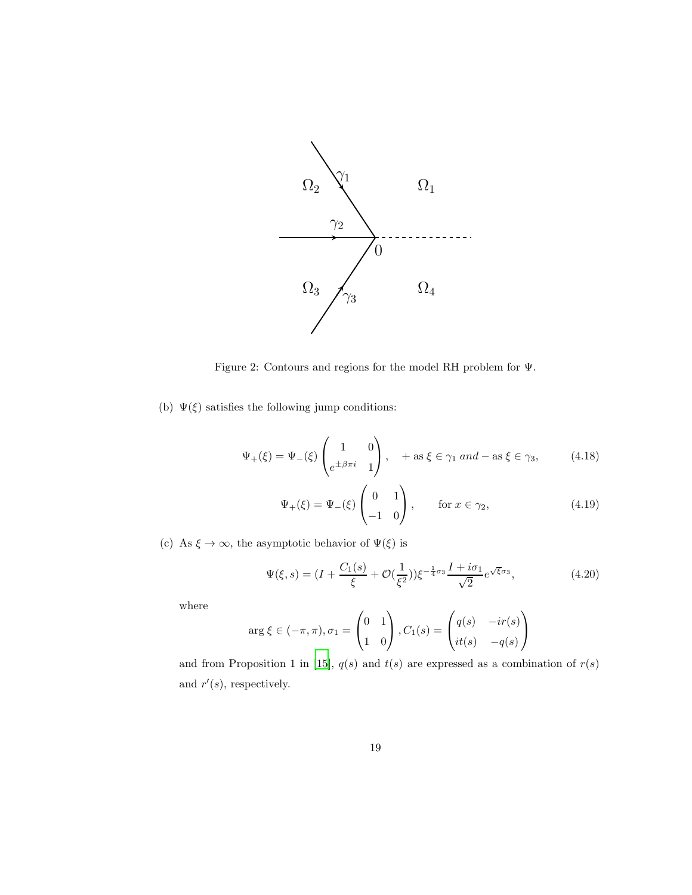<span id="page-18-0"></span>

Figure 2: Contours and regions for the model RH problem for Ψ.

(b)  $\Psi(\xi)$  satisfies the following jump conditions:

$$
\Psi_{+}(\xi) = \Psi_{-}(\xi) \begin{pmatrix} 1 & 0 \\ e^{\pm \beta \pi i} & 1 \end{pmatrix}, \quad + \text{ as } \xi \in \gamma_1 \text{ and } - \text{ as } \xi \in \gamma_3,
$$
 (4.18)

$$
\Psi_{+}(\xi) = \Psi_{-}(\xi) \begin{pmatrix} 0 & 1 \\ -1 & 0 \end{pmatrix}, \quad \text{for } x \in \gamma_{2}, \tag{4.19}
$$

(c) As  $\xi \to \infty$ , the asymptotic behavior of  $\Psi(\xi)$  is

$$
\Psi(\xi, s) = (I + \frac{C_1(s)}{\xi} + \mathcal{O}(\frac{1}{\xi^2}))\xi^{-\frac{1}{4}\sigma_3}\frac{I + i\sigma_1}{\sqrt{2}}e^{\sqrt{\xi}\sigma_3},\tag{4.20}
$$

where

$$
\arg \xi \in (-\pi, \pi), \sigma_1 = \begin{pmatrix} 0 & 1 \\ 1 & 0 \end{pmatrix}, C_1(s) = \begin{pmatrix} q(s) & -ir(s) \\ it(s) & -q(s) \end{pmatrix}
$$

and from Proposition 1 in [\[15](#page-46-0)],  $q(s)$  and  $t(s)$  are expressed as a combination of  $r(s)$ and  $r'(s)$ , respectively.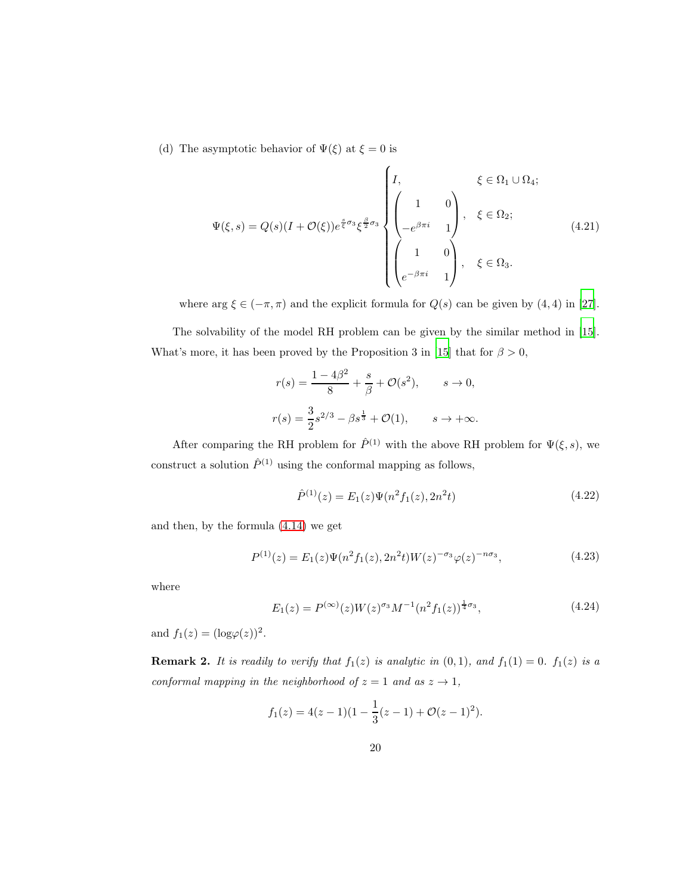(d) The asymptotic behavior of  $\Psi(\xi)$  at  $\xi=0$  is

$$
\Psi(\xi, s) = Q(s)(I + \mathcal{O}(\xi))e^{\frac{s}{\xi}\sigma_3}\xi^{\frac{\beta}{2}\sigma_3}\begin{cases}I, & \xi \in \Omega_1 \cup \Omega_4; \\ \begin{pmatrix} 1 & 0 \\ -e^{\beta \pi i} & 1 \end{pmatrix}, & \xi \in \Omega_2; \\ \begin{pmatrix} 1 & 0 \\ e^{-\beta \pi i} & 1 \end{pmatrix}, & \xi \in \Omega_3. \end{cases}
$$
(4.21)

where  $\arg \xi \in (-\pi, \pi)$  and the explicit formula for  $Q(s)$  can be given by  $(4, 4)$  in [\[27](#page-47-0)].

The solvability of the model RH problem can be given by the similar method in [\[15](#page-46-0)]. What's more, it has been proved by the Proposition 3 in [\[15](#page-46-0)] that for  $\beta > 0$ ,

$$
r(s) = \frac{1 - 4\beta^2}{8} + \frac{s}{\beta} + \mathcal{O}(s^2), \qquad s \to 0,
$$
  

$$
r(s) = \frac{3}{2}s^{2/3} - \beta s^{\frac{1}{3}} + \mathcal{O}(1), \qquad s \to +\infty.
$$

After comparing the RH problem for  $\hat{P}^{(1)}$  with the above RH problem for  $\Psi(\xi, s)$ , we construct a solution  $\hat{P}^{(1)}$  using the conformal mapping as follows,

$$
\hat{P}^{(1)}(z) = E_1(z)\Psi(n^2 f_1(z), 2n^2 t)
$$
\n(4.22)

and then, by the formula [\(4.14\)](#page-16-0) we get

<span id="page-19-0"></span>
$$
P^{(1)}(z) = E_1(z)\Psi(n^2 f_1(z), 2n^2 t)W(z)^{-\sigma_3}\varphi(z)^{-n\sigma_3},\tag{4.23}
$$

where

<span id="page-19-1"></span>
$$
E_1(z) = P^{(\infty)}(z)W(z)^{\sigma_3}M^{-1}(n^2f_1(z))^{\frac{1}{4}\sigma_3},\tag{4.24}
$$

and  $f_1(z) = (\log \varphi(z))^2$ .

**Remark 2.** It is readily to verify that  $f_1(z)$  is analytic in  $(0, 1)$ , and  $f_1(1) = 0$ .  $f_1(z)$  is a conformal mapping in the neighborhood of  $z = 1$  and as  $z \rightarrow 1$ ,

$$
f_1(z) = 4(z-1)(1 - \frac{1}{3}(z-1) + \mathcal{O}(z-1)^2).
$$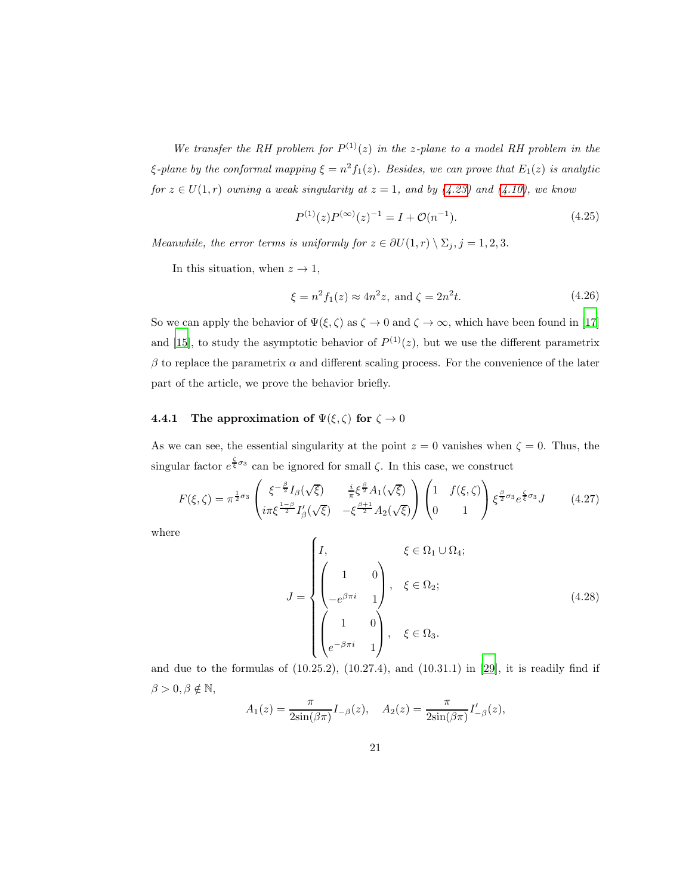We transfer the RH problem for  $P^{(1)}(z)$  in the z-plane to a model RH problem in the  $\xi$ -plane by the conformal mapping  $\xi = n^2 f_1(z)$ . Besides, we can prove that  $E_1(z)$  is analytic for  $z \in U(1,r)$  owning a weak singularity at  $z = 1$ , and by [\(4.23\)](#page-19-0) and [\(4.10\)](#page-15-1), we know

$$
P^{(1)}(z)P^{(\infty)}(z)^{-1} = I + \mathcal{O}(n^{-1}).
$$
\n(4.25)

Meanwhile, the error terms is uniformly for  $z \in \partial U(1,r) \setminus \Sigma_j, j = 1, 2, 3$ .

In this situation, when  $z \to 1$ ,

$$
\xi = n^2 f_1(z) \approx 4n^2 z
$$
, and  $\zeta = 2n^2 t$ . (4.26)

So we can apply the behavior of  $\Psi(\xi, \zeta)$  as  $\zeta \to 0$  and  $\zeta \to \infty$ , which have been found in [\[17\]](#page-46-2) and [\[15](#page-46-0)], to study the asymptotic behavior of  $P^{(1)}(z)$ , but we use the different parametrix  $\beta$  to replace the parametrix  $\alpha$  and different scaling process. For the convenience of the later part of the article, we prove the behavior briefly.

#### 4.4.1 The approximation of  $\Psi(\xi, \zeta)$  for  $\zeta \to 0$

As we can see, the essential singularity at the point  $z = 0$  vanishes when  $\zeta = 0$ . Thus, the singular factor  $e^{\frac{\zeta}{\xi}\sigma_3}$  can be ignored for small  $\zeta$ . In this case, we construct

<span id="page-20-0"></span>
$$
F(\xi,\zeta) = \pi^{\frac{1}{2}\sigma_3} \begin{pmatrix} \xi^{-\frac{\beta}{2}} I_{\beta}(\sqrt{\xi}) & \frac{i}{\pi} \xi^{\frac{\beta}{2}} A_1(\sqrt{\xi}) \\ i\pi \xi^{\frac{1-\beta}{2}} I'_{\beta}(\sqrt{\xi}) & -\xi^{\frac{\beta+1}{2}} A_2(\sqrt{\xi}) \end{pmatrix} \begin{pmatrix} 1 & f(\xi,\zeta) \\ 0 & 1 \end{pmatrix} \xi^{\frac{\beta}{2}\sigma_3} e^{\frac{\zeta}{\xi}\sigma_3} J \qquad (4.27)
$$

where

$$
J = \begin{cases} I, & \xi \in \Omega_1 \cup \Omega_4; \\ \begin{pmatrix} 1 & 0 \\ -e^{\beta \pi i} & 1 \end{pmatrix}, & \xi \in \Omega_2; \\ \begin{pmatrix} 1 & 0 \\ e^{-\beta \pi i} & 1 \end{pmatrix}, & \xi \in \Omega_3. \end{cases}
$$
(4.28)

and due to the formulas of  $(10.25.2)$ ,  $(10.27.4)$ , and  $(10.31.1)$  in [\[29\]](#page-47-3), it is readily find if  $\beta > 0, \beta \notin \mathbb{N},$ 

$$
A_1(z) = \frac{\pi}{2\sin(\beta\pi)} I_{-\beta}(z), \quad A_2(z) = \frac{\pi}{2\sin(\beta\pi)} I'_{-\beta}(z),
$$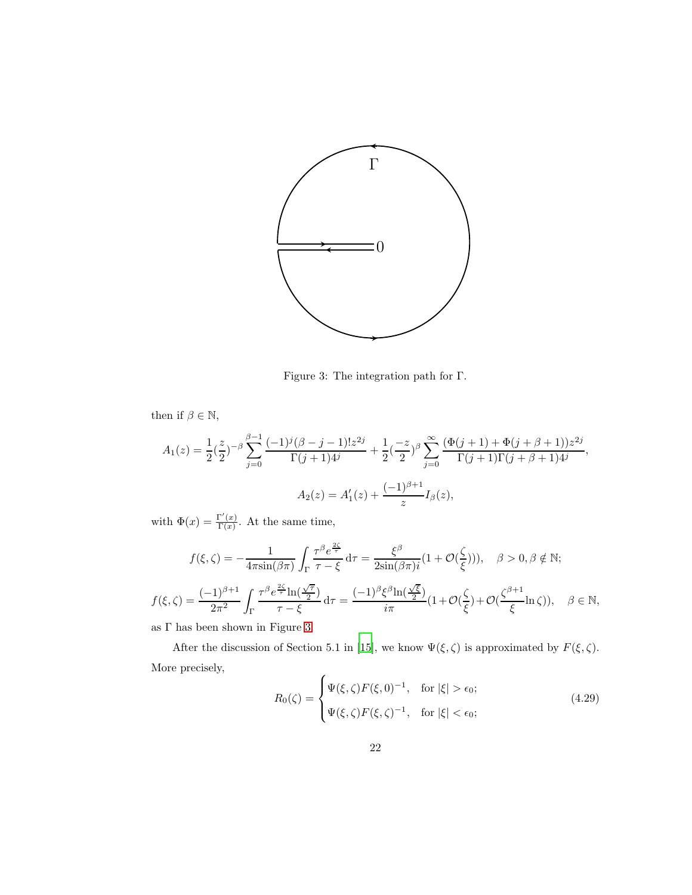<span id="page-21-0"></span>

Figure 3: The integration path for Γ.

then if  $\beta \in \mathbb{N},$ 

$$
A_1(z) = \frac{1}{2} \left(\frac{z}{2}\right)^{-\beta} \sum_{j=0}^{\beta-1} \frac{(-1)^j (\beta-j-1)! z^{2j}}{\Gamma(j+1)4^j} + \frac{1}{2} \left(\frac{-z}{2}\right)^{\beta} \sum_{j=0}^{\infty} \frac{(\Phi(j+1) + \Phi(j+\beta+1)) z^{2j}}{\Gamma(j+1) \Gamma(j+\beta+1)4^j},
$$
  

$$
A_2(z) = A'_1(z) + \frac{(-1)^{\beta+1}}{z} I_\beta(z),
$$

with  $\Phi(x) = \frac{\Gamma'(x)}{\Gamma(x)}$  $\frac{\Gamma(x)}{\Gamma(x)}$ . At the same time,

$$
f(\xi,\zeta) = -\frac{1}{4\pi \sin(\beta \pi)} \int_{\Gamma} \frac{\tau^{\beta} e^{\frac{2\zeta}{\tau}}}{\tau - \xi} d\tau = \frac{\xi^{\beta}}{2\sin(\beta \pi)i} (1 + \mathcal{O}(\frac{\zeta}{\xi}))), \quad \beta > 0, \beta \notin \mathbb{N};
$$
  

$$
f(\xi,\zeta) = \frac{(-1)^{\beta+1}}{2\pi^2} \int_{\Gamma} \frac{\tau^{\beta} e^{\frac{2\zeta}{\tau}} \ln(\frac{\sqrt{\tau}}{2})}{\tau - \xi} d\tau = \frac{(-1)^{\beta} \xi^{\beta} \ln(\frac{\sqrt{\xi}}{2})}{i\pi} (1 + \mathcal{O}(\frac{\zeta}{\xi}) + \mathcal{O}(\frac{\zeta^{\beta+1}}{\xi} \ln \zeta)), \quad \beta \in \mathbb{N},
$$

as  $\Gamma$  has been shown in Figure [3.](#page-21-0)

After the discussion of Section 5.1 in [\[15\]](#page-46-0), we know  $\Psi(\xi, \zeta)$  is approximated by  $F(\xi, \zeta)$ . More precisely,

<span id="page-21-1"></span>
$$
R_0(\zeta) = \begin{cases} \Psi(\xi,\zeta)F(\xi,0)^{-1}, & \text{for } |\xi| > \epsilon_0; \\ \Psi(\xi,\zeta)F(\xi,\zeta)^{-1}, & \text{for } |\xi| < \epsilon_0; \end{cases} \tag{4.29}
$$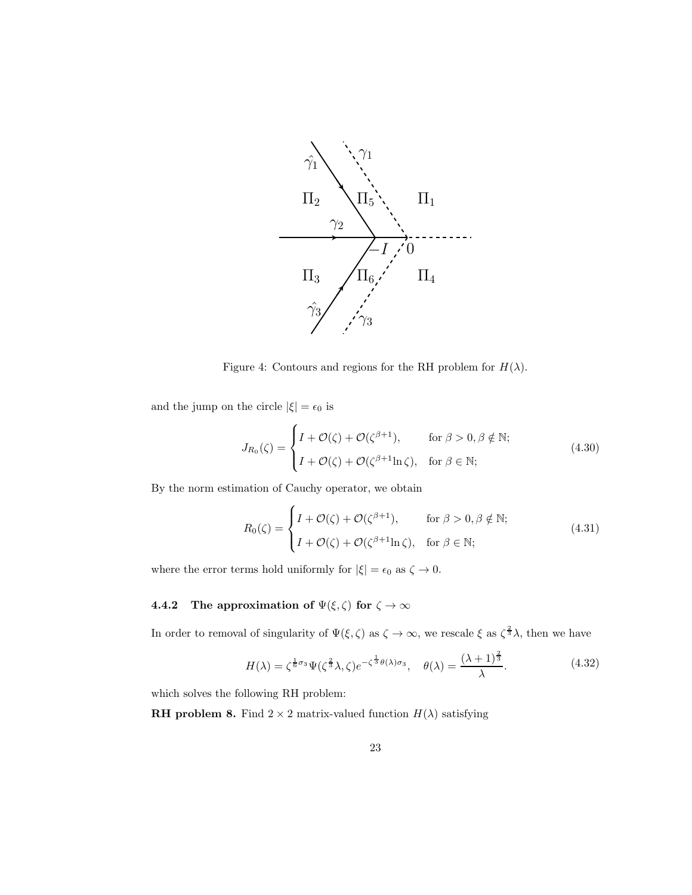<span id="page-22-0"></span>

Figure 4: Contours and regions for the RH problem for  $H(\lambda)$ .

and the jump on the circle  $|\xi|=\epsilon_0$  is

$$
J_{R_0}(\zeta) = \begin{cases} I + \mathcal{O}(\zeta) + \mathcal{O}(\zeta^{\beta+1}), & \text{for } \beta > 0, \beta \notin \mathbb{N}; \\ I + \mathcal{O}(\zeta) + \mathcal{O}(\zeta^{\beta+1}\ln \zeta), & \text{for } \beta \in \mathbb{N}; \end{cases}
$$
(4.30)

By the norm estimation of Cauchy operator, we obtain

$$
R_0(\zeta) = \begin{cases} I + \mathcal{O}(\zeta) + \mathcal{O}(\zeta^{\beta+1}), & \text{for } \beta > 0, \beta \notin \mathbb{N}; \\ I + \mathcal{O}(\zeta) + \mathcal{O}(\zeta^{\beta+1}\ln \zeta), & \text{for } \beta \in \mathbb{N}; \end{cases}
$$
(4.31)

where the error terms hold uniformly for  $|\xi|=\epsilon_0$  as  $\zeta\to 0.$ 

# **4.4.2** The approximation of  $\Psi(\xi, \zeta)$  for  $\zeta \to \infty$

In order to removal of singularity of  $\Psi(\xi,\zeta)$  as  $\zeta \to \infty$ , we rescale  $\xi$  as  $\zeta^{\frac{2}{3}}\lambda$ , then we have

<span id="page-22-1"></span>
$$
H(\lambda) = \zeta^{\frac{1}{6}\sigma_3} \Psi(\zeta^{\frac{2}{3}}\lambda, \zeta) e^{-\zeta^{\frac{1}{3}}\theta(\lambda)\sigma_3}, \quad \theta(\lambda) = \frac{(\lambda+1)^{\frac{2}{3}}}{\lambda}.
$$
 (4.32)

which solves the following RH problem:

**RH problem 8.** Find  $2 \times 2$  matrix-valued function  $H(\lambda)$  satisfying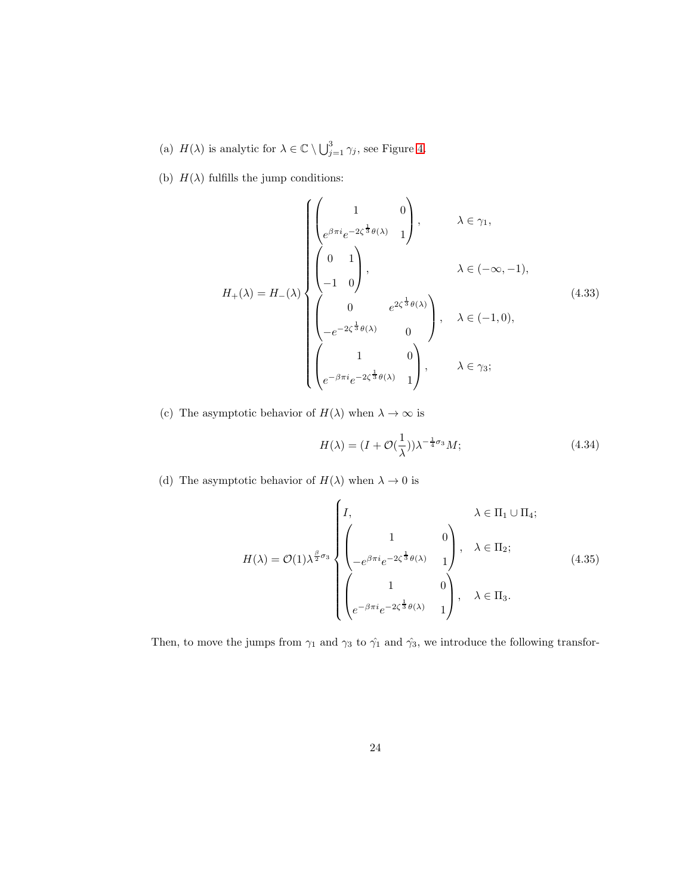- (a)  $H(\lambda)$  is analytic for  $\lambda \in \mathbb{C} \setminus \bigcup_{j=1}^3 \gamma_j$ , see Figure [4.](#page-22-0)
- (b)  $H(\lambda)$  fulfills the jump conditions:

$$
H_{+}(\lambda) = H_{-}(\lambda) \begin{cases} \begin{pmatrix} 1 & 0 \\ e^{\beta \pi i} e^{-2\zeta^{\frac{1}{3}}\theta(\lambda)} & 1 \end{pmatrix}, & \lambda \in \gamma_{1}, \\ \begin{pmatrix} 0 & 1 \\ -1 & 0 \end{pmatrix}, & \lambda \in (-\infty, -1), \\ \begin{pmatrix} 0 & e^{2\zeta^{\frac{1}{3}}\theta(\lambda)} \\ -e^{-2\zeta^{\frac{1}{3}}\theta(\lambda)} & 0 \end{pmatrix}, & \lambda \in (-1, 0), \\ \begin{pmatrix} 1 & 0 \\ e^{-\beta \pi i} e^{-2\zeta^{\frac{1}{3}}\theta(\lambda)} & 1 \end{pmatrix}, & \lambda \in \gamma_{3}; \end{cases}
$$
(4.33)

(c) The asymptotic behavior of  $H(\lambda)$  when  $\lambda \to \infty$  is

$$
H(\lambda) = (I + \mathcal{O}(\frac{1}{\lambda}))\lambda^{-\frac{1}{4}\sigma_3}M;\tag{4.34}
$$

(d) The asymptotic behavior of  $H(\lambda)$  when  $\lambda \to 0$  is

$$
H(\lambda) = \mathcal{O}(1)\lambda^{\frac{\beta}{2}\sigma_3} \begin{cases} I, & \lambda \in \Pi_1 \cup \Pi_4; \\ \begin{pmatrix} 1 & 0 \\ -e^{\beta \pi i} e^{-2\zeta^{\frac{1}{3}}\theta(\lambda)} & 1 \end{pmatrix}, & \lambda \in \Pi_2; \\ \begin{pmatrix} 1 & 0 \\ e^{-\beta \pi i} e^{-2\zeta^{\frac{1}{3}}\theta(\lambda)} & 1 \end{pmatrix}, & \lambda \in \Pi_3. \end{cases}
$$
(4.35)

Then, to move the jumps from  $\gamma_1$  and  $\gamma_3$  to  $\hat{\gamma_1}$  and  $\hat{\gamma_3}$ , we introduce the following transfor-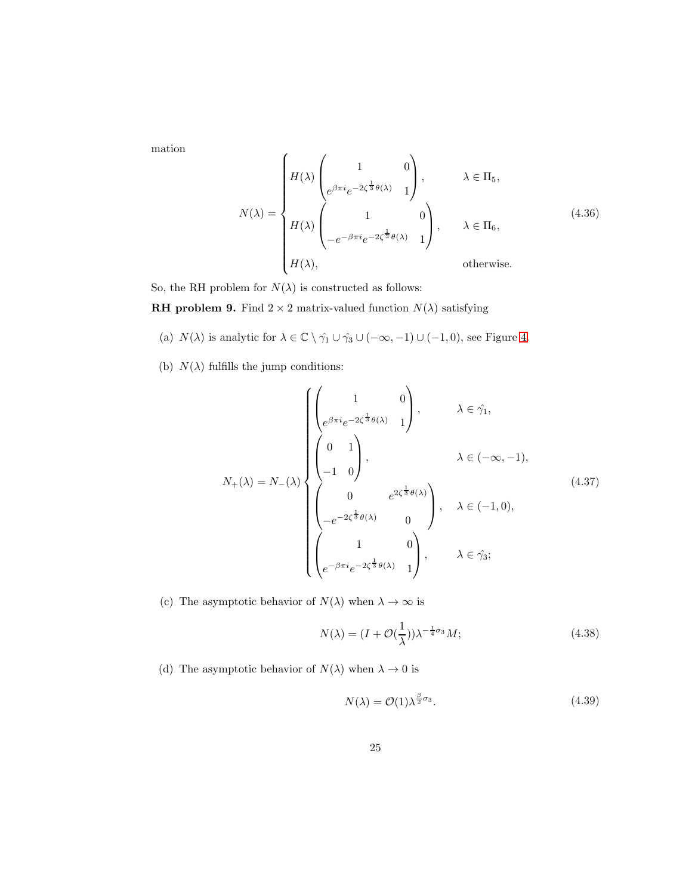mation

<span id="page-24-0"></span>
$$
N(\lambda) = \begin{cases} H(\lambda) \begin{pmatrix} 1 & 0 \\ e^{\beta \pi i} e^{-2\zeta^{\frac{1}{3}} \theta(\lambda)} & 1 \end{pmatrix}, & \lambda \in \Pi_5, \\ H(\lambda) \begin{pmatrix} 1 & 0 \\ -e^{-\beta \pi i} e^{-2\zeta^{\frac{1}{3}} \theta(\lambda)} & 1 \end{pmatrix}, & \lambda \in \Pi_6, \\ H(\lambda), & \text{otherwise.} \end{cases}
$$
(4.36)

So, the RH problem for  $N(\lambda)$  is constructed as follows:

**RH problem 9.** Find  $2 \times 2$  matrix-valued function  $N(\lambda)$  satisfying

- (a)  $N(\lambda)$  is analytic for  $\lambda \in \mathbb{C} \setminus \hat{\gamma_1} \cup \hat{\gamma_3} \cup (-\infty, -1) \cup (-1, 0)$ , see Figure [4.](#page-22-0)
- (b)  $N(\lambda)$  fulfills the jump conditions:

$$
N_{+}(\lambda) = N_{-}(\lambda) \begin{cases} \begin{pmatrix} 1 & 0 \\ e^{\beta \pi i} e^{-2\zeta^{\frac{1}{3}} \theta(\lambda)} & 1 \end{pmatrix}, & \lambda \in \hat{\gamma}_{1}, \\ \begin{pmatrix} 0 & 1 \\ -1 & 0 \end{pmatrix}, & \lambda \in (-\infty, -1), \\ \begin{pmatrix} 0 & e^{2\zeta^{\frac{1}{3}} \theta(\lambda)} \\ -e^{-2\zeta^{\frac{1}{3}} \theta(\lambda)} & 0 \\ e^{-\beta \pi i} e^{-2\zeta^{\frac{1}{3}} \theta(\lambda)} & 1 \end{pmatrix}, & \lambda \in \hat{\gamma}_{3}; \end{cases}
$$
(4.37)

(c) The asymptotic behavior of  $N(\lambda)$  when  $\lambda \to \infty$  is

$$
N(\lambda) = (I + \mathcal{O}(\frac{1}{\lambda}))\lambda^{-\frac{1}{4}\sigma_3}M;\tag{4.38}
$$

(d) The asymptotic behavior of  $N(\lambda)$  when  $\lambda \to 0$  is

$$
N(\lambda) = \mathcal{O}(1)\lambda^{\frac{\beta}{2}\sigma_3}.
$$
\n(4.39)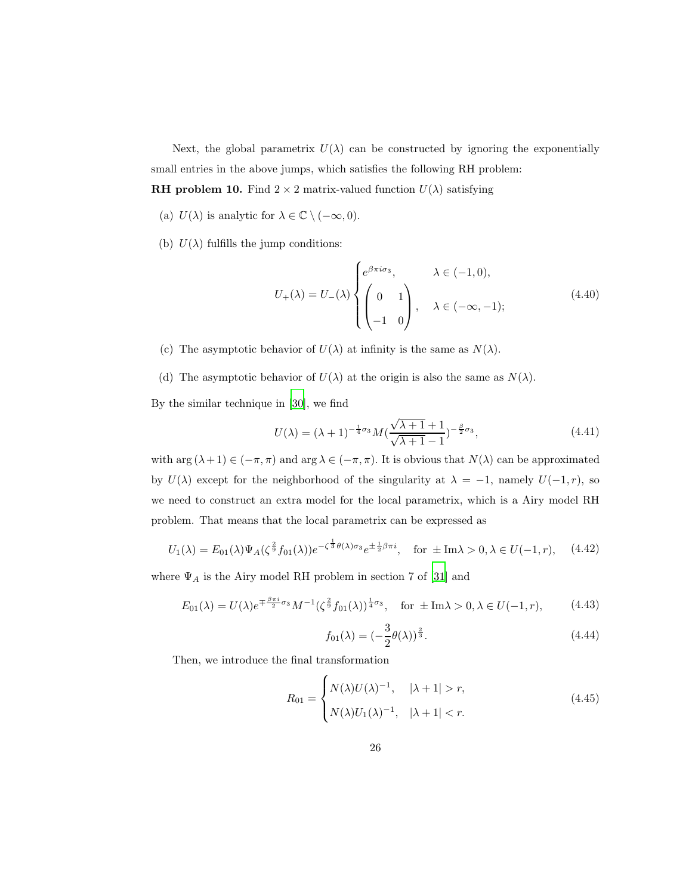Next, the global parametrix  $U(\lambda)$  can be constructed by ignoring the exponentially small entries in the above jumps, which satisfies the following RH problem: **RH problem 10.** Find  $2 \times 2$  matrix-valued function  $U(\lambda)$  satisfying

- (a)  $U(\lambda)$  is analytic for  $\lambda \in \mathbb{C} \setminus (-\infty, 0)$ .
- (b)  $U(\lambda)$  fulfills the jump conditions:

$$
U_{+}(\lambda) = U_{-}(\lambda) \begin{cases} e^{\beta \pi i \sigma_{3}}, & \lambda \in (-1,0), \\ \begin{pmatrix} 0 & 1 \\ -1 & 0 \end{pmatrix}, & \lambda \in (-\infty, -1); \end{cases}
$$
 (4.40)

- (c) The asymptotic behavior of  $U(\lambda)$  at infinity is the same as  $N(\lambda)$ .
- (d) The asymptotic behavior of  $U(\lambda)$  at the origin is also the same as  $N(\lambda)$ .

By the similar technique in [\[30\]](#page-47-4), we find

<span id="page-25-2"></span>
$$
U(\lambda) = (\lambda + 1)^{-\frac{1}{4}\sigma_3} M(\frac{\sqrt{\lambda + 1} + 1}{\sqrt{\lambda + 1} - 1})^{-\frac{\beta}{2}\sigma_3},
$$
\n(4.41)

with  $\arg (\lambda + 1) \in (-\pi, \pi)$  and  $\arg \lambda \in (-\pi, \pi)$ . It is obvious that  $N(\lambda)$  can be approximated by  $U(\lambda)$  except for the neighborhood of the singularity at  $\lambda = -1$ , namely  $U(-1,r)$ , so we need to construct an extra model for the local parametrix, which is a Airy model RH problem. That means that the local parametrix can be expressed as

<span id="page-25-0"></span>
$$
U_1(\lambda) = E_{01}(\lambda)\Psi_A(\zeta^{\frac{2}{9}}f_{01}(\lambda))e^{-\zeta^{\frac{1}{3}}\theta(\lambda)\sigma_3}e^{\pm\frac{1}{2}\beta\pi i}, \quad \text{for } \pm \text{Im}\lambda > 0, \lambda \in U(-1, r), \quad (4.42)
$$

where  $\Psi_A$  is the Airy model RH problem in section 7 of [\[31\]](#page-47-5) and

<span id="page-25-3"></span>
$$
E_{01}(\lambda) = U(\lambda)e^{\mp \frac{\beta \pi i}{2}\sigma_3}M^{-1}(\zeta^{\frac{2}{9}}f_{01}(\lambda))^{\frac{1}{4}\sigma_3}, \quad \text{for } \pm \text{Im}\lambda > 0, \lambda \in U(-1, r), \tag{4.43}
$$

$$
f_{01}(\lambda) = \left(-\frac{3}{2}\theta(\lambda)\right)^{\frac{2}{3}}.\tag{4.44}
$$

Then, we introduce the final transformation

<span id="page-25-1"></span>
$$
R_{01} = \begin{cases} N(\lambda)U(\lambda)^{-1}, & |\lambda + 1| > r, \\ N(\lambda)U_1(\lambda)^{-1}, & |\lambda + 1| < r. \end{cases} \tag{4.45}
$$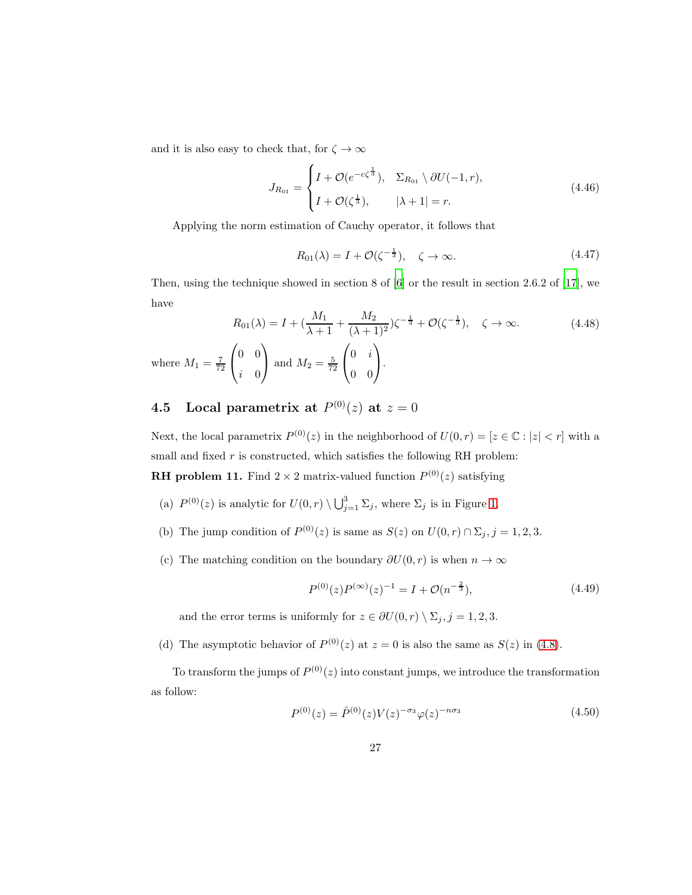and it is also easy to check that, for  $\zeta\to\infty$ 

$$
J_{R_{01}} = \begin{cases} I + \mathcal{O}(e^{-c\zeta^{\frac{1}{3}}}), & \Sigma_{R_{01}} \setminus \partial U(-1, r), \\ I + \mathcal{O}(\zeta^{\frac{1}{3}}), & |\lambda + 1| = r. \end{cases}
$$
(4.46)

Applying the norm estimation of Cauchy operator, it follows that

<span id="page-26-2"></span>
$$
R_{01}(\lambda) = I + \mathcal{O}(\zeta^{-\frac{1}{3}}), \quad \zeta \to \infty.
$$
 (4.47)

Then, using the technique showed in section 8 of [\[6\]](#page-45-2) or the result in section 2.6.2 of [\[17\]](#page-46-2), we have

<span id="page-26-3"></span>
$$
R_{01}(\lambda) = I + (\frac{M_1}{\lambda + 1} + \frac{M_2}{(\lambda + 1)^2})\zeta^{-\frac{1}{3}} + \mathcal{O}(\zeta^{-\frac{1}{3}}), \quad \zeta \to \infty.
$$
 (4.48)  
where  $M_1 = \frac{7}{72} \begin{pmatrix} 0 & 0 \\ i & 0 \end{pmatrix}$  and  $M_2 = \frac{5}{72} \begin{pmatrix} 0 & i \\ 0 & 0 \end{pmatrix}.$ 

## **4.5** Local parametrix at  $P^{(0)}(z)$  at  $z = 0$

Next, the local parametrix  $P^{(0)}(z)$  in the neighborhood of  $U(0,r) = [z \in \mathbb{C} : |z| < r]$  with a small and fixed  $r$  is constructed, which satisfies the following RH problem:

**RH** problem 11. Find  $2 \times 2$  matrix-valued function  $P^{(0)}(z)$  satisfying

- (a)  $P^{(0)}(z)$  is analytic for  $U(0, r) \setminus \bigcup_{j=1}^{3} \Sigma_j$ , where  $\Sigma_j$  is in Figure [1.](#page-14-0)
- (b) The jump condition of  $P^{(0)}(z)$  is same as  $S(z)$  on  $U(0, r) \cap \Sigma_j, j = 1, 2, 3$ .
- (c) The matching condition on the boundary  $\partial U(0, r)$  is when  $n \to \infty$

<span id="page-26-1"></span>
$$
P^{(0)}(z)P^{(\infty)}(z)^{-1} = I + \mathcal{O}(n^{-\frac{2}{3}}),\tag{4.49}
$$

and the error terms is uniformly for  $z \in \partial U(0, r) \setminus \Sigma_j, j = 1, 2, 3$ .

(d) The asymptotic behavior of  $P^{(0)}(z)$  at  $z = 0$  is also the same as  $S(z)$  in [\(4.8\)](#page-14-1).

To transform the jumps of  $P^{(0)}(z)$  into constant jumps, we introduce the transformation as follow:

<span id="page-26-0"></span>
$$
P^{(0)}(z) = \hat{P}^{(0)}(z)V(z)^{-\sigma_3} \varphi(z)^{-n\sigma_3}
$$
\n(4.50)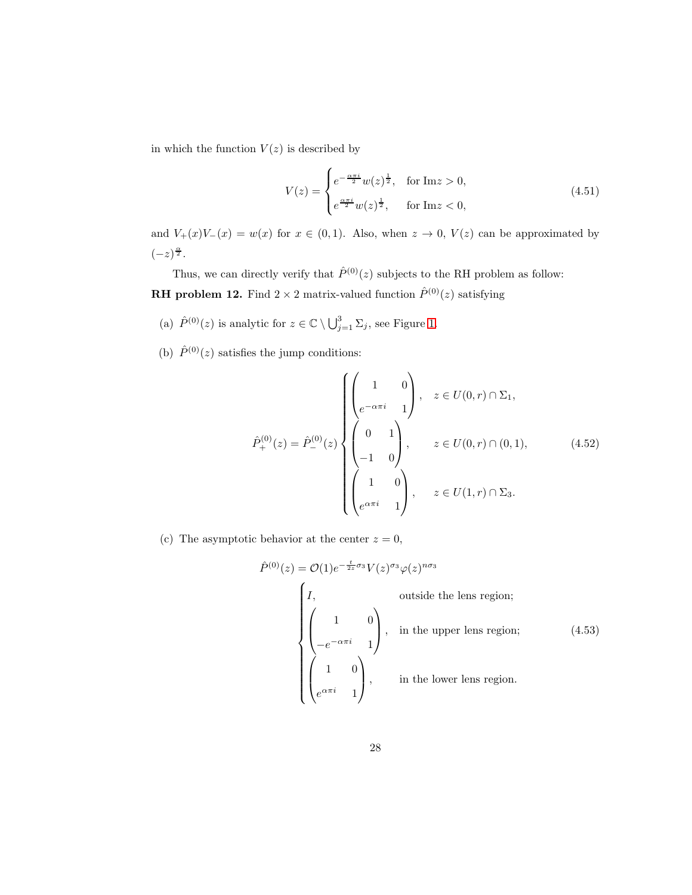in which the function  $V(z)$  is described by

<span id="page-27-0"></span>
$$
V(z) = \begin{cases} e^{-\frac{\alpha \pi i}{2}} w(z)^{\frac{1}{2}}, & \text{for } \text{Im} z > 0, \\ e^{\frac{\alpha \pi i}{2}} w(z)^{\frac{1}{2}}, & \text{for } \text{Im} z < 0, \end{cases}
$$
(4.51)

and  $V_{+}(x)V_{-}(x) = w(x)$  for  $x \in (0,1)$ . Also, when  $z \to 0$ ,  $V(z)$  can be approximated by  $(-z)^{\frac{\alpha}{2}}$ .

Thus, we can directly verify that  $\hat{P}^{(0)}(z)$  subjects to the RH problem as follow: **RH problem 12.** Find  $2 \times 2$  matrix-valued function  $\hat{P}^{(0)}(z)$  satisfying

- (a)  $\hat{P}^{(0)}(z)$  is analytic for  $z \in \mathbb{C} \setminus \bigcup_{j=1}^{3} \Sigma_j$ , see Figure [1.](#page-14-0)
- (b)  $\hat{P}^{(0)}(z)$  satisfies the jump conditions:

$$
\hat{P}_{+}^{(0)}(z) = \hat{P}_{-}^{(0)}(z) \begin{cases}\n\begin{pmatrix}\n1 & 0 \\
e^{-\alpha \pi i} & 1\n\end{pmatrix}, & z \in U(0, r) \cap \Sigma_{1}, \\
\begin{pmatrix}\n0 & 1 \\
-1 & 0\n\end{pmatrix}, & z \in U(0, r) \cap (0, 1), \\
\begin{pmatrix}\n1 & 0 \\
e^{\alpha \pi i} & 1\n\end{pmatrix}, & z \in U(1, r) \cap \Sigma_{3}.\n\end{cases}
$$
\n(4.52)

(c) The asymptotic behavior at the center  $z = 0$ ,

$$
\hat{P}^{(0)}(z) = \mathcal{O}(1)e^{-\frac{t}{2z}\sigma_3}V(z)^{\sigma_3}\varphi(z)^{n\sigma_3}
$$
\n
$$
\begin{pmatrix}\nI, & \text{outside the lens region;} \\
\begin{pmatrix}\n1 & 0 \\
-e^{-\alpha\pi i} & 1\n\end{pmatrix}, & \text{in the upper lens region;} \\
\begin{pmatrix}\n1 & 0 \\
e^{\alpha\pi i} & 1\n\end{pmatrix}, & \text{in the lower lens region.}\n\end{pmatrix}
$$
\n(4.53)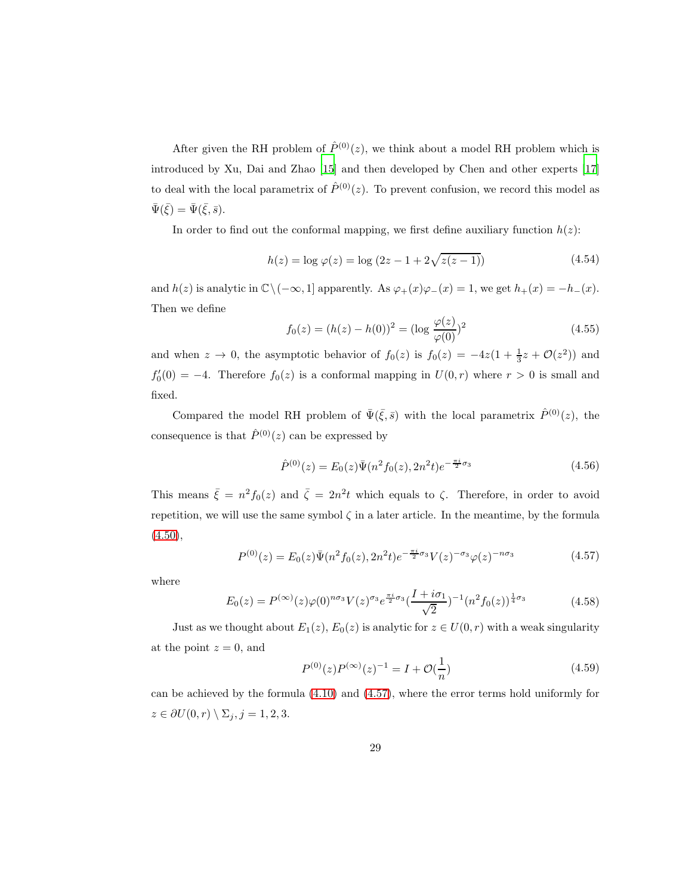After given the RH problem of  $\hat{P}^{(0)}(z)$ , we think about a model RH problem which is introduced by Xu, Dai and Zhao [\[15\]](#page-46-0) and then developed by Chen and other experts [\[17\]](#page-46-2) to deal with the local parametrix of  $\hat{P}^{(0)}(z)$ . To prevent confusion, we record this model as  $\bar{\Psi}(\bar{\xi}) = \bar{\Psi}(\bar{\xi}, \bar{s}).$ 

In order to find out the conformal mapping, we first define auxiliary function  $h(z)$ :

$$
h(z) = \log \varphi(z) = \log (2z - 1 + 2\sqrt{z(z - 1)})
$$
\n(4.54)

and  $h(z)$  is analytic in  $\mathbb{C}\setminus(-\infty, 1]$  apparently. As  $\varphi_+(x)\varphi_-(x) = 1$ , we get  $h_+(x) = -h_-(x)$ . Then we define

$$
f_0(z) = (h(z) - h(0))^2 = (\log \frac{\varphi(z)}{\varphi(0)})^2
$$
\n(4.55)

and when  $z \to 0$ , the asymptotic behavior of  $f_0(z)$  is  $f_0(z) = -4z(1 + \frac{1}{3}z + \mathcal{O}(z^2))$  and  $f'_{0}(0) = -4$ . Therefore  $f_{0}(z)$  is a conformal mapping in  $U(0, r)$  where  $r > 0$  is small and fixed.

Compared the model RH problem of  $\bar{\Psi}(\bar{\xi},\bar{s})$  with the local parametrix  $\hat{P}^{(0)}(z)$ , the consequence is that  $\hat{P}^{(0)}(z)$  can be expressed by

$$
\hat{P}^{(0)}(z) = E_0(z)\bar{\Psi}(n^2 f_0(z), 2n^2 t)e^{-\frac{\pi i}{2}\sigma_3}
$$
\n(4.56)

This means  $\bar{\xi} = n^2 f_0(z)$  and  $\bar{\zeta} = 2n^2 t$  which equals to  $\zeta$ . Therefore, in order to avoid repetition, we will use the same symbol  $\zeta$  in a later article. In the meantime, by the formula  $(4.50),$  $(4.50),$ 

<span id="page-28-0"></span>
$$
P^{(0)}(z) = E_0(z)\bar{\Psi}(n^2 f_0(z), 2n^2 t)e^{-\frac{\pi i}{2}\sigma_3}V(z)^{-\sigma_3}\varphi(z)^{-n\sigma_3}
$$
(4.57)

where

<span id="page-28-1"></span>
$$
E_0(z) = P^{(\infty)}(z)\varphi(0)^{n\sigma_3} V(z)^{\sigma_3} e^{\frac{\pi i}{2}\sigma_3} \left(\frac{I + i\sigma_1}{\sqrt{2}}\right)^{-1} \left(n^2 f_0(z)\right)^{\frac{1}{4}\sigma_3}
$$
(4.58)

Just as we thought about  $E_1(z)$ ,  $E_0(z)$  is analytic for  $z \in U(0, r)$  with a weak singularity at the point  $z = 0$ , and

$$
P^{(0)}(z)P^{(\infty)}(z)^{-1} = I + \mathcal{O}(\frac{1}{n})
$$
\n(4.59)

can be achieved by the formula [\(4.10\)](#page-15-1) and [\(4.57\)](#page-28-0), where the error terms hold uniformly for  $z \in \partial U(0, r) \setminus \Sigma_j, j = 1, 2, 3.$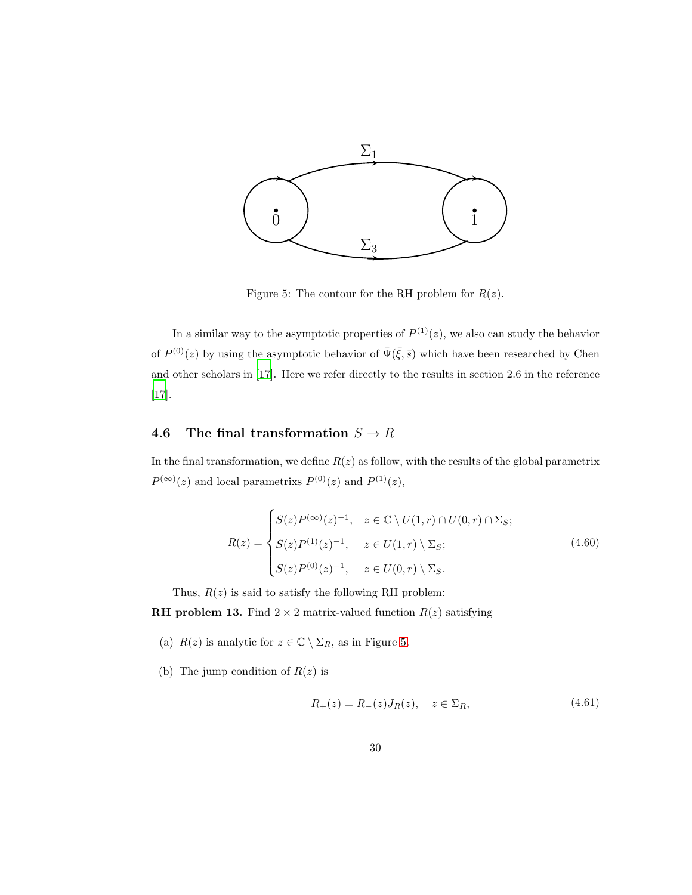<span id="page-29-0"></span>

Figure 5: The contour for the RH problem for  $R(z)$ .

In a similar way to the asymptotic properties of  $P^{(1)}(z)$ , we also can study the behavior of  $P^{(0)}(z)$  by using the asymptotic behavior of  $\bar{\Psi}(\bar{\xi},\bar{s})$  which have been researched by Chen and other scholars in [\[17](#page-46-2)]. Here we refer directly to the results in section 2.6 in the reference [\[17\]](#page-46-2).

## 4.6 The final transformation  $S \to R$

In the final transformation, we define  $R(z)$  as follow, with the results of the global parametrix  $P^{(\infty)}(z)$  and local parametrixs  $P^{(0)}(z)$  and  $P^{(1)}(z)$ ,

<span id="page-29-1"></span>
$$
R(z) = \begin{cases} S(z)P^{(\infty)}(z)^{-1}, & z \in \mathbb{C} \setminus U(1,r) \cap U(0,r) \cap \Sigma_S; \\ S(z)P^{(1)}(z)^{-1}, & z \in U(1,r) \setminus \Sigma_S; \\ S(z)P^{(0)}(z)^{-1}, & z \in U(0,r) \setminus \Sigma_S. \end{cases}
$$
(4.60)

Thus,  $R(z)$  is said to satisfy the following RH problem:

**RH** problem 13. Find  $2 \times 2$  matrix-valued function  $R(z)$  satisfying

- (a)  $R(z)$  is analytic for  $z \in \mathbb{C} \setminus \Sigma_R$ , as in Figure [5.](#page-29-0)
- (b) The jump condition of  $R(z)$  is

$$
R_{+}(z) = R_{-}(z)J_{R}(z), \quad z \in \Sigma_{R}, \tag{4.61}
$$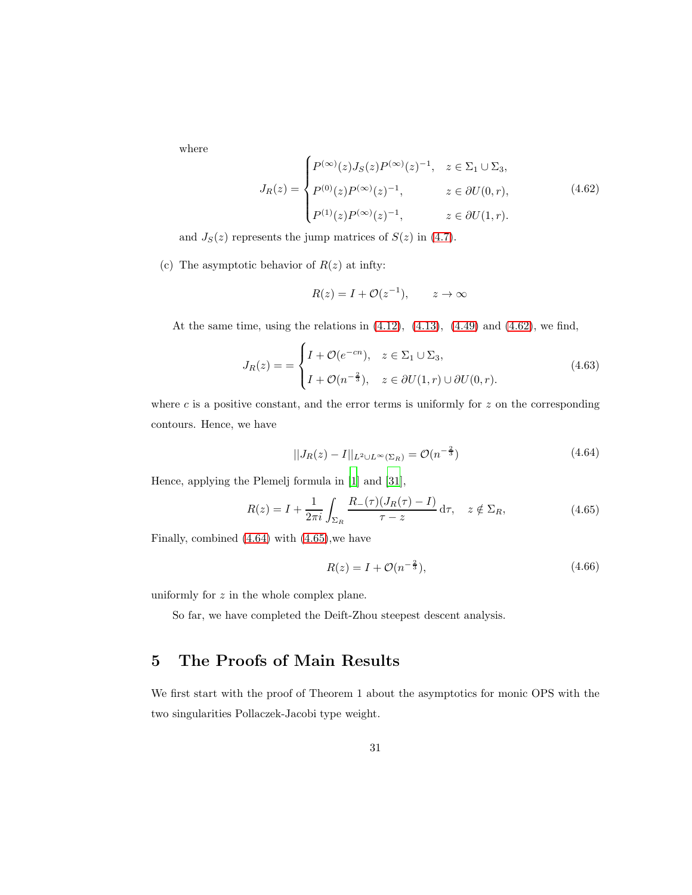where

<span id="page-30-0"></span>
$$
J_R(z) = \begin{cases} P^{(\infty)}(z)J_S(z)P^{(\infty)}(z)^{-1}, & z \in \Sigma_1 \cup \Sigma_3, \\ P^{(0)}(z)P^{(\infty)}(z)^{-1}, & z \in \partial U(0, r), \\ P^{(1)}(z)P^{(\infty)}(z)^{-1}, & z \in \partial U(1, r). \end{cases}
$$
(4.62)

and  $J_S(z)$  represents the jump matrices of  $S(z)$  in [\(4.7\)](#page-14-2).

(c) The asymptotic behavior of  $R(z)$  at infty:

$$
R(z) = I + \mathcal{O}(z^{-1}), \qquad z \to \infty
$$

At the same time, using the relations in [\(4.12\)](#page-16-1), [\(4.13\)](#page-16-2), [\(4.49\)](#page-26-1) and [\(4.62\)](#page-30-0), we find,

$$
J_R(z) = \begin{cases} I + \mathcal{O}(e^{-cn}), & z \in \Sigma_1 \cup \Sigma_3, \\ I + \mathcal{O}(n^{-\frac{2}{3}}), & z \in \partial U(1, r) \cup \partial U(0, r). \end{cases} \tag{4.63}
$$

where  $c$  is a positive constant, and the error terms is uniformly for  $z$  on the corresponding contours. Hence, we have

<span id="page-30-1"></span>
$$
||J_R(z) - I||_{L^2 \cup L^\infty(\Sigma_R)} = \mathcal{O}(n^{-\frac{2}{3}})
$$
\n(4.64)

Hence, applying the Plemelj formula in [\[1\]](#page-44-0) and [\[31\]](#page-47-5),

<span id="page-30-2"></span>
$$
R(z) = I + \frac{1}{2\pi i} \int_{\Sigma_R} \frac{R_-(\tau)(J_R(\tau) - I)}{\tau - z} d\tau, \quad z \notin \Sigma_R,
$$
\n(4.65)

Finally, combined [\(4.64\)](#page-30-1) with [\(4.65\)](#page-30-2),we have

$$
R(z) = I + \mathcal{O}(n^{-\frac{2}{3}}),\tag{4.66}
$$

uniformly for  $z$  in the whole complex plane.

So far, we have completed the Deift-Zhou steepest descent analysis.

# 5 The Proofs of Main Results

We first start with the proof of Theorem 1 about the asymptotics for monic OPS with the two singularities Pollaczek-Jacobi type weight.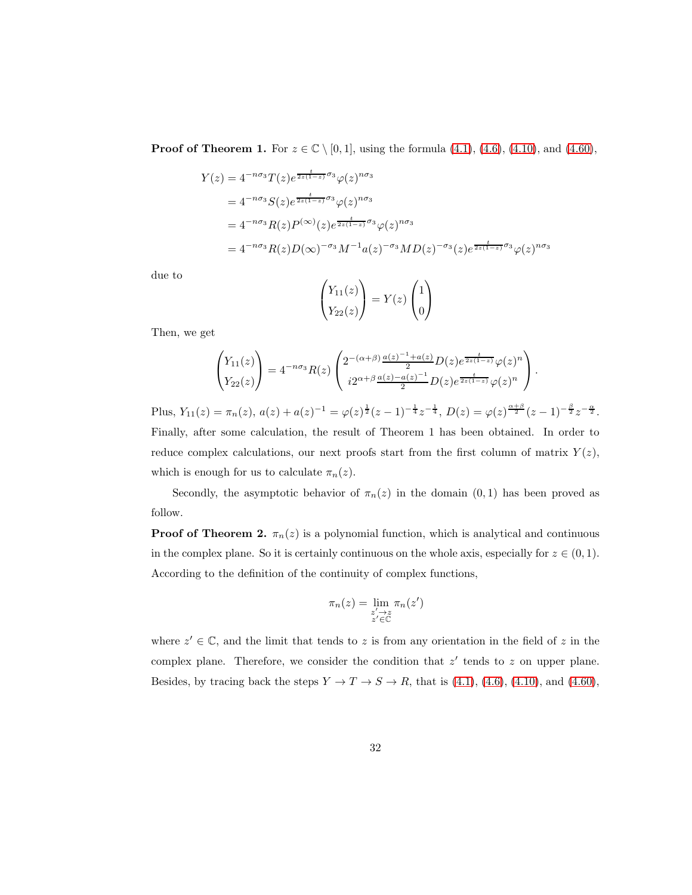**Proof of Theorem 1.** For  $z \in \mathbb{C} \setminus [0, 1]$ , using the formula  $(4.1)$ ,  $(4.6)$ ,  $(4.10)$ , and  $(4.60)$ ,

$$
Y(z) = 4^{-n\sigma_3} T(z)e^{\frac{t}{2z(1-z)}\sigma_3}\varphi(z)^{n\sigma_3}
$$
  
=  $4^{-n\sigma_3}S(z)e^{\frac{t}{2z(1-z)}\sigma_3}\varphi(z)^{n\sigma_3}$   
=  $4^{-n\sigma_3}R(z)P^{(\infty)}(z)e^{\frac{t}{2z(1-z)}\sigma_3}\varphi(z)^{n\sigma_3}$   
=  $4^{-n\sigma_3}R(z)D(\infty)^{-\sigma_3}M^{-1}a(z)^{-\sigma_3}MD(z)^{-\sigma_3}(z)e^{\frac{t}{2z(1-z)}\sigma_3}\varphi(z)^{n\sigma_3}$ 

due to

$$
\begin{pmatrix} Y_{11}(z) \\ Y_{22}(z) \end{pmatrix} = Y(z) \begin{pmatrix} 1 \\ 0 \end{pmatrix}
$$

Then, we get

$$
\begin{pmatrix} Y_{11}(z) \\ Y_{22}(z) \end{pmatrix} = 4^{-n\sigma_3} R(z) \begin{pmatrix} 2^{-(\alpha+\beta)} \frac{a(z)^{-1} + a(z)}{2} D(z) e^{\frac{t}{2z(1-z)}} \varphi(z)^n \\ i 2^{\alpha+\beta} \frac{a(z) - a(z)^{-1}}{2} D(z) e^{\frac{t}{2z(1-z)}} \varphi(z)^n \end{pmatrix}.
$$

Plus,  $Y_{11}(z) = \pi_n(z)$ ,  $a(z) + a(z)^{-1} = \varphi(z)^{\frac{1}{2}}(z-1)^{-\frac{1}{4}}z^{-\frac{1}{4}}$ ,  $D(z) = \varphi(z)^{\frac{\alpha+\beta}{2}}(z-1)^{-\frac{\beta}{2}}z^{-\frac{\alpha}{2}}$ . Finally, after some calculation, the result of Theorem 1 has been obtained. In order to reduce complex calculations, our next proofs start from the first column of matrix  $Y(z)$ , which is enough for us to calculate  $\pi_n(z)$ .

Secondly, the asymptotic behavior of  $\pi_n(z)$  in the domain  $(0, 1)$  has been proved as follow.

**Proof of Theorem 2.**  $\pi_n(z)$  is a polynomial function, which is analytical and continuous in the complex plane. So it is certainly continuous on the whole axis, especially for  $z \in (0, 1)$ . According to the definition of the continuity of complex functions,

$$
\pi_n(z) = \lim_{\substack{z' \to z \\ z' \in \mathbb{C}}} \pi_n(z')
$$

where  $z' \in \mathbb{C}$ , and the limit that tends to z is from any orientation in the field of z in the complex plane. Therefore, we consider the condition that  $z'$  tends to  $z$  on upper plane. Besides, by tracing back the steps  $Y \to T \to S \to R$ , that is [\(4.1\)](#page-12-0), [\(4.6\)](#page-13-0), [\(4.10\)](#page-15-1), and [\(4.60\)](#page-29-1),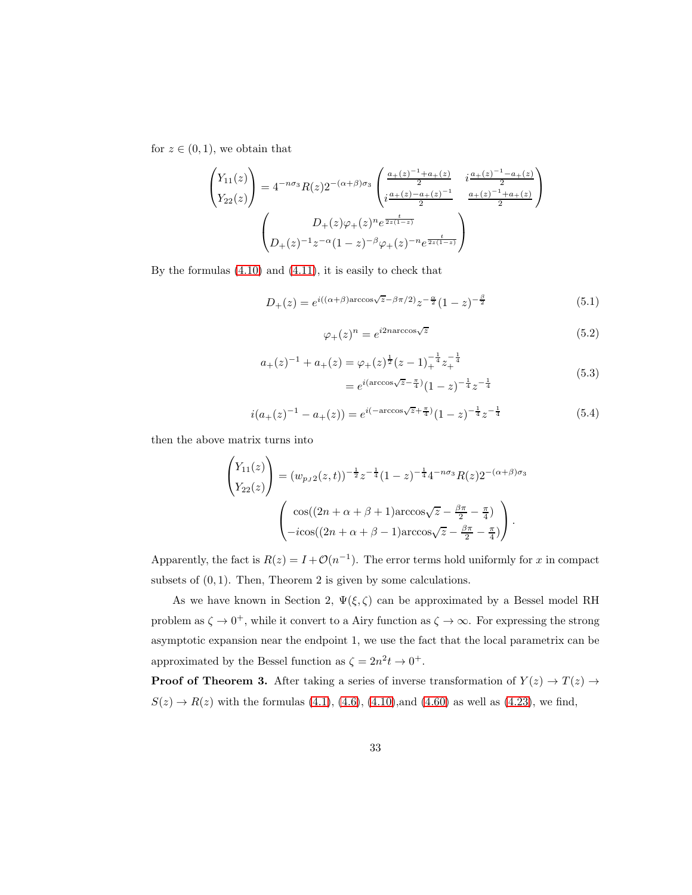for  $z \in (0,1)$ , we obtain that

$$
\begin{pmatrix}\nY_{11}(z) \\
Y_{22}(z)\n\end{pmatrix} = 4^{-n\sigma_3} R(z) 2^{-(\alpha+\beta)\sigma_3} \begin{pmatrix}\n\frac{a_+(z)^{-1} + a_+(z)}{2} & i\frac{a_+(z)^{-1} - a_+(z)}{2} \\
i\frac{a_+(z) - a_+(z)^{-1}}{2} & \frac{a_+(z)^{-1} + a_+(z)}{2}\n\end{pmatrix}
$$
\n
$$
\begin{pmatrix}\nD_+(z)\varphi_+(z)^n e^{\frac{t}{2z(1-z)}} \\
D_+(z)^{-1}z^{-\alpha}(1-z)^{-\beta}\varphi_+(z)^{-n}e^{\frac{t}{2z(1-z)}}\n\end{pmatrix}
$$

By the formulas [\(4.10\)](#page-15-1) and [\(4.11\)](#page-15-2), it is easily to check that

$$
D_{+}(z) = e^{i((\alpha+\beta)\arccos\sqrt{z}-\beta\pi/2)}z^{-\frac{\alpha}{2}}(1-z)^{-\frac{\beta}{2}}
$$
(5.1)

$$
\varphi_{+}(z)^{n} = e^{i2n \arccos\sqrt{z}} \tag{5.2}
$$

$$
a_{+}(z)^{-1} + a_{+}(z) = \varphi_{+}(z)^{\frac{1}{2}}(z-1)^{-\frac{1}{4}}_{+}z^{-\frac{1}{4}}_{+}
$$
  
=  $e^{i(\arccos\sqrt{z}-\frac{\pi}{4})}(1-z)^{-\frac{1}{4}}z^{-\frac{1}{4}}$  (5.3)

$$
i(a_{+}(z)^{-1} - a_{+}(z)) = e^{i(-\arccos\sqrt{z} + \frac{\pi}{4})}(1-z)^{-\frac{1}{4}}z^{-\frac{1}{4}}
$$
(5.4)

then the above matrix turns into

$$
\begin{pmatrix} Y_{11}(z) \\ Y_{22}(z) \end{pmatrix} = (w_{p_J 2}(z, t))^{-\frac{1}{2}} z^{-\frac{1}{4}} (1 - z)^{-\frac{1}{4}} 4^{-n\sigma_3} R(z) 2^{-(\alpha + \beta)\sigma_3}
$$

$$
\begin{pmatrix} \cos((2n + \alpha + \beta + 1)\arccos\sqrt{z} - \frac{\beta \pi}{2} - \frac{\pi}{4}) \\ -i\cos((2n + \alpha + \beta - 1)\arccos\sqrt{z} - \frac{\beta \pi}{2} - \frac{\pi}{4}) \end{pmatrix}.
$$

Apparently, the fact is  $R(z) = I + \mathcal{O}(n^{-1})$ . The error terms hold uniformly for x in compact subsets of  $(0, 1)$ . Then, Theorem 2 is given by some calculations.

As we have known in Section 2,  $\Psi(\xi, \zeta)$  can be approximated by a Bessel model RH problem as  $\zeta \to 0^+$ , while it convert to a Airy function as  $\zeta \to \infty$ . For expressing the strong asymptotic expansion near the endpoint 1, we use the fact that the local parametrix can be approximated by the Bessel function as  $\zeta = 2n^2 t \rightarrow 0^+$ .

**Proof of Theorem 3.** After taking a series of inverse transformation of  $Y(z) \to T(z) \to$  $S(z) \to R(z)$  with the formulas [\(4.1\)](#page-12-0), [\(4.6\)](#page-13-0), [\(4.10\)](#page-15-1), and [\(4.60\)](#page-29-1) as well as [\(4.23\)](#page-19-0), we find,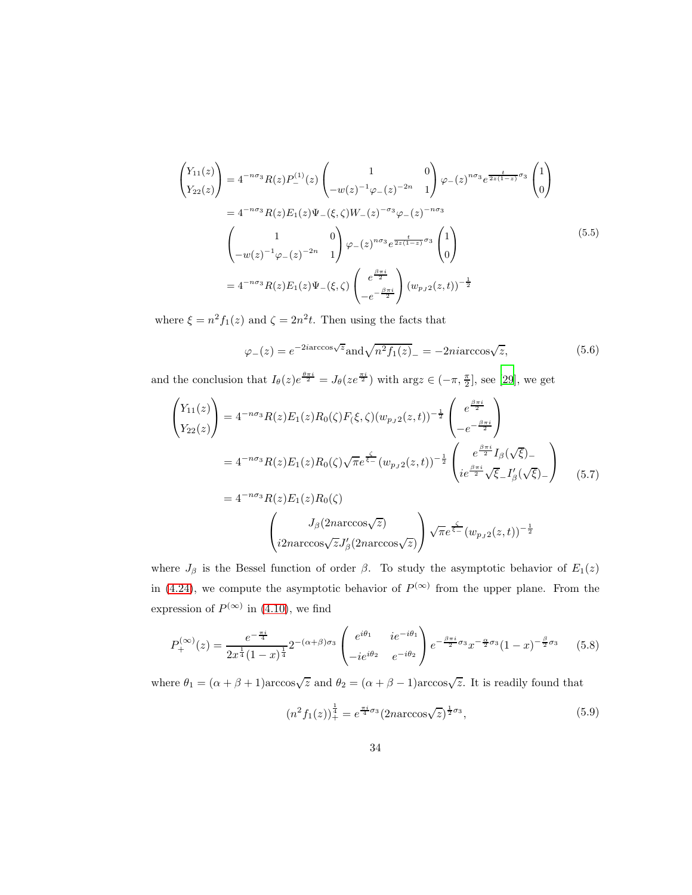<span id="page-33-1"></span>
$$
\begin{pmatrix}\nY_{11}(z) \\
Y_{22}(z)\n\end{pmatrix} = 4^{-n\sigma_3} R(z) P_{-}^{(1)}(z) \begin{pmatrix}\n1 & 0 \\
-w(z)^{-1} \varphi_{-}(z)^{-2n} & 1\n\end{pmatrix} \varphi_{-}(z)^{n\sigma_3} e^{\frac{t}{2z(1-z)}\sigma_3} \begin{pmatrix}\n1 \\
0\n\end{pmatrix}
$$
\n
$$
= 4^{-n\sigma_3} R(z) E_1(z) \Psi_{-}(\xi, \zeta) W_{-}(z)^{-\sigma_3} \varphi_{-}(z)^{-n\sigma_3}
$$
\n
$$
\begin{pmatrix}\n1 & 0 \\
-w(z)^{-1} \varphi_{-}(z)^{-2n} & 1\n\end{pmatrix} \varphi_{-}(z)^{n\sigma_3} e^{\frac{t}{2z(1-z)}\sigma_3} \begin{pmatrix}\n1 \\
0\n\end{pmatrix}
$$
\n
$$
= 4^{-n\sigma_3} R(z) E_1(z) \Psi_{-}(\xi, \zeta) \begin{pmatrix}\ne^{\frac{\beta \pi i}{2}} \\
-e^{-\frac{\beta \pi i}{2}}\n\end{pmatrix} (w_{p,j2}(z,t))^{-\frac{1}{2}}
$$
\n(5.5)

where  $\xi = n^2 f_1(z)$  and  $\zeta = 2n^2 t$ . Then using the facts that

$$
\varphi_{-}(z) = e^{-2i\arccos\sqrt{z}} \text{and} \sqrt{n^2 f_1(z)}_{-} = -2ni\arccos\sqrt{z},\tag{5.6}
$$

and the conclusion that  $I_{\theta}(z)e^{\frac{\theta \pi i}{2}} = J_{\theta}(ze^{\frac{\pi i}{2}})$  with  $\arg z \in (-\pi, \frac{\pi}{2}]$ , see [\[29\]](#page-47-3), we get

<span id="page-33-0"></span>
$$
\begin{pmatrix}\nY_{11}(z) \\
Y_{22}(z)\n\end{pmatrix} = 4^{-n\sigma_3} R(z) E_1(z) R_0(\zeta) F(\xi, \zeta) (w_{p_J 2}(z, t))^{-\frac{1}{2}} \begin{pmatrix} e^{\frac{\beta \pi i}{2}} \\
-e^{-\frac{\beta \pi i}{2}}\n\end{pmatrix}
$$
\n
$$
= 4^{-n\sigma_3} R(z) E_1(z) R_0(\zeta) \sqrt{\pi} e^{\frac{\zeta}{\xi - \omega_3}} (w_{p_J 2}(z, t))^{-\frac{1}{2}} \begin{pmatrix} e^{\frac{\beta \pi i}{2}} I_\beta(\sqrt{\xi}) - \\
ie^{\frac{\beta \pi i}{2}} \sqrt{\xi} I'_\beta(\sqrt{\xi}) - \end{pmatrix}
$$
\n
$$
= 4^{-n\sigma_3} R(z) E_1(z) R_0(\zeta)
$$
\n
$$
\begin{pmatrix}\nJ_\beta(2n \arccos\sqrt{z}) \\
i 2n \arccos\sqrt{z} J'_\beta(2n \arccos\sqrt{z})\n\end{pmatrix} \sqrt{\pi} e^{\frac{\zeta}{\xi - \omega_3}} (w_{p_J 2}(z, t))^{-\frac{1}{2}}
$$
\n(5.7)

where  $J_\beta$  is the Bessel function of order  $\beta$ . To study the asymptotic behavior of  $E_1(z)$ in [\(4.24\)](#page-19-1), we compute the asymptotic behavior of  $P^{(\infty)}$  from the upper plane. From the expression of  $P^{(\infty)}$  in [\(4.10\)](#page-15-1), we find

<span id="page-33-2"></span>
$$
P_{+}^{(\infty)}(z) = \frac{e^{-\frac{\pi i}{4}}}{2x^{\frac{1}{4}}(1-x)^{\frac{1}{4}}}2^{-(\alpha+\beta)\sigma_{3}} \begin{pmatrix} e^{i\theta_{1}} & i e^{-i\theta_{1}} \\ -i e^{i\theta_{2}} & e^{-i\theta_{2}} \end{pmatrix} e^{-\frac{\beta\pi i}{2}\sigma_{3}} x^{-\frac{\alpha}{2}\sigma_{3}} (1-x)^{-\frac{\beta}{2}\sigma_{3}} \qquad (5.8)
$$

where  $\theta_1 = (\alpha + \beta + 1)\arccos\sqrt{z}$  and  $\theta_2 = (\alpha + \beta - 1)\arccos\sqrt{z}$ . It is readily found that

$$
(n^2 f_1(z))_+^{\frac{1}{4}} = e^{\frac{\pi i}{4}\sigma_3} (2n \arccos \sqrt{z})^{\frac{1}{2}\sigma_3},\tag{5.9}
$$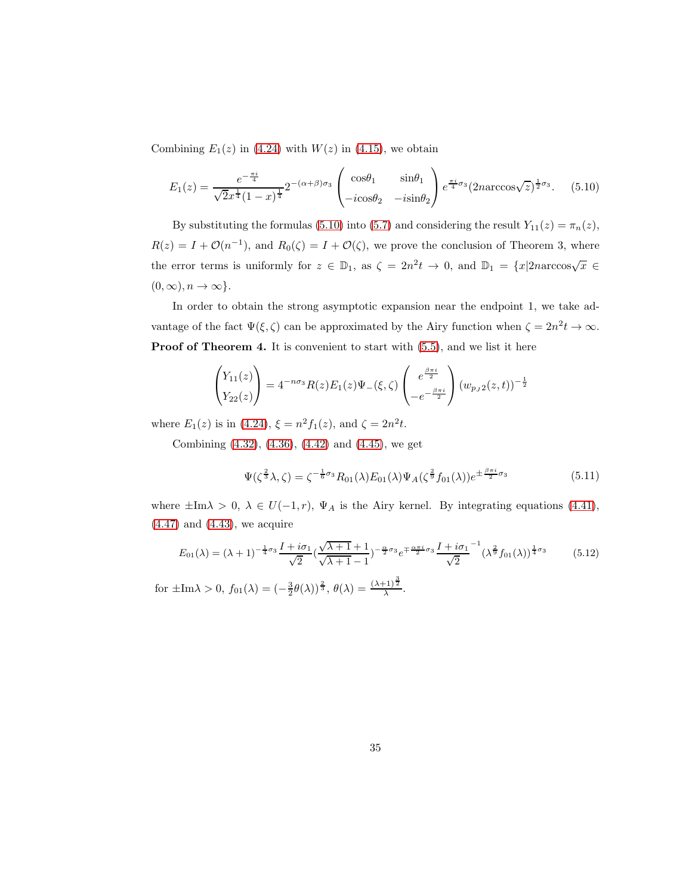Combining  $E_1(z)$  in [\(4.24\)](#page-19-1) with  $W(z)$  in [\(4.15\)](#page-16-3), we obtain

<span id="page-34-0"></span>
$$
E_1(z) = \frac{e^{-\frac{\pi i}{4}}}{\sqrt{2}x^{\frac{1}{4}}(1-x)^{\frac{1}{4}}} 2^{-(\alpha+\beta)\sigma_3} \begin{pmatrix} \cos\theta_1 & \sin\theta_1 \\ -i\cos\theta_2 & -i\sin\theta_2 \end{pmatrix} e^{\frac{\pi i}{4}\sigma_3} (2n\arccos\sqrt{z})^{\frac{1}{2}\sigma_3}.
$$
 (5.10)

By substituting the formulas [\(5.10\)](#page-34-0) into [\(5.7\)](#page-33-0) and considering the result  $Y_{11}(z) = \pi_n(z)$ ,  $R(z) = I + \mathcal{O}(n^{-1})$ , and  $R_0(\zeta) = I + \mathcal{O}(\zeta)$ , we prove the conclusion of Theorem 3, where the error terms is uniformly for  $z \in \mathbb{D}_1$ , as  $\zeta = 2n^2 t \to 0$ , and  $\mathbb{D}_1 = \{x | 2n \arccos \sqrt{x} \in \mathbb{D}_1\}$  $(0, \infty), n \to \infty$ .

In order to obtain the strong asymptotic expansion near the endpoint 1, we take advantage of the fact  $\Psi(\xi, \zeta)$  can be approximated by the Airy function when  $\zeta = 2n^2 t \to \infty$ . Proof of Theorem 4. It is convenient to start with  $(5.5)$ , and we list it here

$$
\begin{pmatrix} Y_{11}(z) \\ Y_{22}(z) \end{pmatrix} = 4^{-n\sigma_3} R(z) E_1(z) \Psi_{-}(\xi, \zeta) \begin{pmatrix} e^{\frac{\beta \pi i}{2}} \\ -e^{-\frac{\beta \pi i}{2}} \end{pmatrix} (w_{p_J 2}(z, t))^{-\frac{1}{2}}
$$

where  $E_1(z)$  is in [\(4.24\)](#page-19-1),  $\xi = n^2 f_1(z)$ , and  $\zeta = 2n^2 t$ .

Combining [\(4.32\)](#page-22-1), [\(4.36\)](#page-24-0), [\(4.42\)](#page-25-0) and [\(4.45\)](#page-25-1), we get

<span id="page-34-1"></span>
$$
\Psi(\zeta^{\frac{2}{3}}\lambda,\zeta) = \zeta^{-\frac{1}{6}\sigma_3} R_{01}(\lambda) E_{01}(\lambda) \Psi_A(\zeta^{\frac{2}{9}} f_{01}(\lambda)) e^{\pm \frac{\beta \pi i}{2} \sigma_3}
$$
(5.11)

where  $\pm \text{Im}\lambda > 0$ ,  $\lambda \in U(-1,r)$ ,  $\Psi_A$  is the Airy kernel. By integrating equations [\(4.41\)](#page-25-2),  $(4.47)$  and  $(4.43)$ , we acquire

$$
E_{01}(\lambda) = (\lambda + 1)^{-\frac{1}{4}\sigma_3} \frac{I + i\sigma_1}{\sqrt{2}} \left(\frac{\sqrt{\lambda + 1} + 1}{\sqrt{\lambda + 1} - 1}\right)^{-\frac{\alpha}{2}\sigma_3} e^{\mp \frac{\alpha \pi i}{2}\sigma_3} \frac{I + i\sigma_1}{\sqrt{2}}^{-1} (\lambda^{\frac{2}{9}} f_{01}(\lambda))^{\frac{1}{4}\sigma_3}
$$
(5.12)

for  $\pm \text{Im}\lambda > 0$ ,  $f_{01}(\lambda) = \left(-\frac{3}{2}\theta(\lambda)\right)^{\frac{2}{3}}$ ,  $\theta(\lambda) = \frac{(\lambda+1)^{\frac{3}{2}}}{\lambda}$ .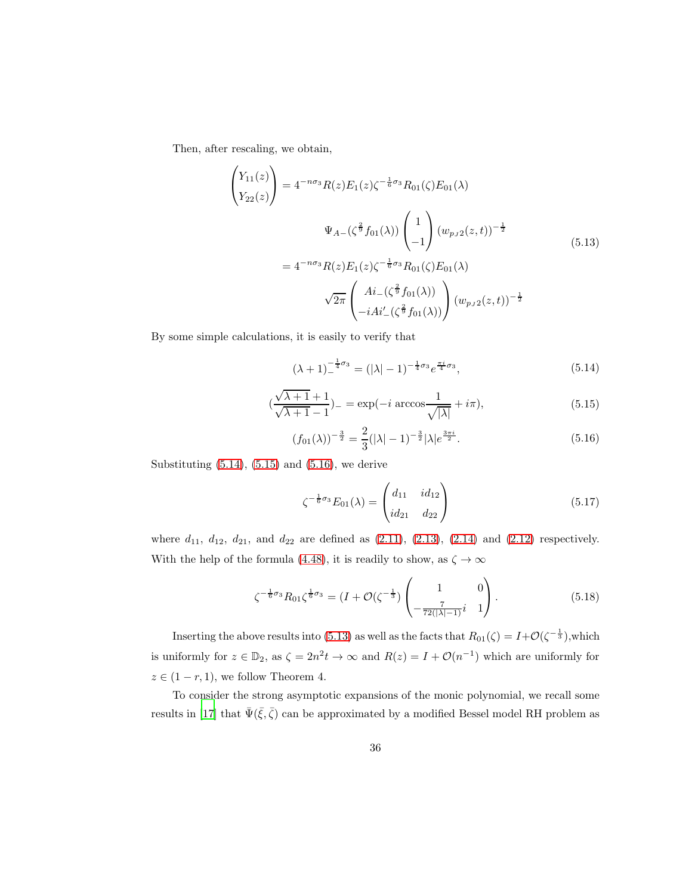Then, after rescaling, we obtain,

<span id="page-35-3"></span>
$$
\begin{pmatrix}\nY_{11}(z) \\
Y_{22}(z)\n\end{pmatrix} = 4^{-n\sigma_3} R(z) E_1(z) \zeta^{-\frac{1}{6}\sigma_3} R_{01}(\zeta) E_{01}(\lambda)
$$
\n
$$
\Psi_{A-}(\zeta^{\frac{2}{9}} f_{01}(\lambda)) \begin{pmatrix} 1 \\ -1 \end{pmatrix} (w_{p_J 2}(z, t))^{-\frac{1}{2}}
$$
\n
$$
= 4^{-n\sigma_3} R(z) E_1(z) \zeta^{-\frac{1}{6}\sigma_3} R_{01}(\zeta) E_{01}(\lambda)
$$
\n
$$
\sqrt{2\pi} \begin{pmatrix} Ai_{-}(\zeta^{\frac{2}{9}} f_{01}(\lambda)) \\ -i Ai'_{-}(\zeta^{\frac{2}{9}} f_{01}(\lambda)) \end{pmatrix} (w_{p_J 2}(z, t))^{-\frac{1}{2}}
$$
\n(5.13)

By some simple calculations, it is easily to verify that

<span id="page-35-0"></span>
$$
(\lambda + 1)^{-\frac{1}{4}\sigma_3} = (|\lambda| - 1)^{-\frac{1}{4}\sigma_3} e^{\frac{\pi i}{4}\sigma_3}, \tag{5.14}
$$

<span id="page-35-1"></span>
$$
\left(\frac{\sqrt{\lambda+1}+1}{\sqrt{\lambda+1}-1}\right)_{-} = \exp(-i\arccos\frac{1}{\sqrt{|\lambda|}} + i\pi),\tag{5.15}
$$

<span id="page-35-2"></span>
$$
(f_{01}(\lambda))^{-\frac{3}{2}} = \frac{2}{3}(|\lambda| - 1)^{-\frac{3}{2}}|\lambda|e^{\frac{3\pi i}{2}}.
$$
\n(5.16)

Substituting  $(5.14)$ ,  $(5.15)$  and  $(5.16)$ , we derive

<span id="page-35-4"></span>
$$
\zeta^{-\frac{1}{6}\sigma_3}E_{01}(\lambda) = \begin{pmatrix} d_{11} & id_{12} \\ id_{21} & d_{22} \end{pmatrix}
$$
 (5.17)

where  $d_{11}$ ,  $d_{12}$ ,  $d_{21}$ , and  $d_{22}$  are defined as  $(2.11)$ ,  $(2.13)$ ,  $(2.14)$  and  $(2.12)$  respectively. With the help of the formula [\(4.48\)](#page-26-3), it is readily to show, as  $\zeta \to \infty$ 

<span id="page-35-5"></span>
$$
\zeta^{-\frac{1}{6}\sigma_3} R_{01} \zeta^{\frac{1}{6}\sigma_3} = (I + \mathcal{O}(\zeta^{-\frac{1}{3}}) \begin{pmatrix} 1 & 0 \\ -\frac{7}{72(|\lambda|-1)}i & 1 \end{pmatrix}.
$$
 (5.18)

Inserting the above results into [\(5.13\)](#page-35-3) as well as the facts that  $R_{01}(\zeta) = I + \mathcal{O}(\zeta^{-\frac{1}{3}})$ , which is uniformly for  $z \in \mathbb{D}_2$ , as  $\zeta = 2n^2t \to \infty$  and  $R(z) = I + \mathcal{O}(n^{-1})$  which are uniformly for  $z \in (1 - r, 1)$ , we follow Theorem 4.

To consider the strong asymptotic expansions of the monic polynomial, we recall some results in [\[17](#page-46-2)] that  $\bar{\Psi}(\bar{\xi}, \bar{\zeta})$  can be approximated by a modified Bessel model RH problem as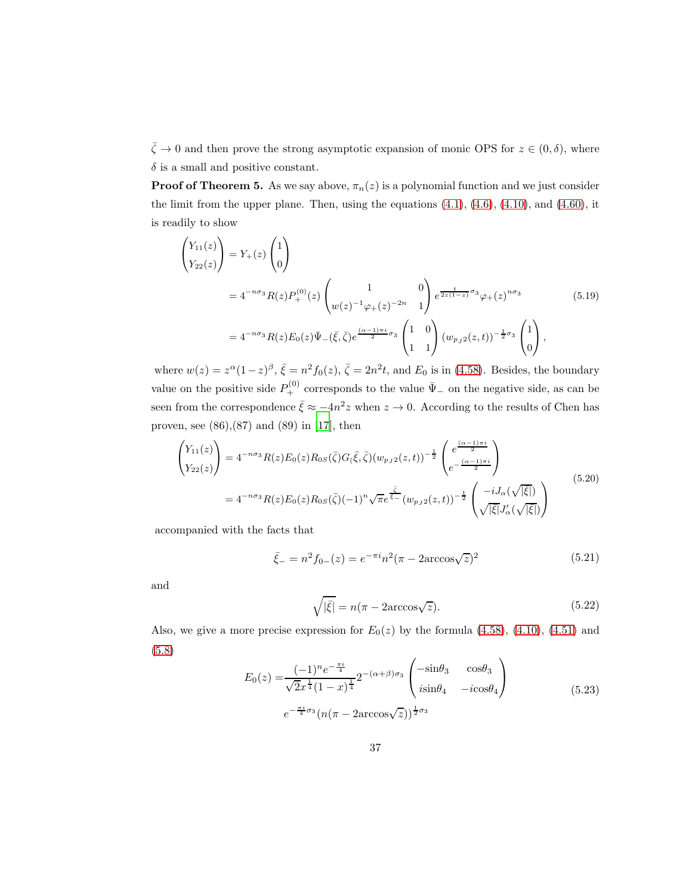$\bar{\zeta} \to 0$  and then prove the strong asymptotic expansion of monic OPS for  $z \in (0, \delta)$ , where  $\delta$  is a small and positive constant.

**Proof of Theorem 5.** As we say above,  $\pi_n(z)$  is a polynomial function and we just consider the limit from the upper plane. Then, using the equations  $(4.1)$ ,  $(4.6)$ ,  $(4.10)$ , and  $(4.60)$ , it is readily to show

<span id="page-36-2"></span>
$$
\begin{aligned}\n\begin{pmatrix}\nY_{11}(z) \\
Y_{22}(z)\n\end{pmatrix} &= Y_{+}(z) \begin{pmatrix} 1 \\
0\n\end{pmatrix} \\
&= 4^{-n\sigma_{3}} R(z) P_{+}^{(0)}(z) \begin{pmatrix} 1 & 0 \\
w(z)^{-1} \varphi_{+}(z)^{-2n} & 1 \end{pmatrix} e^{\frac{t}{2z(1-z)} \sigma_{3}} \varphi_{+}(z)^{n\sigma_{3}} \\
&= 4^{-n\sigma_{3}} R(z) E_{0}(z) \bar{\Psi}_{-}(\bar{\xi}, \bar{\zeta}) e^{\frac{(\alpha-1)\pi i}{2} \sigma_{3}} \begin{pmatrix} 1 & 0 \\
1 & 1 \end{pmatrix} (w_{p,j2}(z,t))^{-\frac{1}{2}\sigma_{3}} \begin{pmatrix} 1 \\
0 \end{pmatrix},\n\end{aligned} (5.19)
$$

where  $w(z) = z^{\alpha} (1-z)^{\beta}$ ,  $\bar{\xi} = n^2 f_0(z)$ ,  $\bar{\zeta} = 2n^2 t$ , and  $E_0$  is in [\(4.58\)](#page-28-1). Besides, the boundary value on the positive side  $P_+^{(0)}$  corresponds to the value  $\bar{\Psi}_-$  on the negative side, as can be seen from the correspondence  $\bar{\xi} \approx -4n^2 z$  when  $z \to 0$ . According to the results of Chen has proven, see  $(86)$ , $(87)$  and  $(89)$  in [\[17](#page-46-2)], then

<span id="page-36-1"></span>
$$
\begin{pmatrix} Y_{11}(z) \\ Y_{22}(z) \end{pmatrix} = 4^{-n\sigma_3} R(z) E_0(z) R_{0S}(\bar{\zeta}) G_{\bar{\zeta}}, \bar{\zeta} ) (w_{p_J 2}(z, t))^{-\frac{1}{2}} \begin{pmatrix} e^{\frac{(\alpha - 1)\pi i}{2}} \\ e^{-\frac{(\alpha - 1)\pi i}{2}} \end{pmatrix}
$$
  
=  $4^{-n\sigma_3} R(z) E_0(z) R_{0S}(\bar{\zeta}) (-1)^n \sqrt{\pi} e^{\frac{\bar{\zeta}}{\bar{\zeta}} - (w_{p_J 2}(z, t))^{-\frac{1}{2}} \begin{pmatrix} -i J_\alpha(\sqrt{|\xi|}) \\ \sqrt{|\xi|} J'_\alpha(\sqrt{|\xi|}) \end{pmatrix}$  (5.20)

accompanied with the facts that

$$
\bar{\xi}_{-} = n^2 f_{0-}(z) = e^{-\pi i} n^2 (\pi - 2 \arccos\sqrt{z})^2
$$
\n(5.21)

and

$$
\sqrt{|\bar{\xi}|} = n(\pi - 2\arccos\sqrt{z}).\tag{5.22}
$$

Also, we give a more precise expression for  $E_0(z)$  by the formula [\(4.58\)](#page-28-1), [\(4.10\)](#page-15-1), [\(4.51\)](#page-27-0) and [\(5.8\)](#page-33-2)

<span id="page-36-0"></span>
$$
E_0(z) = \frac{(-1)^n e^{-\frac{\pi i}{4}}}{\sqrt{2}x^{\frac{1}{4}}(1-x)^{\frac{1}{4}}} 2^{-(\alpha+\beta)\sigma_3} \begin{pmatrix} -\sin\theta_3 & \cos\theta_3\\ i\sin\theta_4 & -i\cos\theta_4 \end{pmatrix}
$$
  

$$
e^{-\frac{\pi i}{4}\sigma_3} (n(\pi - 2\arccos\sqrt{z}))^{\frac{1}{2}\sigma_3}
$$
 (5.23)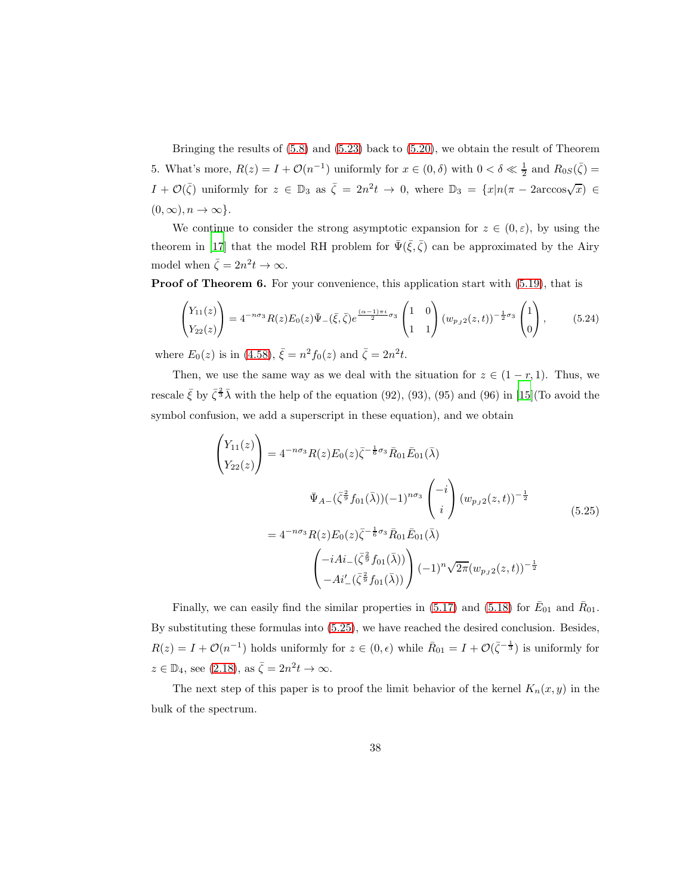Bringing the results of [\(5.8\)](#page-33-2) and [\(5.23\)](#page-36-0) back to [\(5.20\)](#page-36-1), we obtain the result of Theorem 5. What's more,  $R(z) = I + \mathcal{O}(n^{-1})$  uniformly for  $x \in (0, \delta)$  with  $0 < \delta \ll \frac{1}{2}$  and  $R_{0S}(\bar{\zeta}) =$ I +  $\mathcal{O}(\bar{\zeta})$  uniformly for  $z \in \mathbb{D}_3$  as  $\bar{\zeta} = 2n^2t \to 0$ , where  $\mathbb{D}_3 = \{x | n(\pi - 2\arccos\sqrt{x}) \in$  $(0, \infty), n \to \infty$ .

We continue to consider the strong asymptotic expansion for  $z \in (0, \varepsilon)$ , by using the theorem in [\[17\]](#page-46-2) that the model RH problem for  $\bar{\Psi}(\bar{\xi}, \bar{\zeta})$  can be approximated by the Airy model when  $\bar{\zeta} = 2n^2 t \to \infty$ .

Proof of Theorem 6. For your convenience, this application start with [\(5.19\)](#page-36-2), that is

$$
\begin{pmatrix} Y_{11}(z) \\ Y_{22}(z) \end{pmatrix} = 4^{-n\sigma_3} R(z) E_0(z) \bar{\Psi}_-(\bar{\xi}, \bar{\zeta}) e^{\frac{(\alpha-1)\pi i}{2}\sigma_3} \begin{pmatrix} 1 & 0 \\ 1 & 1 \end{pmatrix} (w_{p,j2}(z,t))^{-\frac{1}{2}\sigma_3} \begin{pmatrix} 1 \\ 0 \end{pmatrix}, \quad (5.24)
$$

where  $E_0(z)$  is in [\(4.58\)](#page-28-1),  $\bar{\xi} = n^2 f_0(z)$  and  $\bar{\zeta} = 2n^2 t$ .

Then, we use the same way as we deal with the situation for  $z \in (1 - r, 1)$ . Thus, we rescale  $\bar{\xi}$  by  $\bar{\zeta}^{\frac{2}{3}}\bar{\lambda}$  with the help of the equation (92), (93), (95) and (96) in [\[15\]](#page-46-0)(To avoid the symbol confusion, we add a superscript in these equation), and we obtain

<span id="page-37-0"></span>
$$
\begin{pmatrix}\nY_{11}(z) \\
Y_{22}(z)\n\end{pmatrix} = 4^{-n\sigma_3} R(z) E_0(z) \bar{\zeta}^{-\frac{1}{6}\sigma_3} \bar{R}_{01} \bar{E}_{01}(\bar{\lambda})
$$
\n
$$
\bar{\Psi}_{A-}(\bar{\zeta}^{\frac{2}{9}} f_{01}(\bar{\lambda})) (-1)^{n\sigma_3} \begin{pmatrix} -i \\ i \end{pmatrix} (w_{p_J 2}(z, t))^{-\frac{1}{2}}
$$
\n
$$
= 4^{-n\sigma_3} R(z) E_0(z) \bar{\zeta}^{-\frac{1}{6}\sigma_3} \bar{R}_{01} \bar{E}_{01}(\bar{\lambda})
$$
\n
$$
\begin{pmatrix} -iAi_{-}(\bar{\zeta}^{\frac{2}{9}} f_{01}(\bar{\lambda})) \\ -Ai'_{-}(\bar{\zeta}^{\frac{2}{9}} f_{01}(\bar{\lambda})) \end{pmatrix} (-1)^n \sqrt{2\pi} (w_{p_J 2}(z, t))^{-\frac{1}{2}}
$$
\n(5.25)

Finally, we can easily find the similar properties in [\(5.17\)](#page-35-4) and [\(5.18\)](#page-35-5) for  $\bar{E}_{01}$  and  $\bar{R}_{01}$ . By substituting these formulas into [\(5.25\)](#page-37-0), we have reached the desired conclusion. Besides,  $R(z) = I + \mathcal{O}(n^{-1})$  holds uniformly for  $z \in (0, \epsilon)$  while  $\bar{R}_{01} = I + \mathcal{O}(\bar{\zeta}^{-\frac{1}{3}})$  is uniformly for  $z \in \mathbb{D}_4$ , see [\(2.18\)](#page-8-0), as  $\bar{\zeta} = 2n^2 t \to \infty$ .

The next step of this paper is to proof the limit behavior of the kernel  $K_n(x, y)$  in the bulk of the spectrum.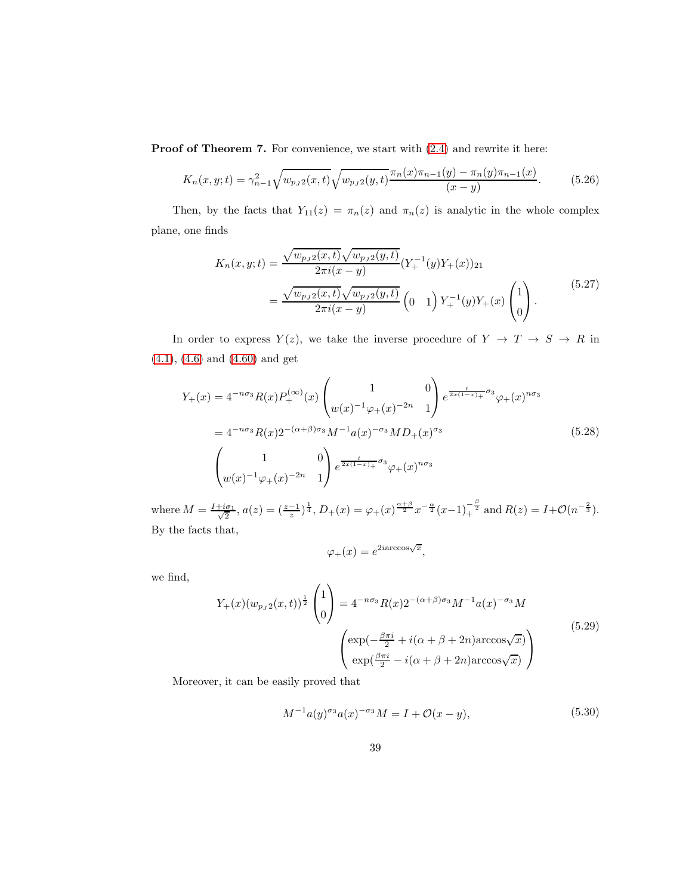Proof of Theorem 7. For convenience, we start with  $(2.4)$  and rewrite it here:

$$
K_n(x, y; t) = \gamma_{n-1}^2 \sqrt{w_{p, 2}(x, t)} \sqrt{w_{p, 2}(y, t)} \frac{\pi_n(x)\pi_{n-1}(y) - \pi_n(y)\pi_{n-1}(x)}{(x - y)}.
$$
(5.26)

Then, by the facts that  $Y_{11}(z) = \pi_n(z)$  and  $\pi_n(z)$  is analytic in the whole complex plane, one finds

<span id="page-38-3"></span>
$$
K_n(x, y; t) = \frac{\sqrt{w_{p_J 2}(x, t)} \sqrt{w_{p_J 2}(y, t)}}{2\pi i (x - y)} (Y_+^{-1}(y)Y_+(x))_{21}
$$
  
= 
$$
\frac{\sqrt{w_{p_J 2}(x, t)} \sqrt{w_{p_J 2}(y, t)}}{2\pi i (x - y)} (0 \t 1) Y_+^{-1}(y)Y_+(x) \begin{pmatrix} 1 \\ 0 \end{pmatrix}.
$$
 (5.27)

In order to express  $Y(z)$ , we take the inverse procedure of  $Y \rightarrow T \rightarrow S \rightarrow R$  in [\(4.1\)](#page-12-0), [\(4.6\)](#page-13-0) and [\(4.60\)](#page-29-1) and get

<span id="page-38-2"></span>
$$
Y_{+}(x) = 4^{-n\sigma_{3}} R(x) P_{+}^{(\infty)}(x) \begin{pmatrix} 1 & 0 \ w(x)^{-1} \varphi_{+}(x)^{-2n} & 1 \end{pmatrix} e^{\frac{t}{2x(1-x)+}\sigma_{3}} \varphi_{+}(x)^{n\sigma_{3}}
$$
  
=  $4^{-n\sigma_{3}} R(x) 2^{-(\alpha+\beta)\sigma_{3}} M^{-1} a(x)^{-\sigma_{3}} M D_{+}(x)^{\sigma_{3}}$   

$$
\begin{pmatrix} 1 & 0 \ w(x)^{-1} \varphi_{+}(x)^{-2n} & 1 \end{pmatrix} e^{\frac{t}{2x(1-x)+}\sigma_{3}} \varphi_{+}(x)^{n\sigma_{3}}
$$
(5.28)

where  $M = \frac{I + i\sigma_1}{\sqrt{2}}$  $\frac{2}{2}, a(z) = \left(\frac{z-1}{z}\right)^{\frac{1}{4}}, D_{+}(x) = \varphi_{+}(x)^{\frac{\alpha+\beta}{2}} x^{-\frac{\alpha}{2}} (x-1)^{\frac{\beta}{2}}_{+}$  and  $R(z) = I + \mathcal{O}(n^{-\frac{2}{3}}).$ By the facts that,

$$
\varphi_{+}(x) = e^{2i\arccos\sqrt{x}},
$$

we find,

<span id="page-38-0"></span>
$$
Y_{+}(x)(w_{p,j2}(x,t))^{\frac{1}{2}}\begin{pmatrix}1\\0\end{pmatrix} = 4^{-n\sigma_3}R(x)2^{-(\alpha+\beta)\sigma_3}M^{-1}a(x)^{-\sigma_3}M
$$

$$
\begin{pmatrix}\n\exp(-\frac{\beta\pi i}{2} + i(\alpha+\beta+2n)\arccos\sqrt{x}) \\
\exp(\frac{\beta\pi i}{2} - i(\alpha+\beta+2n)\arccos\sqrt{x})\n\end{pmatrix}
$$
\n(5.29)

Moreover, it can be easily proved that

<span id="page-38-1"></span>
$$
M^{-1}a(y)^{\sigma_3}a(x)^{-\sigma_3}M = I + \mathcal{O}(x - y),\tag{5.30}
$$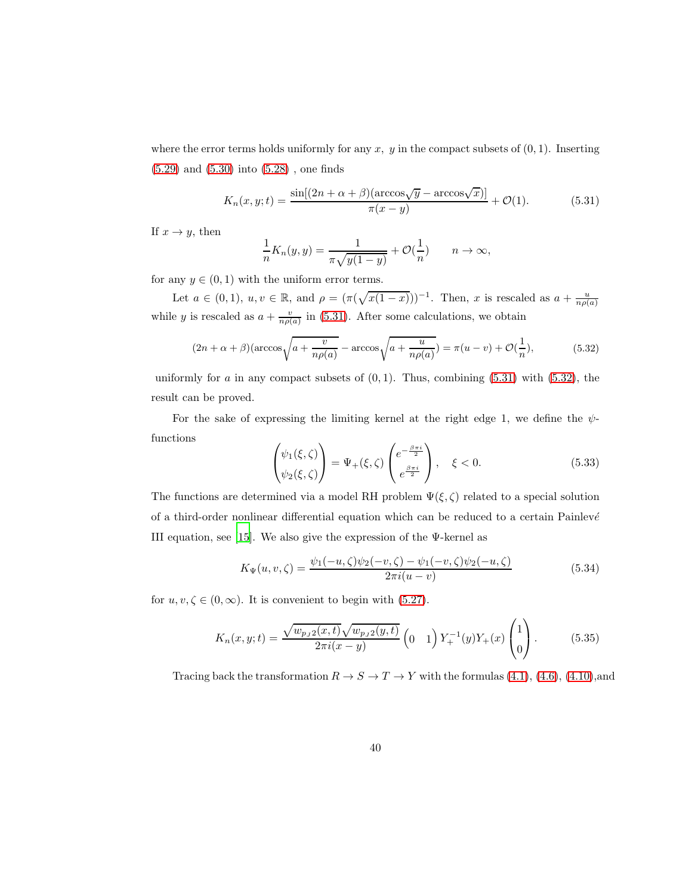where the error terms holds uniformly for any  $x, y$  in the compact subsets of  $(0, 1)$ . Inserting [\(5.29\)](#page-38-0) and [\(5.30\)](#page-38-1) into [\(5.28\)](#page-38-2) , one finds

<span id="page-39-1"></span>
$$
K_n(x, y; t) = \frac{\sin[(2n + \alpha + \beta)(\arccos\sqrt{y} - \arccos\sqrt{x})]}{\pi(x - y)} + \mathcal{O}(1). \tag{5.31}
$$

If  $x \to y$ , then

$$
\frac{1}{n}K_n(y,y) = \frac{1}{\pi\sqrt{y(1-y)}} + \mathcal{O}(\frac{1}{n}) \qquad n \to \infty,
$$

for any  $y \in (0, 1)$  with the uniform error terms.

Let  $a \in (0,1)$ ,  $u, v \in \mathbb{R}$ , and  $\rho = (\pi(\sqrt{x(1-x)}))^{-1}$ . Then, x is rescaled as  $a + \frac{u}{n\rho(a)}$ while y is rescaled as  $a + \frac{v}{n\rho(a)}$  in [\(5.31\)](#page-39-1). After some calculations, we obtain

<span id="page-39-2"></span>
$$
(2n + \alpha + \beta)(\arccos\sqrt{a + \frac{v}{n\rho(a)}} - \arccos\sqrt{a + \frac{u}{n\rho(a)}}) = \pi(u - v) + \mathcal{O}(\frac{1}{n}),\tag{5.32}
$$

uniformly for a in any compact subsets of  $(0, 1)$ . Thus, combining  $(5.31)$  with  $(5.32)$ , the result can be proved.

For the sake of expressing the limiting kernel at the right edge 1, we define the  $\psi$ functions

<span id="page-39-0"></span>
$$
\begin{pmatrix} \psi_1(\xi,\zeta) \\ \psi_2(\xi,\zeta) \end{pmatrix} = \Psi_+(\xi,\zeta) \begin{pmatrix} e^{-\frac{\beta\pi i}{2}} \\ e^{\frac{\beta\pi i}{2}} \end{pmatrix}, \quad \xi < 0.
$$
 (5.33)

The functions are determined via a model RH problem  $\Psi(\xi, \zeta)$  related to a special solution of a third-order nonlinear differential equation which can be reduced to a certain Painlevé III equation, see [\[15\]](#page-46-0). We also give the expression of the  $\Psi$ -kernel as

$$
K_{\Psi}(u, v, \zeta) = \frac{\psi_1(-u, \zeta)\psi_2(-v, \zeta) - \psi_1(-v, \zeta)\psi_2(-u, \zeta)}{2\pi i(u - v)}
$$
(5.34)

for  $u, v, \zeta \in (0, \infty)$ . It is convenient to begin with [\(5.27\)](#page-38-3).

<span id="page-39-3"></span>
$$
K_n(x, y; t) = \frac{\sqrt{w_{pJ2}(x, t)} \sqrt{w_{pJ2}(y, t)}}{2\pi i (x - y)} \left(0 \quad 1\right) Y_+^{-1}(y) Y_+(x) \begin{pmatrix} 1\\0 \end{pmatrix}.
$$
 (5.35)

Tracing back the transformation  $R \to S \to T \to Y$  with the formulas [\(4.1\)](#page-12-0), [\(4.6\)](#page-13-0), [\(4.10\)](#page-15-1),and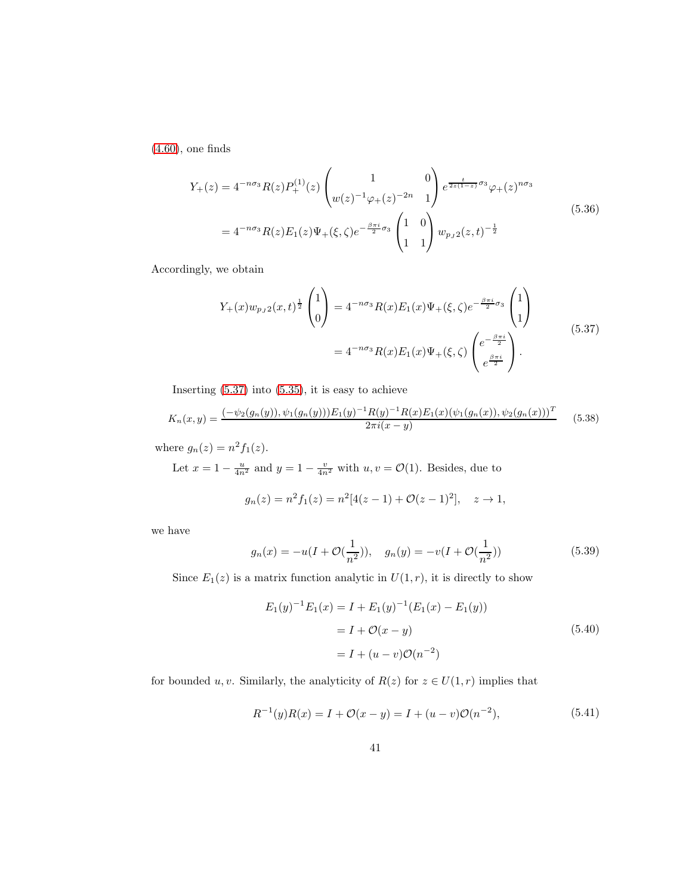[\(4.60\)](#page-29-1), one finds

$$
Y_{+}(z) = 4^{-n\sigma_{3}} R(z) P_{+}^{(1)}(z) \begin{pmatrix} 1 & 0 \ w(z)^{-1} \varphi_{+}(z)^{-2n} & 1 \end{pmatrix} e^{\frac{t}{2z(1-z)} \sigma_{3}} \varphi_{+}(z)^{n\sigma_{3}}
$$
  
=  $4^{-n\sigma_{3}} R(z) E_{1}(z) \Psi_{+}(\xi, \zeta) e^{-\frac{\beta \pi i}{2} \sigma_{3}} \begin{pmatrix} 1 & 0 \ 1 & 1 \end{pmatrix} w_{p,j} 2(z, t)^{-\frac{1}{2}}$  (5.36)

Accordingly, we obtain

<span id="page-40-0"></span>
$$
Y_{+}(x)w_{pJ2}(x,t)^{\frac{1}{2}}\begin{pmatrix}1\\0\end{pmatrix} = 4^{-n\sigma_{3}}R(x)E_{1}(x)\Psi_{+}(\xi,\zeta)e^{-\frac{\beta\pi i}{2}\sigma_{3}}\begin{pmatrix}1\\1\end{pmatrix}
$$
  
=  $4^{-n\sigma_{3}}R(x)E_{1}(x)\Psi_{+}(\xi,\zeta)\begin{pmatrix}e^{-\frac{\beta\pi i}{2}}\\e^{\frac{\beta\pi i}{2}}\end{pmatrix}.$  (5.37)

Inserting  $(5.37)$  into  $(5.35)$ , it is easy to achieve

$$
K_n(x,y) = \frac{(-\psi_2(g_n(y)), \psi_1(g_n(y)))E_1(y)^{-1}R(y)^{-1}R(x)E_1(x)(\psi_1(g_n(x)), \psi_2(g_n(x)))^T}{2\pi i(x-y)}
$$
(5.38)

where  $g_n(z) = n^2 f_1(z)$ .

Let  $x = 1 - \frac{u}{4n^2}$  and  $y = 1 - \frac{v}{4n^2}$  with  $u, v = \mathcal{O}(1)$ . Besides, due to

$$
g_n(z) = n^2 f_1(z) = n^2 [4(z-1) + \mathcal{O}(z-1)^2], \quad z \to 1,
$$

we have

<span id="page-40-1"></span>
$$
g_n(x) = -u(I + \mathcal{O}(\frac{1}{n^2})), \quad g_n(y) = -v(I + \mathcal{O}(\frac{1}{n^2}))
$$
\n(5.39)

Since  $E_1(z)$  is a matrix function analytic in  $U(1,r)$ , it is directly to show

$$
E_1(y)^{-1}E_1(x) = I + E_1(y)^{-1}(E_1(x) - E_1(y))
$$
  
=  $I + \mathcal{O}(x - y)$   
=  $I + (u - v)\mathcal{O}(n^{-2})$  (5.40)

for bounded u, v. Similarly, the analyticity of  $R(z)$  for  $z \in U(1,r)$  implies that

$$
R^{-1}(y)R(x) = I + \mathcal{O}(x - y) = I + (u - v)\mathcal{O}(n^{-2}),
$$
\n(5.41)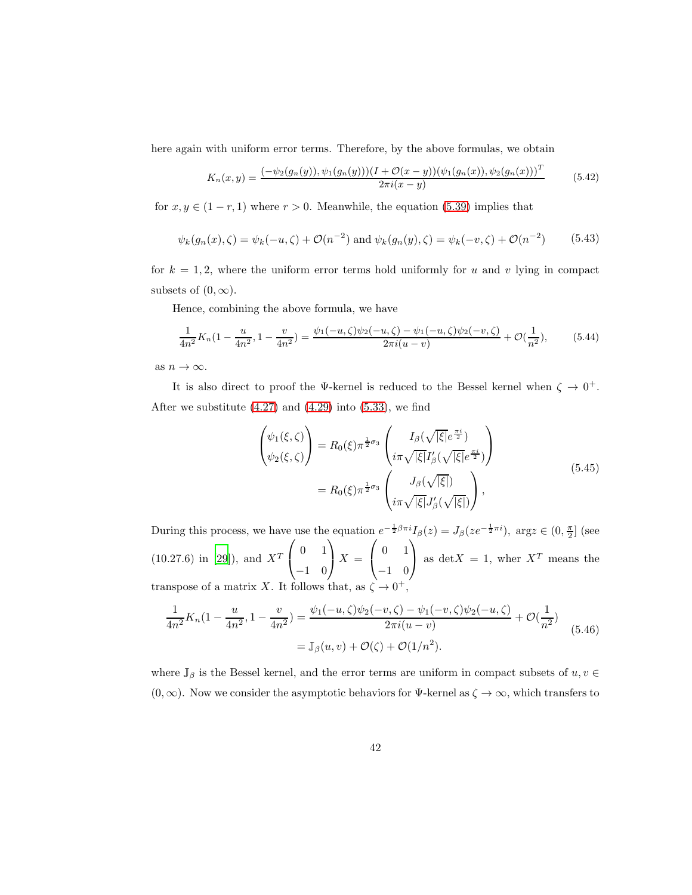here again with uniform error terms. Therefore, by the above formulas, we obtain

$$
K_n(x,y) = \frac{(-\psi_2(g_n(y)), \psi_1(g_n(y)))(I + \mathcal{O}(x-y))(\psi_1(g_n(x)), \psi_2(g_n(x)))^T}{2\pi i(x-y)}
$$
(5.42)

for  $x, y \in (1 - r, 1)$  where  $r > 0$ . Meanwhile, the equation [\(5.39\)](#page-40-1) implies that

$$
\psi_k(g_n(x), \zeta) = \psi_k(-u, \zeta) + \mathcal{O}(n^{-2}) \text{ and } \psi_k(g_n(y), \zeta) = \psi_k(-v, \zeta) + \mathcal{O}(n^{-2}) \tag{5.43}
$$

for  $k = 1, 2$ , where the uniform error terms hold uniformly for u and v lying in compact subsets of  $(0, \infty)$ .

Hence, combining the above formula, we have

$$
\frac{1}{4n^2}K_n(1-\frac{u}{4n^2}, 1-\frac{v}{4n^2}) = \frac{\psi_1(-u,\zeta)\psi_2(-u,\zeta) - \psi_1(-u,\zeta)\psi_2(-v,\zeta)}{2\pi i(u-v)} + \mathcal{O}(\frac{1}{n^2}),\tag{5.44}
$$

as  $n \to \infty$ .

It is also direct to proof the  $\Psi$ -kernel is reduced to the Bessel kernel when  $\zeta \to 0^+$ . After we substitute  $(4.27)$  and  $(4.29)$  into  $(5.33)$ , we find

$$
\begin{aligned}\n\begin{pmatrix}\n\psi_1(\xi,\zeta) \\
\psi_2(\xi,\zeta)\n\end{pmatrix} &= R_0(\xi)\pi^{\frac{1}{2}\sigma_3} \begin{pmatrix}\nI_\beta(\sqrt{|\xi|}e^{\frac{\pi i}{2}}) \\
i\pi\sqrt{|\xi|}I'_\beta(\sqrt{|\xi|}e^{\frac{\pi i}{2}})\n\end{pmatrix} \\
&= R_0(\xi)\pi^{\frac{1}{2}\sigma_3} \begin{pmatrix}\nJ_\beta(\sqrt{|\xi|}) \\
i\pi\sqrt{|\xi|}J'_\beta(\sqrt{|\xi|})\n\end{pmatrix},\n\end{aligned} \tag{5.45}
$$

During this process, we have use the equation  $e^{-\frac{1}{2}\beta\pi i}I_{\beta}(z) = J_{\beta}(ze^{-\frac{1}{2}\pi i})$ ,  $\arg z \in (0, \frac{\pi}{2}]$  (see  $(10.27.6)$  in [\[29\]](#page-47-3)), and  $X<sup>T</sup>$  $\sqrt{ }$  $\mathcal{L}$ 0 1 −1 0  $\setminus$  $X =$  $\sqrt{ }$  $\mathcal{L}$ 0 1 −1 0  $\setminus$ as det  $X = 1$ , wher  $X<sup>T</sup>$  means the transpose of a matrix X. It follows that, as  $\zeta \to 0^+,$ 

$$
\frac{1}{4n^2}K_n(1 - \frac{u}{4n^2}, 1 - \frac{v}{4n^2}) = \frac{\psi_1(-u, \zeta)\psi_2(-v, \zeta) - \psi_1(-v, \zeta)\psi_2(-u, \zeta)}{2\pi i(u - v)} + \mathcal{O}(\frac{1}{n^2})
$$
\n
$$
= \mathbb{J}_{\beta}(u, v) + \mathcal{O}(\zeta) + \mathcal{O}(1/n^2). \tag{5.46}
$$

where  $\mathbb{J}_{\beta}$  is the Bessel kernel, and the error terms are uniform in compact subsets of  $u, v \in$  $(0, \infty)$ . Now we consider the asymptotic behaviors for  $\Psi$ -kernel as  $\zeta \to \infty$ , which transfers to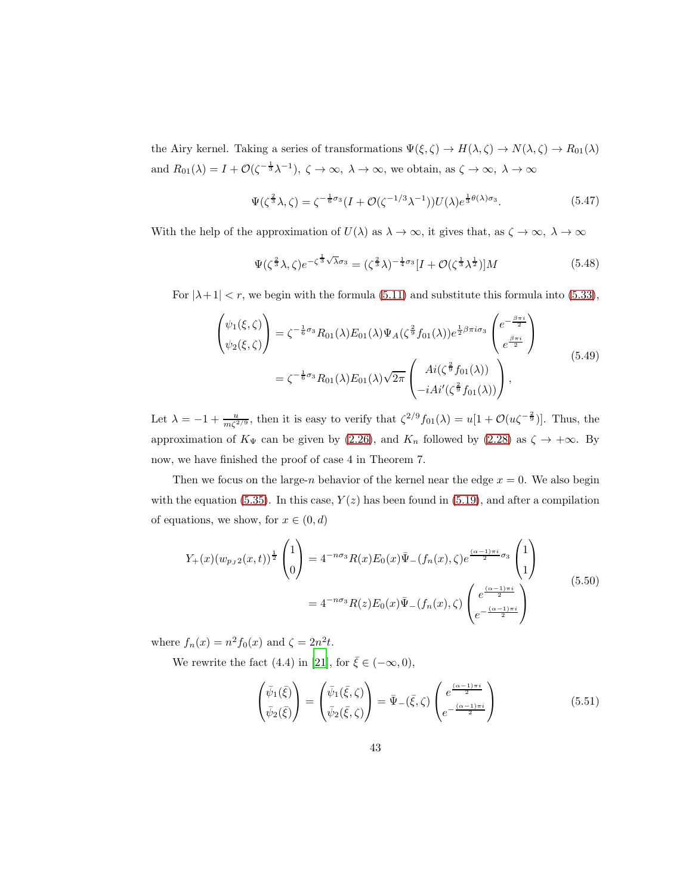the Airy kernel. Taking a series of transformations  $\Psi(\xi, \zeta) \to H(\lambda, \zeta) \to N(\lambda, \zeta) \to R_{01}(\lambda)$ and  $R_{01}(\lambda) = I + \mathcal{O}(\zeta^{-\frac{1}{3}}\lambda^{-1}), \zeta \to \infty, \lambda \to \infty$ , we obtain, as  $\zeta \to \infty, \lambda \to \infty$ 

$$
\Psi(\zeta^{\frac{2}{3}}\lambda,\zeta) = \zeta^{-\frac{1}{6}\sigma_3}(I+\mathcal{O}(\zeta^{-1/3}\lambda^{-1}))U(\lambda)e^{\frac{1}{3}\theta(\lambda)\sigma_3}.
$$
\n(5.47)

With the help of the approximation of  $U(\lambda)$  as  $\lambda \to \infty$ , it gives that, as  $\zeta \to \infty$ ,  $\lambda \to \infty$ 

$$
\Psi(\zeta^{\frac{2}{3}}\lambda,\zeta)e^{-\zeta^{\frac{1}{3}}\sqrt{\lambda}\sigma_3} = (\zeta^{\frac{2}{3}}\lambda)^{-\frac{1}{4}\sigma_3}[I+\mathcal{O}(\zeta^{\frac{1}{3}}\lambda^{\frac{1}{2}})]M
$$
\n(5.48)

For  $|\lambda + 1| < r$ , we begin with the formula [\(5.11\)](#page-34-1) and substitute this formula into [\(5.33\)](#page-39-0),

$$
\begin{aligned}\n\begin{pmatrix}\n\psi_1(\xi,\zeta) \\
\psi_2(\xi,\zeta)\n\end{pmatrix} &= \zeta^{-\frac{1}{6}\sigma_3} R_{01}(\lambda) E_{01}(\lambda) \Psi_A(\zeta^{\frac{2}{9}} f_{01}(\lambda)) e^{\frac{1}{2}\beta \pi i \sigma_3} \begin{pmatrix} e^{-\frac{\beta \pi i}{2}} \\
e^{\frac{\beta \pi i}{2}} \end{pmatrix} \\
&= \zeta^{-\frac{1}{6}\sigma_3} R_{01}(\lambda) E_{01}(\lambda) \sqrt{2\pi} \begin{pmatrix} Ai(\zeta^{\frac{2}{9}} f_{01}(\lambda)) \\
-iAi'(\zeta^{\frac{2}{9}} f_{01}(\lambda)) \end{pmatrix},\n\end{aligned} (5.49)
$$

Let  $\lambda = -1 + \frac{u}{m\zeta^{2/9}}$ , then it is easy to verify that  $\zeta^{2/9} f_{01}(\lambda) = u[1 + \mathcal{O}(u\zeta^{-\frac{2}{9}})].$  Thus, the approximation of  $K_{\Psi}$  can be given by [\(2.26\)](#page-9-0), and  $K_n$  followed by [\(2.28\)](#page-10-0) as  $\zeta \to +\infty$ . By now, we have finished the proof of case 4 in Theorem 7.

Then we focus on the large-n behavior of the kernel near the edge  $x = 0$ . We also begin with the equation [\(5.35\)](#page-39-3). In this case,  $Y(z)$  has been found in [\(5.19\)](#page-36-2), and after a compilation of equations, we show, for  $x \in (0, d)$ 

<span id="page-42-0"></span>
$$
Y_{+}(x)(w_{p,J2}(x,t))^{\frac{1}{2}}\begin{pmatrix}1\\0\end{pmatrix} = 4^{-n\sigma_{3}}R(x)E_{0}(x)\bar{\Psi}_{-}(f_{n}(x),\zeta)e^{\frac{(\alpha-1)\pi i}{2}\sigma_{3}}\begin{pmatrix}1\\1\end{pmatrix}
$$
  
=  $4^{-n\sigma_{3}}R(z)E_{0}(x)\bar{\Psi}_{-}(f_{n}(x),\zeta)\begin{pmatrix}e^{\frac{(\alpha-1)\pi i}{2}}\\e^{-\frac{(\alpha-1)\pi i}{2}}\end{pmatrix}$  (5.50)

where  $f_n(x) = n^2 f_0(x)$  and  $\zeta = 2n^2 t$ .

We rewrite the fact (4.4) in [\[21\]](#page-46-8), for  $\bar{\xi} \in (-\infty, 0)$ ,

<span id="page-42-1"></span>
$$
\begin{pmatrix}\n\bar{\psi}_1(\bar{\xi}) \\
\bar{\psi}_2(\bar{\xi})\n\end{pmatrix} = \begin{pmatrix}\n\bar{\psi}_1(\bar{\xi}, \zeta) \\
\bar{\psi}_2(\bar{\xi}, \zeta)\n\end{pmatrix} = \bar{\Psi}_-(\bar{\xi}, \zeta) \begin{pmatrix}\ne^{\frac{(\alpha-1)\pi i}{2}} \\
e^{-\frac{(\alpha-1)\pi i}{2}}\n\end{pmatrix}
$$
\n(5.51)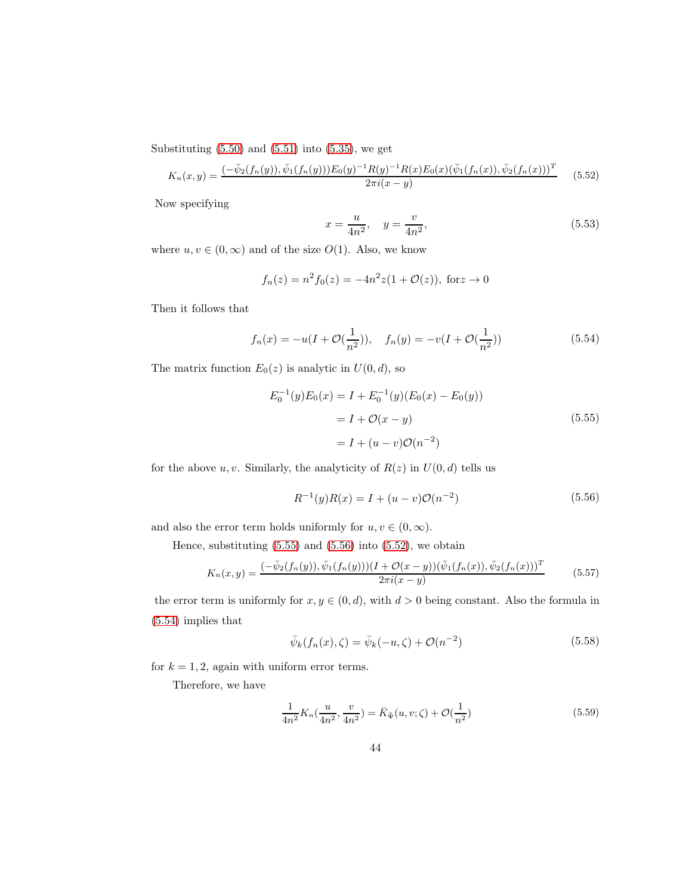Substituting  $(5.50)$  and  $(5.51)$  into  $(5.35)$ , we get

<span id="page-43-2"></span>
$$
K_n(x,y) = \frac{\left(-\bar{\psi}_2(f_n(y)), \bar{\psi}_1(f_n(y))\right)E_0(y)^{-1}R(y)^{-1}R(x)E_0(x)(\bar{\psi}_1(f_n(x)), \bar{\psi}_2(f_n(x)))^T}{2\pi i(x-y)} \tag{5.52}
$$

Now specifying

$$
x = \frac{u}{4n^2}, \quad y = \frac{v}{4n^2}, \tag{5.53}
$$

where  $u, v \in (0, \infty)$  and of the size  $O(1)$ . Also, we know

$$
f_n(z) = n^2 f_0(z) = -4n^2 z (1 + \mathcal{O}(z)), \text{ for } z \to 0
$$

Then it follows that

<span id="page-43-3"></span>
$$
f_n(x) = -u(I + \mathcal{O}(\frac{1}{n^2})), \quad f_n(y) = -v(I + \mathcal{O}(\frac{1}{n^2}))
$$
\n(5.54)

The matrix function  $E_0(z)$  is analytic in  $U(0, d)$ , so

<span id="page-43-0"></span>
$$
E_0^{-1}(y)E_0(x) = I + E_0^{-1}(y)(E_0(x) - E_0(y))
$$
  
=  $I + \mathcal{O}(x - y)$   
=  $I + (u - v)\mathcal{O}(n^{-2})$  (5.55)

for the above u, v. Similarly, the analyticity of  $R(z)$  in  $U(0, d)$  tells us

<span id="page-43-1"></span>
$$
R^{-1}(y)R(x) = I + (u - v)\mathcal{O}(n^{-2})
$$
\n(5.56)

and also the error term holds uniformly for  $u, v \in (0, \infty)$ .

Hence, substituting  $(5.55)$  and  $(5.56)$  into  $(5.52)$ , we obtain

$$
K_n(x,y) = \frac{(-\bar{\psi}_2(f_n(y)), \bar{\psi}_1(f_n(y)))(I + \mathcal{O}(x-y))(\bar{\psi}_1(f_n(x)), \bar{\psi}_2(f_n(x)))^T}{2\pi i(x-y)}
$$
(5.57)

the error term is uniformly for  $x, y \in (0, d)$ , with  $d > 0$  being constant. Also the formula in [\(5.54\)](#page-43-3) implies that

$$
\bar{\psi}_k(f_n(x), \zeta) = \bar{\psi}_k(-u, \zeta) + \mathcal{O}(n^{-2})
$$
\n(5.58)

for  $k = 1, 2$ , again with uniform error terms.

Therefore, we have

$$
\frac{1}{4n^2} K_n(\frac{u}{4n^2}, \frac{v}{4n^2}) = \bar{K}_{\bar{\Psi}}(u, v; \zeta) + \mathcal{O}(\frac{1}{n^2})
$$
\n(5.59)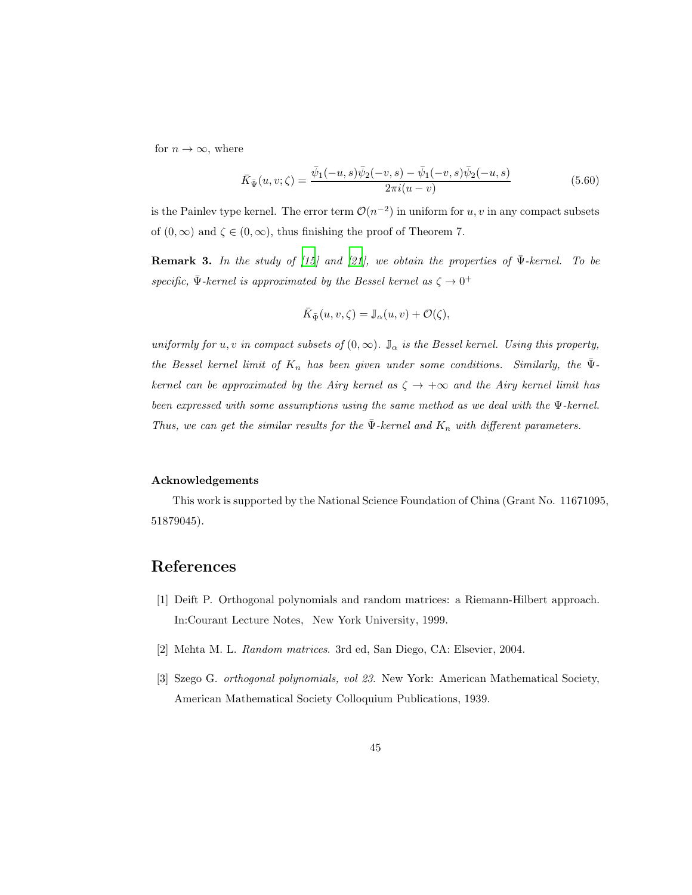for  $n \to \infty$ , where

$$
\bar{K}_{\bar{\Psi}}(u,v;\zeta) = \frac{\bar{\psi}_1(-u,s)\bar{\psi}_2(-v,s) - \bar{\psi}_1(-v,s)\bar{\psi}_2(-u,s)}{2\pi i(u-v)}
$$
(5.60)

is the Painlev type kernel. The error term  $\mathcal{O}(n^{-2})$  in uniform for  $u, v$  in any compact subsets of  $(0, \infty)$  and  $\zeta \in (0, \infty)$ , thus finishing the proof of Theorem 7.

**Remark 3.** In the study of [\[15](#page-46-0)] and [\[21\]](#page-46-8), we obtain the properties of  $\bar{\Psi}$ -kernel. To be specific,  $\bar{\Psi}$ -kernel is approximated by the Bessel kernel as  $\zeta \to 0^+$ 

$$
\bar{K}_{\bar{\Psi}}(u,v,\zeta)=\mathbb{J}_\alpha(u,v)+\mathcal{O}(\zeta),
$$

uniformly for u, v in compact subsets of  $(0, \infty)$ .  $\mathbb{J}_{\alpha}$  is the Bessel kernel. Using this property, the Bessel kernel limit of  $K_n$  has been given under some conditions. Similarly, the  $\Psi$ kernel can be approximated by the Airy kernel as  $\zeta \to +\infty$  and the Airy kernel limit has been expressed with some assumptions using the same method as we deal with the Ψ-kernel. Thus, we can get the similar results for the  $\bar{\Psi}$ -kernel and  $K_n$  with different parameters.

#### Acknowledgements

This work is supported by the National Science Foundation of China (Grant No. 11671095, 51879045).

# References

- <span id="page-44-0"></span>[1] Deift P. Orthogonal polynomials and random matrices: a Riemann-Hilbert approach. In:Courant Lecture Notes, New York University, 1999.
- <span id="page-44-1"></span>[2] Mehta M. L. Random matrices. 3rd ed, San Diego, CA: Elsevier, 2004.
- <span id="page-44-2"></span>[3] Szego G. orthogonal polynomials, vol 23. New York: American Mathematical Society, American Mathematical Society Colloquium Publications, 1939.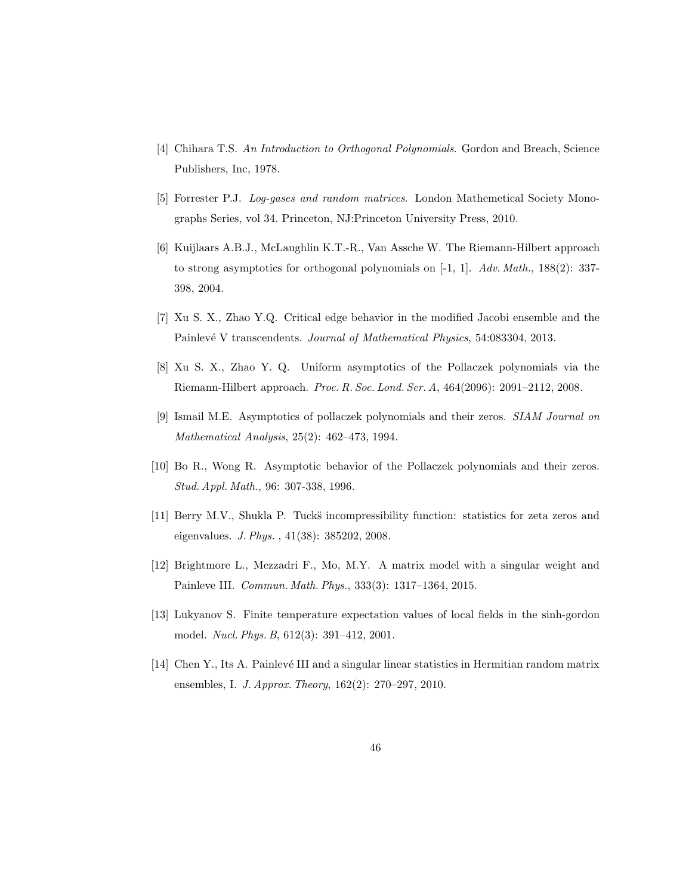- <span id="page-45-0"></span>[4] Chihara T.S. An Introduction to Orthogonal Polynomials. Gordon and Breach, Science Publishers, Inc, 1978.
- <span id="page-45-1"></span>[5] Forrester P.J. Log-gases and random matrices. London Mathemetical Society Monographs Series, vol 34. Princeton, NJ:Princeton University Press, 2010.
- <span id="page-45-2"></span>[6] Kuijlaars A.B.J., McLaughlin K.T.-R., Van Assche W. The Riemann-Hilbert approach to strong asymptotics for orthogonal polynomials on  $[-1, 1]$ . Adv. Math., 188(2): 337-398, 2004.
- <span id="page-45-3"></span>[7] Xu S. X., Zhao Y.Q. Critical edge behavior in the modified Jacobi ensemble and the Painlevé V transcendents. Journal of Mathematical Physics, 54:083304, 2013.
- <span id="page-45-4"></span>[8] Xu S. X., Zhao Y. Q. Uniform asymptotics of the Pollaczek polynomials via the Riemann-Hilbert approach. Proc. R. Soc. Lond. Ser. A, 464(2096): 2091–2112, 2008.
- <span id="page-45-5"></span>[9] Ismail M.E. Asymptotics of pollaczek polynomials and their zeros. SIAM Journal on Mathematical Analysis, 25(2): 462–473, 1994.
- <span id="page-45-6"></span>[10] Bo R., Wong R. Asymptotic behavior of the Pollaczek polynomials and their zeros. Stud. Appl. Math., 96: 307-338, 1996.
- <span id="page-45-7"></span>[11] Berry M.V., Shukla P. Tucks incompressibility function: statistics for zeta zeros and eigenvalues. J. Phys. , 41(38): 385202, 2008.
- <span id="page-45-8"></span>[12] Brightmore L., Mezzadri F., Mo, M.Y. A matrix model with a singular weight and Painleve III. Commun. Math. Phys., 333(3): 1317–1364, 2015.
- <span id="page-45-9"></span>[13] Lukyanov S. Finite temperature expectation values of local fields in the sinh-gordon model. Nucl. Phys. B, 612(3): 391–412, 2001.
- <span id="page-45-10"></span>[14] Chen Y., Its A. Painlev´e III and a singular linear statistics in Hermitian random matrix ensembles, I. J. Approx. Theory, 162(2): 270–297, 2010.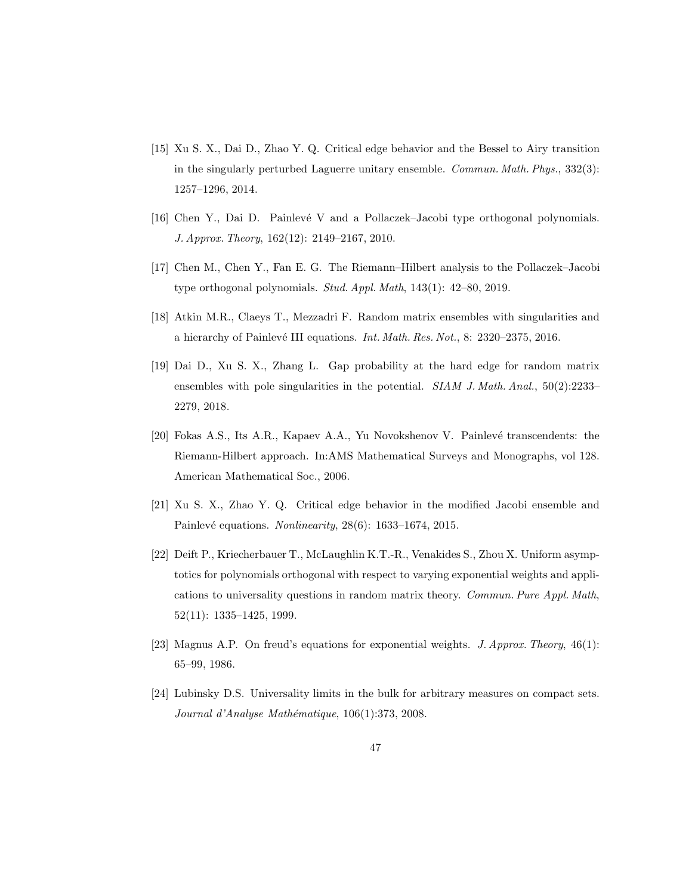- <span id="page-46-0"></span>[15] Xu S. X., Dai D., Zhao Y. Q. Critical edge behavior and the Bessel to Airy transition in the singularly perturbed Laguerre unitary ensemble. Commun. Math. Phys., 332(3): 1257–1296, 2014.
- <span id="page-46-1"></span>[16] Chen Y., Dai D. Painlevé V and a Pollaczek–Jacobi type orthogonal polynomials. J. Approx. Theory, 162(12): 2149–2167, 2010.
- <span id="page-46-2"></span>[17] Chen M., Chen Y., Fan E. G. The Riemann–Hilbert analysis to the Pollaczek–Jacobi type orthogonal polynomials. Stud. Appl. Math, 143(1): 42–80, 2019.
- <span id="page-46-3"></span>[18] Atkin M.R., Claeys T., Mezzadri F. Random matrix ensembles with singularities and a hierarchy of Painlevé III equations. Int. Math. Res. Not., 8:  $2320-2375$ , 2016.
- <span id="page-46-4"></span>[19] Dai D., Xu S. X., Zhang L. Gap probability at the hard edge for random matrix ensembles with pole singularities in the potential. SIAM J. Math. Anal., 50(2):2233– 2279, 2018.
- <span id="page-46-9"></span>[20] Fokas A.S., Its A.R., Kapaev A.A., Yu Novokshenov V. Painlevé transcendents: the Riemann-Hilbert approach. In:AMS Mathematical Surveys and Monographs, vol 128. American Mathematical Soc., 2006.
- <span id="page-46-8"></span>[21] Xu S. X., Zhao Y. Q. Critical edge behavior in the modified Jacobi ensemble and Painlevé equations. Nonlinearity,  $28(6)$ : 1633–1674, 2015.
- <span id="page-46-5"></span>[22] Deift P., Kriecherbauer T., McLaughlin K.T.-R., Venakides S., Zhou X. Uniform asymptotics for polynomials orthogonal with respect to varying exponential weights and applications to universality questions in random matrix theory. Commun. Pure Appl. Math, 52(11): 1335–1425, 1999.
- <span id="page-46-6"></span>[23] Magnus A.P. On freud's equations for exponential weights. J. Approx. Theory, 46(1): 65–99, 1986.
- <span id="page-46-7"></span>[24] Lubinsky D.S. Universality limits in the bulk for arbitrary measures on compact sets. Journal d'Analyse Mathématique, 106(1):373, 2008.